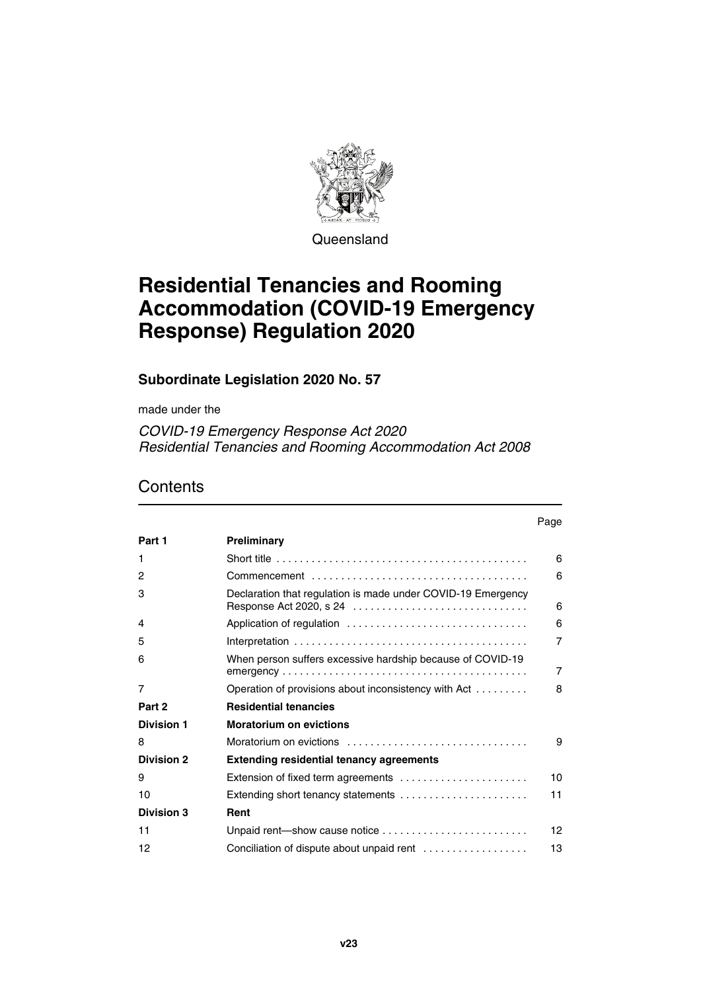

**Queensland** 

# **Residential Tenancies and Rooming Accommodation (COVID-19 Emergency Response) Regulation 2020**

# **Subordinate Legislation 2020 No. 57**

made under the

*COVID-19 Emergency Response Act 2020 Residential Tenancies and Rooming Accommodation Act 2008*

|                   |                                                                                                   | Page |
|-------------------|---------------------------------------------------------------------------------------------------|------|
| Part 1            | Preliminary                                                                                       |      |
| 1                 | Short title $\ldots \ldots \ldots \ldots \ldots \ldots \ldots \ldots \ldots \ldots \ldots \ldots$ | 6    |
| 2                 |                                                                                                   | 6    |
| 3                 | Declaration that regulation is made under COVID-19 Emergency                                      | 6    |
| 4                 |                                                                                                   | 6    |
| 5                 |                                                                                                   | 7    |
| 6                 | When person suffers excessive hardship because of COVID-19                                        | 7    |
| 7                 | Operation of provisions about inconsistency with Act                                              | 8    |
| Part 2            | <b>Residential tenancies</b>                                                                      |      |
| <b>Division 1</b> | <b>Moratorium on evictions</b>                                                                    |      |
| 8                 | Moratorium on evictions                                                                           | 9    |
| <b>Division 2</b> | <b>Extending residential tenancy agreements</b>                                                   |      |
| 9                 | Extension of fixed term agreements                                                                | 10   |
| 10                | Extending short tenancy statements                                                                | 11   |
| Division 3        | Rent                                                                                              |      |
| 11                | Unpaid rent-show cause notice                                                                     | 12   |
| 12                | Conciliation of dispute about unpaid rent $\ldots$                                                | 13   |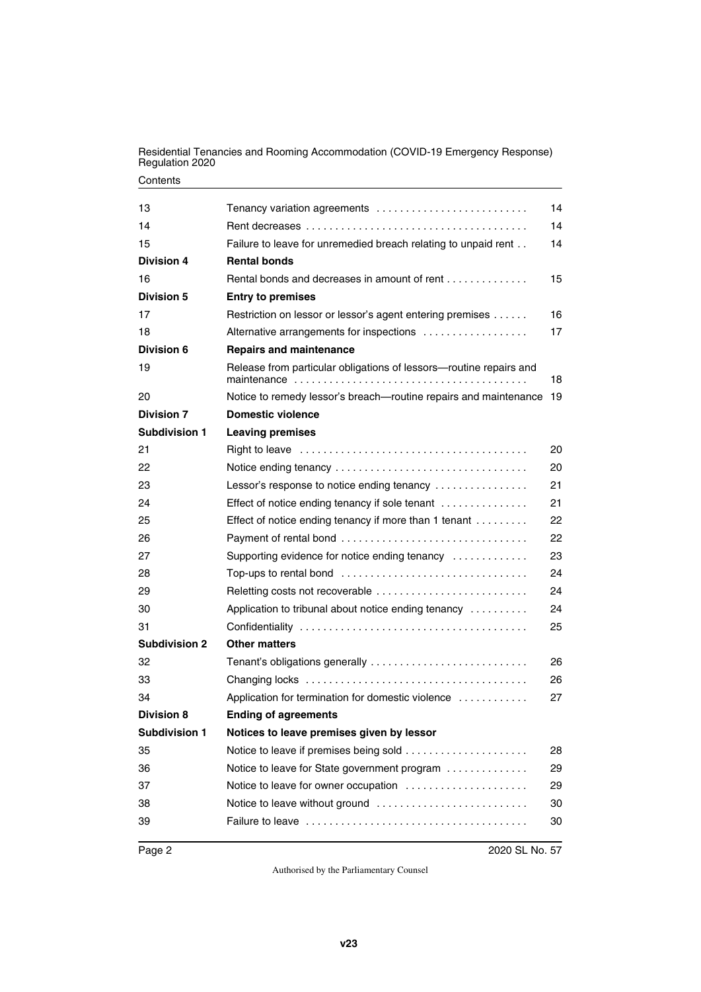Residential Tenancies and Rooming Accommodation (COVID-19 Emergency Response) Regulation 2020

| 13                   | Tenancy variation agreements                                                                   | 14 |
|----------------------|------------------------------------------------------------------------------------------------|----|
| 14                   |                                                                                                | 14 |
| 15                   | Failure to leave for unremedied breach relating to unpaid rent                                 | 14 |
| Division 4           | <b>Rental bonds</b>                                                                            |    |
| 16                   | Rental bonds and decreases in amount of rent                                                   | 15 |
| <b>Division 5</b>    | <b>Entry to premises</b>                                                                       |    |
| 17                   | Restriction on lessor or lessor's agent entering premises                                      | 16 |
| 18                   | Alternative arrangements for inspections                                                       | 17 |
| Division 6           | <b>Repairs and maintenance</b>                                                                 |    |
| 19                   | Release from particular obligations of lessors-routine repairs and                             | 18 |
| 20                   | Notice to remedy lessor's breach-routine repairs and maintenance                               | 19 |
| <b>Division 7</b>    | <b>Domestic violence</b>                                                                       |    |
| Subdivision 1        | <b>Leaving premises</b>                                                                        |    |
| 21                   |                                                                                                | 20 |
| 22                   |                                                                                                | 20 |
| 23                   | Lessor's response to notice ending tenancy                                                     | 21 |
| 24                   | Effect of notice ending tenancy if sole tenant                                                 | 21 |
| 25                   | Effect of notice ending tenancy if more than 1 tenant                                          | 22 |
| 26                   |                                                                                                | 22 |
| 27                   | Supporting evidence for notice ending tenancy                                                  | 23 |
| 28                   | Top-ups to rental bond $\ldots \ldots \ldots \ldots \ldots \ldots \ldots \ldots \ldots \ldots$ | 24 |
| 29                   |                                                                                                | 24 |
| 30                   | Application to tribunal about notice ending tenancy $\ldots \ldots \ldots$                     | 24 |
| 31                   |                                                                                                | 25 |
| <b>Subdivision 2</b> | <b>Other matters</b>                                                                           |    |
| 32                   | Tenant's obligations generally                                                                 | 26 |
| 33                   |                                                                                                | 26 |
| 34                   | Application for termination for domestic violence                                              | 27 |
| <b>Division 8</b>    | <b>Ending of agreements</b>                                                                    |    |
| <b>Subdivision 1</b> | Notices to leave premises given by lessor                                                      |    |
| 35                   |                                                                                                | 28 |
| 36                   | Notice to leave for State government program                                                   | 29 |
| 37                   | Notice to leave for owner occupation                                                           | 29 |
| 38                   | Notice to leave without ground                                                                 | 30 |
| 39                   |                                                                                                | 30 |
|                      |                                                                                                |    |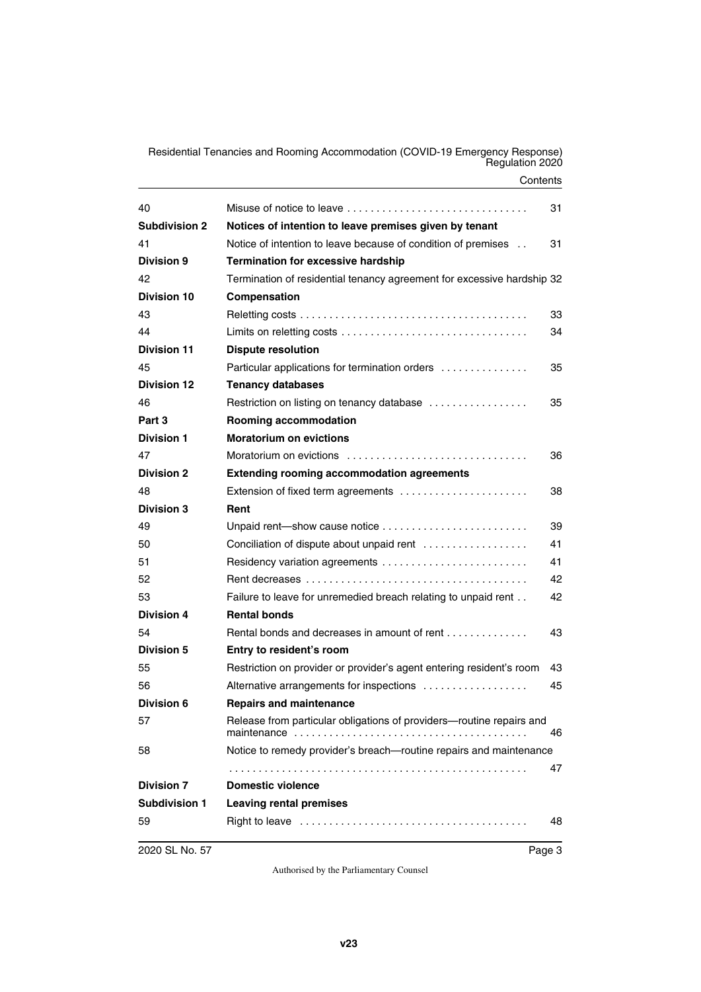Residential Tenancies and Rooming Accommodation (COVID-19 Emergency Response) Regulation 2020

| 40                   |                                                                        | 31 |
|----------------------|------------------------------------------------------------------------|----|
| <b>Subdivision 2</b> | Notices of intention to leave premises given by tenant                 |    |
| 41                   | Notice of intention to leave because of condition of premises          | 31 |
| <b>Division 9</b>    | <b>Termination for excessive hardship</b>                              |    |
| 42                   | Termination of residential tenancy agreement for excessive hardship 32 |    |
| <b>Division 10</b>   | Compensation                                                           |    |
| 43                   |                                                                        | 33 |
| 44                   |                                                                        | 34 |
| <b>Division 11</b>   | <b>Dispute resolution</b>                                              |    |
| 45                   | Particular applications for termination orders                         | 35 |
| <b>Division 12</b>   | <b>Tenancy databases</b>                                               |    |
| 46                   | Restriction on listing on tenancy database                             | 35 |
| Part 3               | Rooming accommodation                                                  |    |
| <b>Division 1</b>    | <b>Moratorium on evictions</b>                                         |    |
| 47                   |                                                                        | 36 |
| <b>Division 2</b>    | <b>Extending rooming accommodation agreements</b>                      |    |
| 48                   | Extension of fixed term agreements                                     | 38 |
| <b>Division 3</b>    | Rent                                                                   |    |
| 49                   | Unpaid rent—show cause notice                                          | 39 |
| 50                   | Conciliation of dispute about unpaid rent                              | 41 |
| 51                   |                                                                        | 41 |
| 52                   |                                                                        | 42 |
| 53                   | Failure to leave for unremedied breach relating to unpaid rent         | 42 |
| <b>Division 4</b>    | <b>Rental bonds</b>                                                    |    |
| 54                   | Rental bonds and decreases in amount of rent                           | 43 |
| <b>Division 5</b>    | Entry to resident's room                                               |    |
| 55                   | Restriction on provider or provider's agent entering resident's room   | 43 |
| 56                   | Alternative arrangements for inspections                               | 45 |
| <b>Division 6</b>    | <b>Repairs and maintenance</b>                                         |    |
| 57                   | Release from particular obligations of providers—routine repairs and   | 46 |
| 58                   | Notice to remedy provider's breach—routine repairs and maintenance     |    |
|                      |                                                                        | 47 |
| <b>Division 7</b>    | <b>Domestic violence</b>                                               |    |
| <b>Subdivision 1</b> | <b>Leaving rental premises</b>                                         |    |
| 59                   |                                                                        | 48 |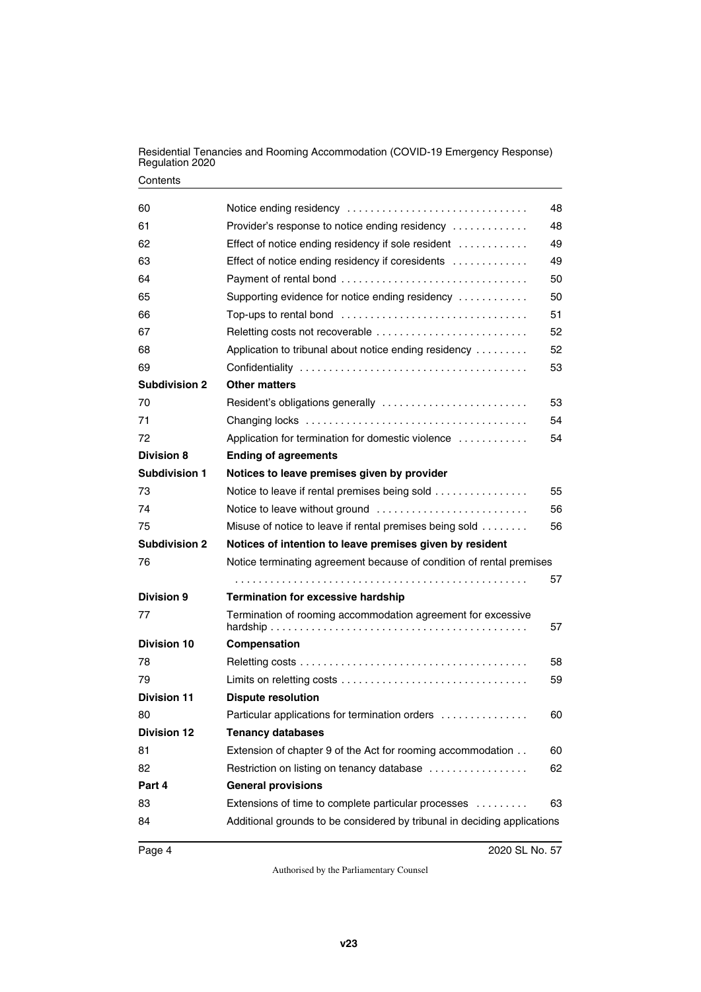Residential Tenancies and Rooming Accommodation (COVID-19 Emergency Response) Regulation 2020

| 60                   | Notice ending residency                                                  | 48 |
|----------------------|--------------------------------------------------------------------------|----|
| 61                   | Provider's response to notice ending residency                           | 48 |
| 62                   | Effect of notice ending residency if sole resident                       | 49 |
| 63                   | Effect of notice ending residency if coresidents                         | 49 |
| 64                   |                                                                          | 50 |
| 65                   | Supporting evidence for notice ending residency                          | 50 |
| 66                   |                                                                          | 51 |
| 67                   |                                                                          | 52 |
| 68                   | Application to tribunal about notice ending residency                    | 52 |
| 69                   |                                                                          | 53 |
| <b>Subdivision 2</b> | <b>Other matters</b>                                                     |    |
| 70                   |                                                                          | 53 |
| 71                   |                                                                          | 54 |
| 72                   | Application for termination for domestic violence                        | 54 |
| <b>Division 8</b>    | <b>Ending of agreements</b>                                              |    |
| <b>Subdivision 1</b> | Notices to leave premises given by provider                              |    |
| 73                   | Notice to leave if rental premises being sold                            | 55 |
| 74                   |                                                                          | 56 |
| 75                   | Misuse of notice to leave if rental premises being sold                  | 56 |
| <b>Subdivision 2</b> | Notices of intention to leave premises given by resident                 |    |
| 76                   | Notice terminating agreement because of condition of rental premises     |    |
|                      |                                                                          | 57 |
| Division 9           | <b>Termination for excessive hardship</b>                                |    |
| 77                   | Termination of rooming accommodation agreement for excessive             | 57 |
| <b>Division 10</b>   | Compensation                                                             |    |
| 78                   |                                                                          | 58 |
| 79                   |                                                                          | 59 |
| <b>Division 11</b>   | <b>Dispute resolution</b>                                                |    |
| 80                   | Particular applications for termination orders                           | 60 |
| <b>Division 12</b>   | <b>Tenancy databases</b>                                                 |    |
| 81                   | Extension of chapter 9 of the Act for rooming accommodation              | 60 |
| 82                   | Restriction on listing on tenancy database                               | 62 |
| Part 4               | <b>General provisions</b>                                                |    |
| 83                   | Extensions of time to complete particular processes                      | 63 |
| 84                   | Additional grounds to be considered by tribunal in deciding applications |    |
|                      |                                                                          |    |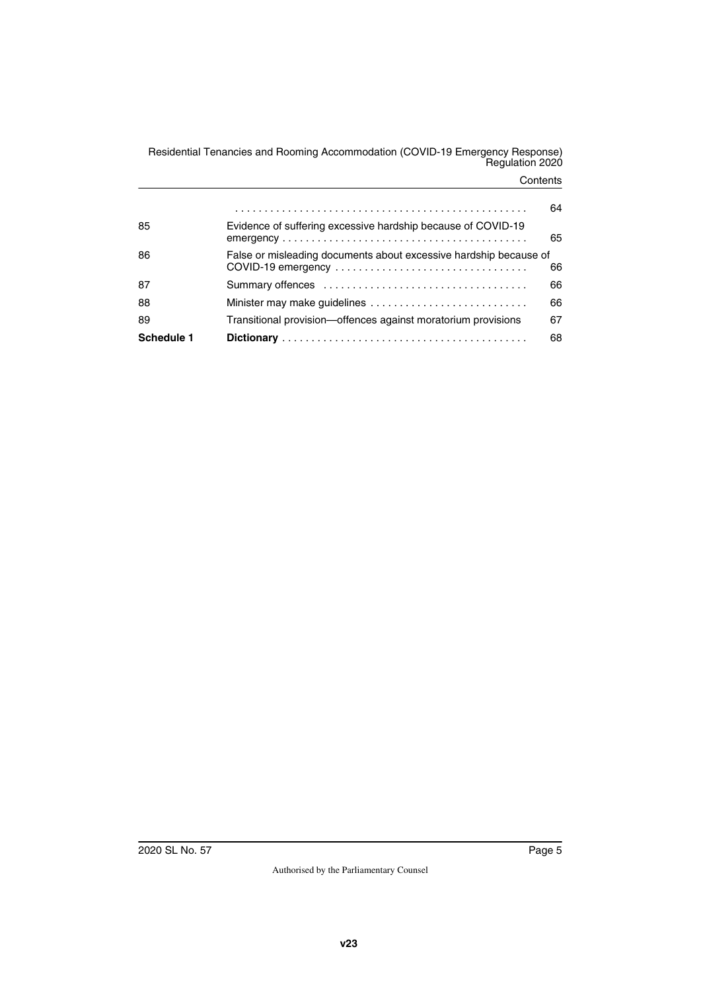Residential Tenancies and Rooming Accommodation (COVID-19 Emergency Response) Regulation 2020

|            |                                                                                                                                                                 | 64 |
|------------|-----------------------------------------------------------------------------------------------------------------------------------------------------------------|----|
| 85         | Evidence of suffering excessive hardship because of COVID-19<br>$emergency \ldots \ldots \ldots \ldots \ldots \ldots \ldots \ldots \ldots \ldots \ldots \ldots$ | 65 |
| 86         | False or misleading documents about excessive hardship because of                                                                                               | 66 |
| 87         |                                                                                                                                                                 | 66 |
| 88         | Minister may make guidelines                                                                                                                                    | 66 |
| 89         | Transitional provision-offences against moratorium provisions                                                                                                   | 67 |
| Schedule 1 |                                                                                                                                                                 | 68 |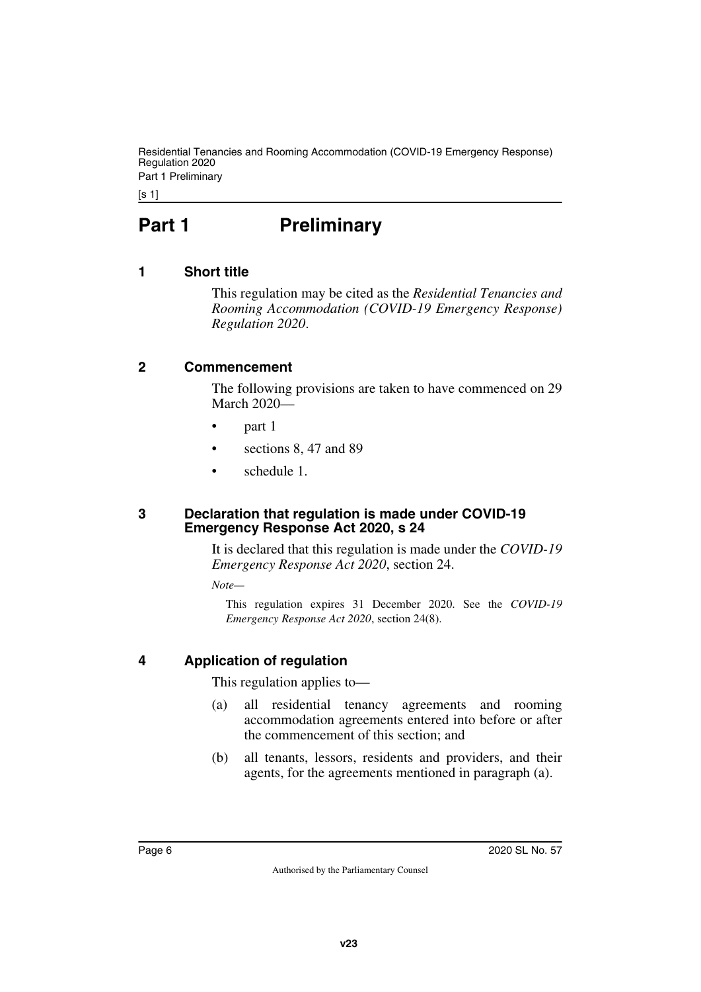Residential Tenancies and Rooming Accommodation (COVID-19 Emergency Response) Regulation 2020 Part 1 Preliminary

[s 1]

# <span id="page-5-0"></span>**Part 1** Preliminary

# <span id="page-5-2"></span>**1 Short title**

<span id="page-5-3"></span><span id="page-5-1"></span>This regulation may be cited as the *Residential Tenancies and Rooming Accommodation (COVID-19 Emergency Response) Regulation 2020*.

#### <span id="page-5-4"></span>**2 Commencement**

<span id="page-5-5"></span>The following provisions are taken to have commenced on 29 March 2020—

- part 1
- sections 8, 47 and 89
- <span id="page-5-7"></span>• schedule 1.

#### <span id="page-5-6"></span>**3 Declaration that regulation is made under COVID-19 Emergency Response Act 2020, s 24**

It is declared that this regulation is made under the *COVID-19 Emergency Response Act 2020*, section 24.

*Note—*

This regulation expires 31 December 2020. See the *COVID-19 Emergency Response Act 2020*, section 24(8).

# <span id="page-5-8"></span>**4 Application of regulation**

<span id="page-5-9"></span>This regulation applies to—

- (a) all residential tenancy agreements and rooming accommodation agreements entered into before or after the commencement of this section; and
- (b) all tenants, lessors, residents and providers, and their agents, for the agreements mentioned in paragraph (a).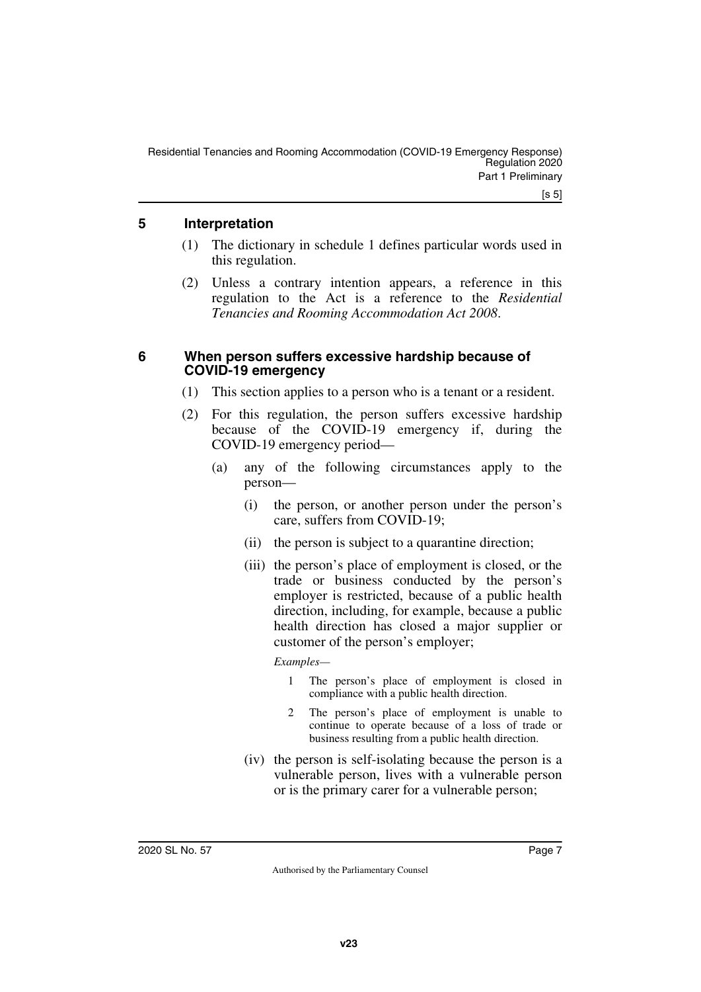### <span id="page-6-0"></span>**5 Interpretation**

- <span id="page-6-1"></span>(1) The dictionary in schedule 1 defines particular words used in this regulation.
- (2) Unless a contrary intention appears, a reference in this regulation to the Act is a reference to the *Residential Tenancies and Rooming Accommodation Act 2008*.

### <span id="page-6-2"></span>**6 When person suffers excessive hardship because of COVID-19 emergency**

- <span id="page-6-3"></span>(1) This section applies to a person who is a tenant or a resident.
- (2) For this regulation, the person suffers excessive hardship because of the COVID-19 emergency if, during the COVID-19 emergency period—
	- (a) any of the following circumstances apply to the person—
		- (i) the person, or another person under the person's care, suffers from COVID-19;
		- (ii) the person is subject to a quarantine direction;
		- (iii) the person's place of employment is closed, or the trade or business conducted by the person's employer is restricted, because of a public health direction, including, for example, because a public health direction has closed a major supplier or customer of the person's employer;

#### *Examples—*

- 1 The person's place of employment is closed in compliance with a public health direction.
- 2 The person's place of employment is unable to continue to operate because of a loss of trade or business resulting from a public health direction.
- (iv) the person is self-isolating because the person is a vulnerable person, lives with a vulnerable person or is the primary carer for a vulnerable person;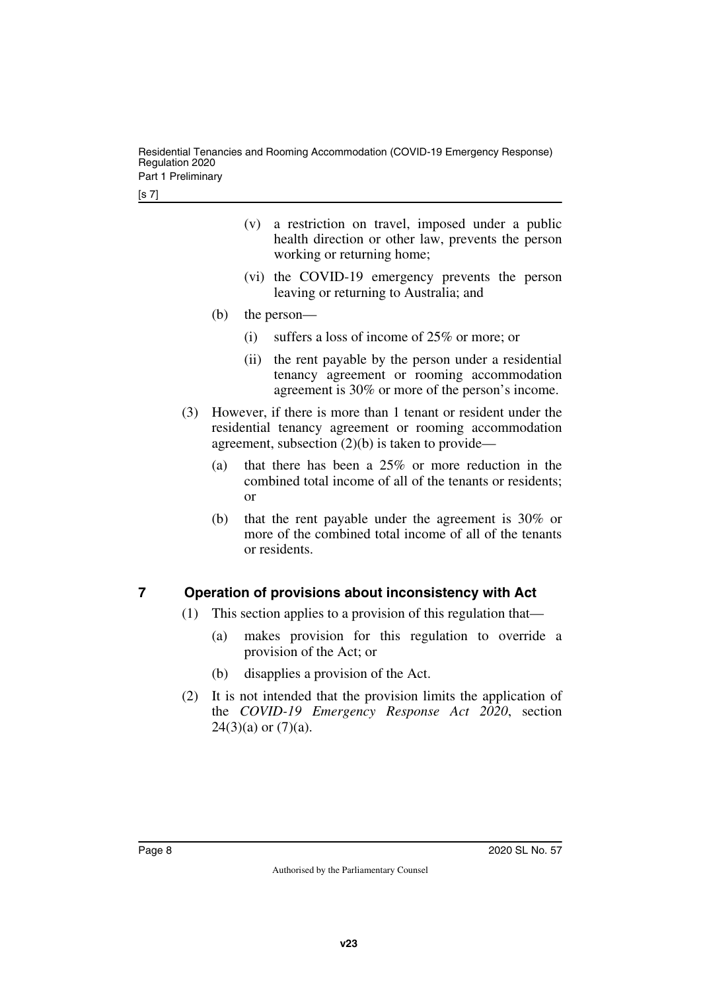Residential Tenancies and Rooming Accommodation (COVID-19 Emergency Response) Regulation 2020 Part 1 Preliminary

- (v) a restriction on travel, imposed under a public health direction or other law, prevents the person working or returning home;
- (vi) the COVID-19 emergency prevents the person leaving or returning to Australia; and
- (b) the person—
	- (i) suffers a loss of income of 25% or more; or
	- (ii) the rent payable by the person under a residential tenancy agreement or rooming accommodation agreement is 30% or more of the person's income.
- (3) However, if there is more than 1 tenant or resident under the residential tenancy agreement or rooming accommodation agreement, subsection  $(2)(b)$  is taken to provide—
	- (a) that there has been a 25% or more reduction in the combined total income of all of the tenants or residents; or
	- (b) that the rent payable under the agreement is 30% or more of the combined total income of all of the tenants or residents.

# <span id="page-7-0"></span>**7 Operation of provisions about inconsistency with Act**

- <span id="page-7-1"></span>(1) This section applies to a provision of this regulation that—
	- (a) makes provision for this regulation to override a provision of the Act; or
	- (b) disapplies a provision of the Act.
- (2) It is not intended that the provision limits the application of the *COVID-19 Emergency Response Act 2020*, section  $24(3)(a)$  or  $(7)(a)$ .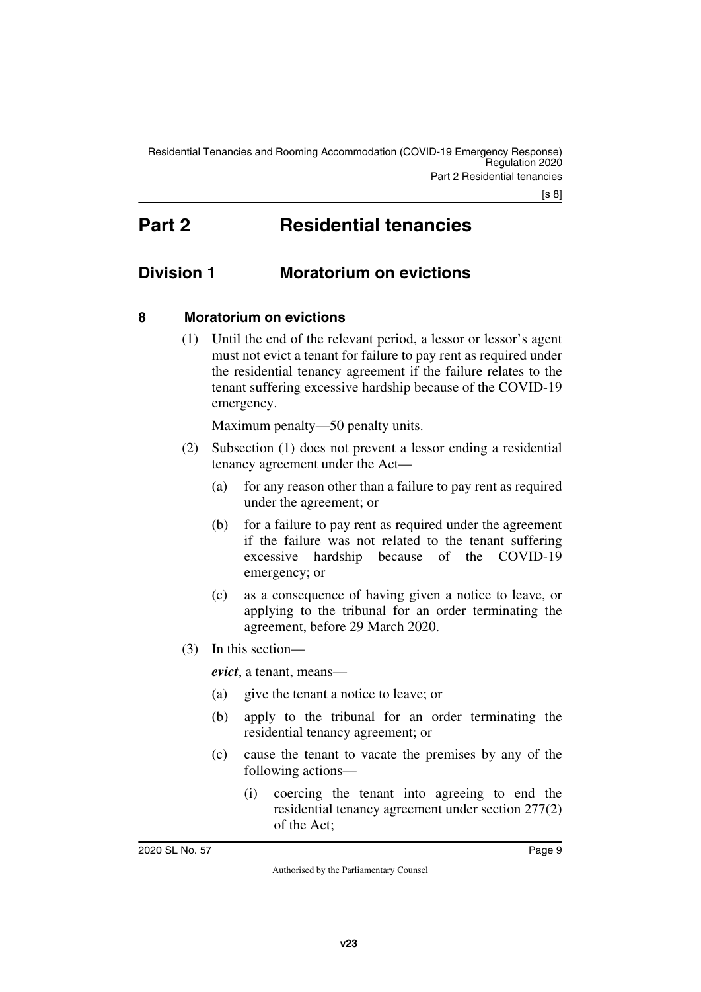[s 8]

# <span id="page-8-1"></span><span id="page-8-0"></span>**Part 2 Residential tenancies**

# <span id="page-8-2"></span>**Division 1 Moratorium on evictions**

# <span id="page-8-4"></span>**8 Moratorium on evictions**

<span id="page-8-5"></span><span id="page-8-3"></span>(1) Until the end of the relevant period, a lessor or lessor's agent must not evict a tenant for failure to pay rent as required under the residential tenancy agreement if the failure relates to the tenant suffering excessive hardship because of the COVID-19 emergency.

Maximum penalty—50 penalty units.

- (2) Subsection (1) does not prevent a lessor ending a residential tenancy agreement under the Act—
	- (a) for any reason other than a failure to pay rent as required under the agreement; or
	- (b) for a failure to pay rent as required under the agreement if the failure was not related to the tenant suffering excessive hardship because of the COVID-19 emergency; or
	- (c) as a consequence of having given a notice to leave, or applying to the tribunal for an order terminating the agreement, before 29 March 2020.
- (3) In this section—

*evict*, a tenant, means—

- (a) give the tenant a notice to leave; or
- (b) apply to the tribunal for an order terminating the residential tenancy agreement; or
- (c) cause the tenant to vacate the premises by any of the following actions—
	- (i) coercing the tenant into agreeing to end the residential tenancy agreement under section 277(2) of the Act;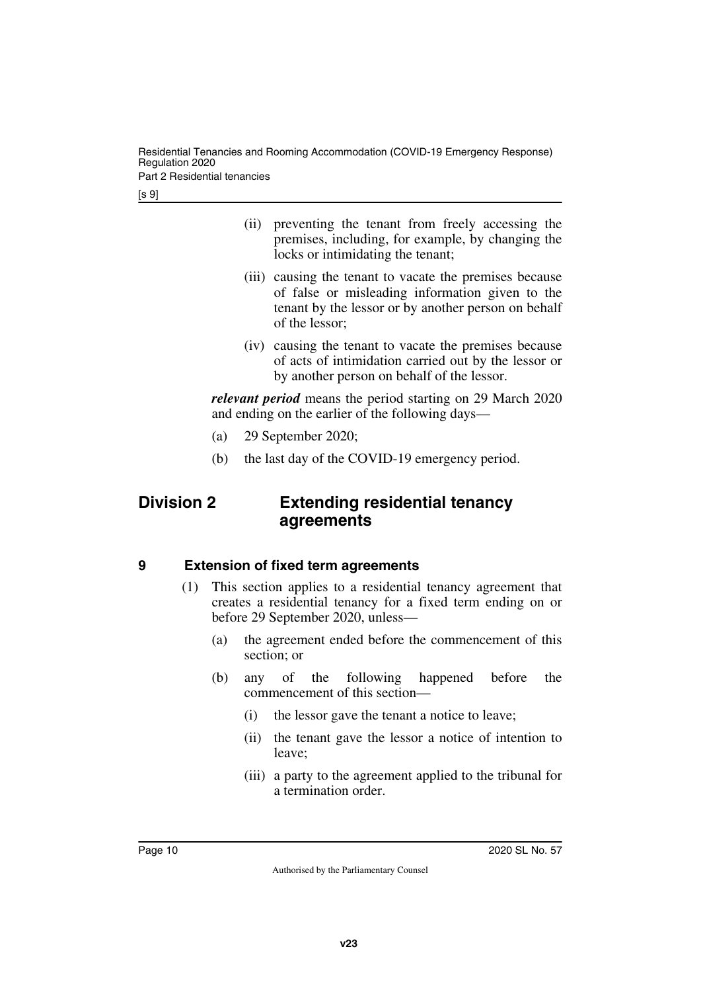Residential Tenancies and Rooming Accommodation (COVID-19 Emergency Response) Regulation 2020 Part 2 Residential tenancies

[s 9]

- (ii) preventing the tenant from freely accessing the premises, including, for example, by changing the locks or intimidating the tenant;
- (iii) causing the tenant to vacate the premises because of false or misleading information given to the tenant by the lessor or by another person on behalf of the lessor;
- (iv) causing the tenant to vacate the premises because of acts of intimidation carried out by the lessor or by another person on behalf of the lessor.

*relevant period* means the period starting on 29 March 2020 and ending on the earlier of the following days—

- (a) 29 September 2020;
- <span id="page-9-1"></span>(b) the last day of the COVID-19 emergency period.

# <span id="page-9-0"></span>**Division 2 Extending residential tenancy agreements**

# <span id="page-9-2"></span>**9 Extension of fixed term agreements**

- <span id="page-9-3"></span>(1) This section applies to a residential tenancy agreement that creates a residential tenancy for a fixed term ending on or before 29 September 2020, unless—
	- (a) the agreement ended before the commencement of this section; or
	- (b) any of the following happened before the commencement of this section—
		- (i) the lessor gave the tenant a notice to leave;
		- (ii) the tenant gave the lessor a notice of intention to leave;
		- (iii) a party to the agreement applied to the tribunal for a termination order.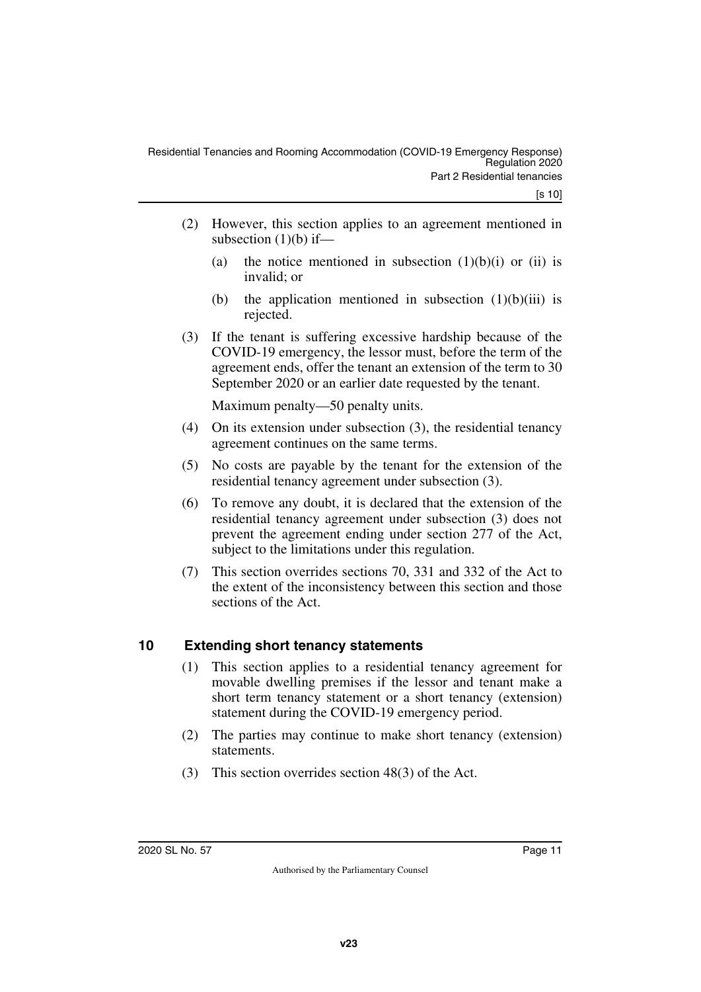- (2) However, this section applies to an agreement mentioned in subsection  $(1)(b)$  if—
	- (a) the notice mentioned in subsection  $(1)(b)(i)$  or  $(ii)$  is invalid; or
	- (b) the application mentioned in subsection  $(1)(b)(iii)$  is rejected.
- (3) If the tenant is suffering excessive hardship because of the COVID-19 emergency, the lessor must, before the term of the agreement ends, offer the tenant an extension of the term to 30 September 2020 or an earlier date requested by the tenant.

Maximum penalty—50 penalty units.

- (4) On its extension under subsection (3), the residential tenancy agreement continues on the same terms.
- (5) No costs are payable by the tenant for the extension of the residential tenancy agreement under subsection (3).
- (6) To remove any doubt, it is declared that the extension of the residential tenancy agreement under subsection (3) does not prevent the agreement ending under section 277 of the Act, subject to the limitations under this regulation.
- (7) This section overrides sections 70, 331 and 332 of the Act to the extent of the inconsistency between this section and those sections of the Act.

# <span id="page-10-0"></span>**10 Extending short tenancy statements**

- <span id="page-10-1"></span>(1) This section applies to a residential tenancy agreement for movable dwelling premises if the lessor and tenant make a short term tenancy statement or a short tenancy (extension) statement during the COVID-19 emergency period.
- (2) The parties may continue to make short tenancy (extension) statements.
- (3) This section overrides section 48(3) of the Act.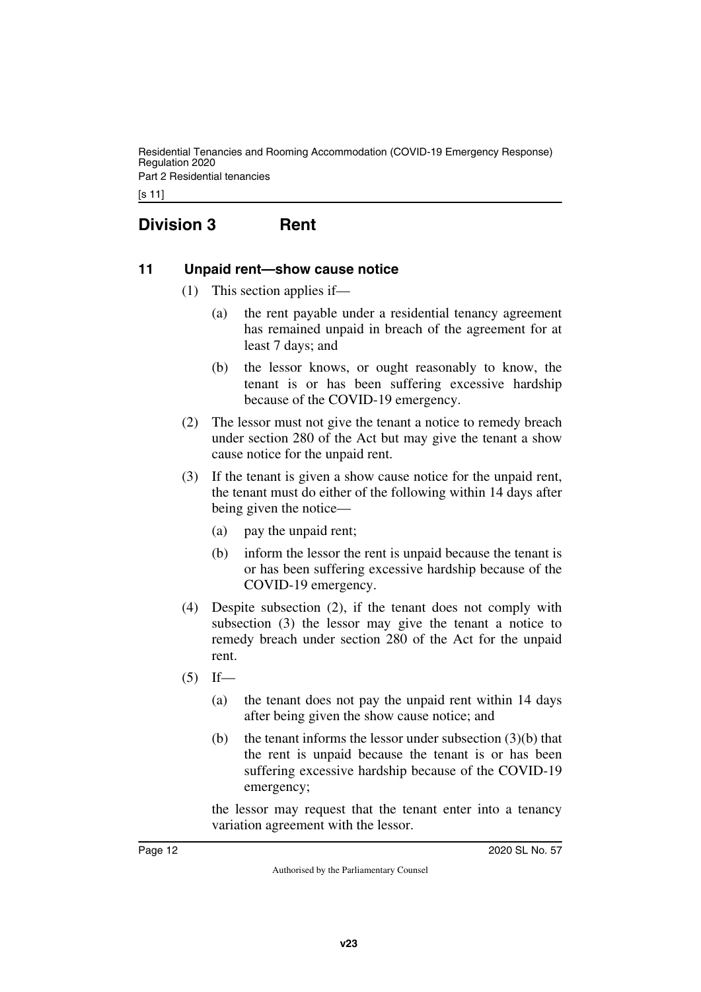Residential Tenancies and Rooming Accommodation (COVID-19 Emergency Response) Regulation 2020 Part 2 Residential tenancies

[s 11]

# <span id="page-11-0"></span>**Division 3 Rent**

#### <span id="page-11-2"></span>**11 Unpaid rent—show cause notice**

- <span id="page-11-3"></span><span id="page-11-1"></span>(1) This section applies if—
	- (a) the rent payable under a residential tenancy agreement has remained unpaid in breach of the agreement for at least 7 days; and
	- (b) the lessor knows, or ought reasonably to know, the tenant is or has been suffering excessive hardship because of the COVID-19 emergency.
- (2) The lessor must not give the tenant a notice to remedy breach under section 280 of the Act but may give the tenant a show cause notice for the unpaid rent.
- (3) If the tenant is given a show cause notice for the unpaid rent, the tenant must do either of the following within 14 days after being given the notice—
	- (a) pay the unpaid rent;
	- (b) inform the lessor the rent is unpaid because the tenant is or has been suffering excessive hardship because of the COVID-19 emergency.
- (4) Despite subsection (2), if the tenant does not comply with subsection (3) the lessor may give the tenant a notice to remedy breach under section 280 of the Act for the unpaid rent.
- $(5)$  If—
	- (a) the tenant does not pay the unpaid rent within 14 days after being given the show cause notice; and
	- (b) the tenant informs the lessor under subsection  $(3)(b)$  that the rent is unpaid because the tenant is or has been suffering excessive hardship because of the COVID-19 emergency;

the lessor may request that the tenant enter into a tenancy variation agreement with the lessor.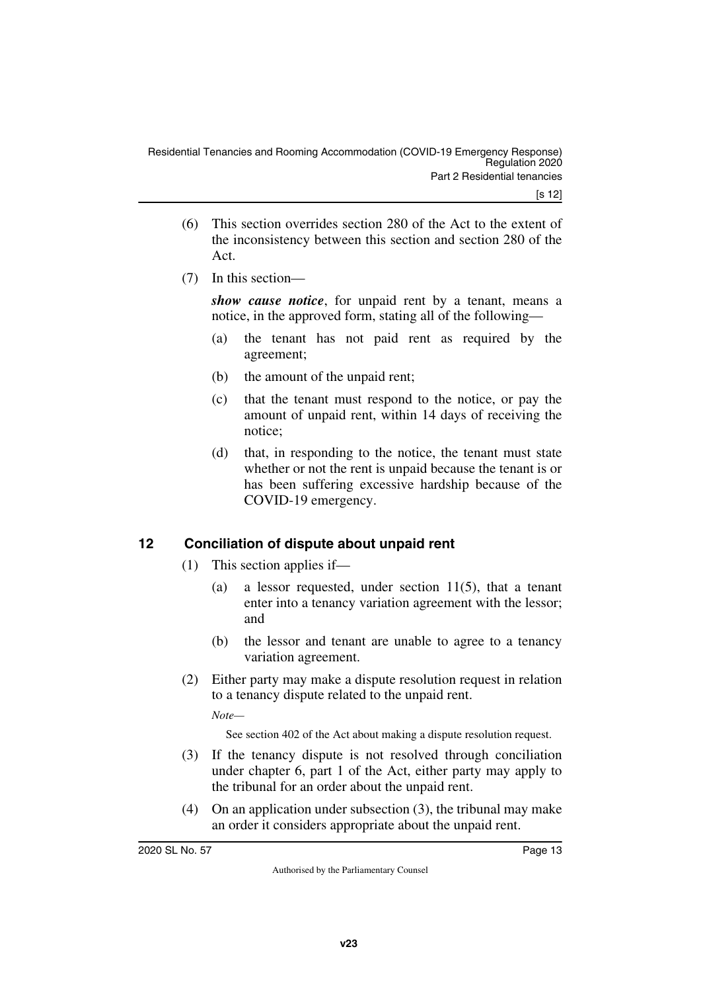- (6) This section overrides section 280 of the Act to the extent of the inconsistency between this section and section 280 of the Act.
- (7) In this section—

*show cause notice*, for unpaid rent by a tenant, means a notice, in the approved form, stating all of the following—

- (a) the tenant has not paid rent as required by the agreement;
- (b) the amount of the unpaid rent;
- (c) that the tenant must respond to the notice, or pay the amount of unpaid rent, within 14 days of receiving the notice;
- (d) that, in responding to the notice, the tenant must state whether or not the rent is unpaid because the tenant is or has been suffering excessive hardship because of the COVID-19 emergency.

# <span id="page-12-0"></span>**12 Conciliation of dispute about unpaid rent**

- <span id="page-12-1"></span>(1) This section applies if—
	- (a) a lessor requested, under section 11(5), that a tenant enter into a tenancy variation agreement with the lessor; and
	- (b) the lessor and tenant are unable to agree to a tenancy variation agreement.
- (2) Either party may make a dispute resolution request in relation to a tenancy dispute related to the unpaid rent.

*Note—*

See section 402 of the Act about making a dispute resolution request.

- (3) If the tenancy dispute is not resolved through conciliation under chapter 6, part 1 of the Act, either party may apply to the tribunal for an order about the unpaid rent.
- (4) On an application under subsection (3), the tribunal may make an order it considers appropriate about the unpaid rent.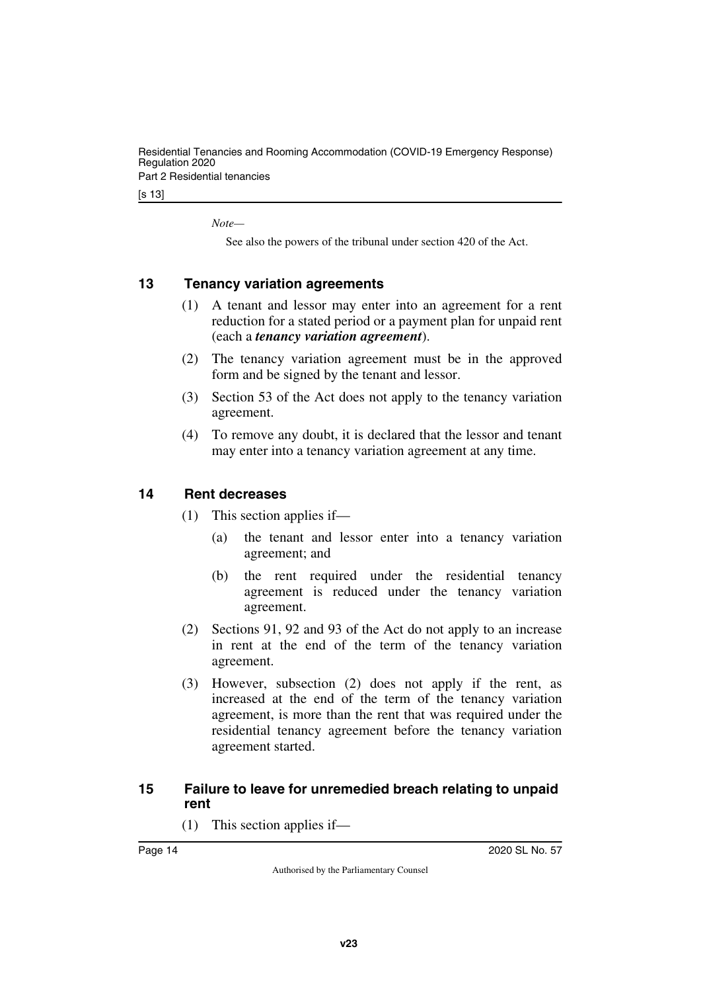Residential Tenancies and Rooming Accommodation (COVID-19 Emergency Response) Regulation 2020

Part 2 Residential tenancies

[s 13]

*Note—*

See also the powers of the tribunal under section 420 of the Act.

### <span id="page-13-0"></span>**13 Tenancy variation agreements**

- <span id="page-13-1"></span>(1) A tenant and lessor may enter into an agreement for a rent reduction for a stated period or a payment plan for unpaid rent (each a *tenancy variation agreement*).
- (2) The tenancy variation agreement must be in the approved form and be signed by the tenant and lessor.
- (3) Section 53 of the Act does not apply to the tenancy variation agreement.
- (4) To remove any doubt, it is declared that the lessor and tenant may enter into a tenancy variation agreement at any time.

#### <span id="page-13-2"></span>**14 Rent decreases**

- <span id="page-13-3"></span>(1) This section applies if—
	- (a) the tenant and lessor enter into a tenancy variation agreement; and
	- (b) the rent required under the residential tenancy agreement is reduced under the tenancy variation agreement.
- (2) Sections 91, 92 and 93 of the Act do not apply to an increase in rent at the end of the term of the tenancy variation agreement.
- (3) However, subsection (2) does not apply if the rent, as increased at the end of the term of the tenancy variation agreement, is more than the rent that was required under the residential tenancy agreement before the tenancy variation agreement started.

### <span id="page-13-5"></span><span id="page-13-4"></span>**15 Failure to leave for unremedied breach relating to unpaid rent**

(1) This section applies if—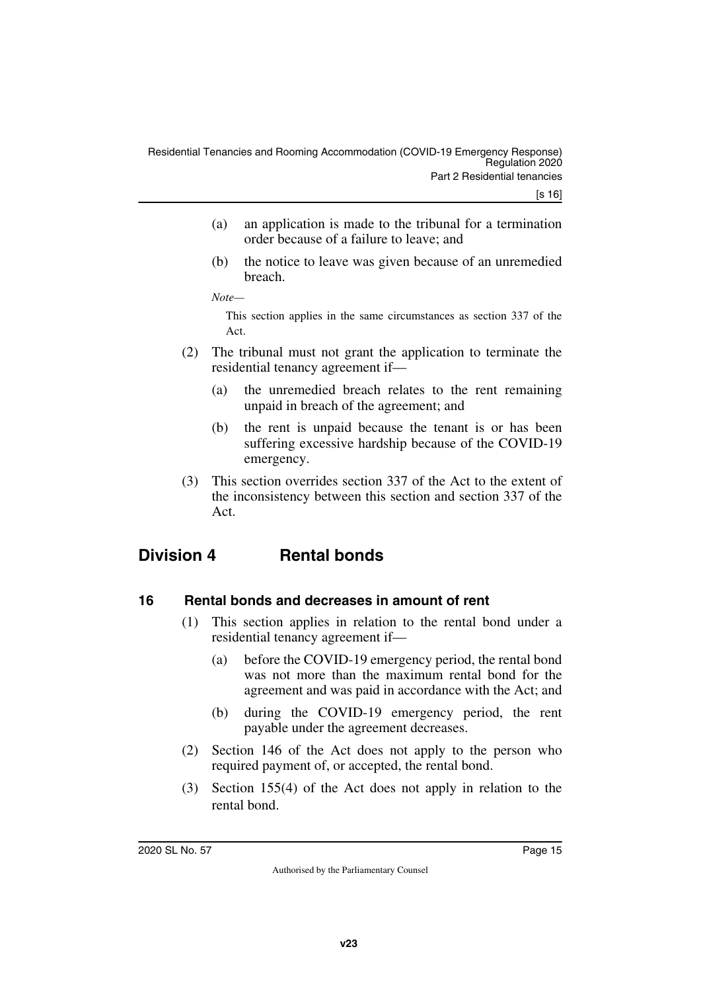- (a) an application is made to the tribunal for a termination order because of a failure to leave; and
- (b) the notice to leave was given because of an unremedied breach.

*Note—*

This section applies in the same circumstances as section 337 of the Act.

- (2) The tribunal must not grant the application to terminate the residential tenancy agreement if—
	- (a) the unremedied breach relates to the rent remaining unpaid in breach of the agreement; and
	- (b) the rent is unpaid because the tenant is or has been suffering excessive hardship because of the COVID-19 emergency.
- <span id="page-14-1"></span>(3) This section overrides section 337 of the Act to the extent of the inconsistency between this section and section 337 of the Act.

# <span id="page-14-0"></span>**Division 4 Rental bonds**

# <span id="page-14-2"></span>**16 Rental bonds and decreases in amount of rent**

- <span id="page-14-3"></span>(1) This section applies in relation to the rental bond under a residential tenancy agreement if—
	- (a) before the COVID-19 emergency period, the rental bond was not more than the maximum rental bond for the agreement and was paid in accordance with the Act; and
	- (b) during the COVID-19 emergency period, the rent payable under the agreement decreases.
- (2) Section 146 of the Act does not apply to the person who required payment of, or accepted, the rental bond.
- (3) Section 155(4) of the Act does not apply in relation to the rental bond.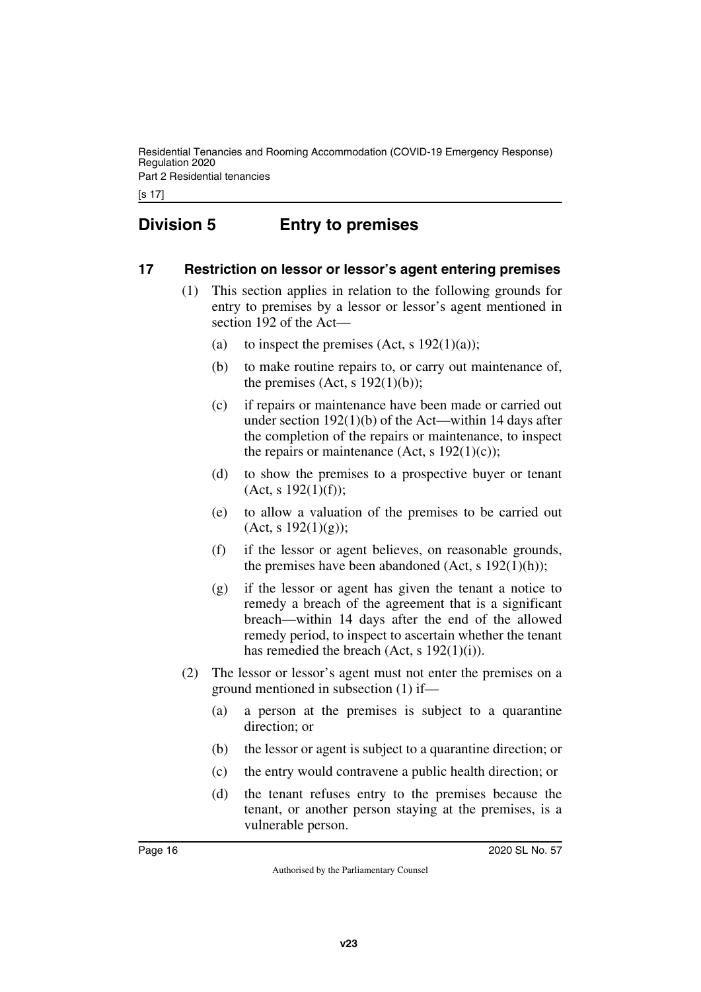Residential Tenancies and Rooming Accommodation (COVID-19 Emergency Response) Regulation 2020 Part 2 Residential tenancies

[s 17]

# <span id="page-15-0"></span>**Division 5 Entry to premises**

### <span id="page-15-2"></span>**17 Restriction on lessor or lessor's agent entering premises**

- <span id="page-15-3"></span><span id="page-15-1"></span>(1) This section applies in relation to the following grounds for entry to premises by a lessor or lessor's agent mentioned in section 192 of the Act—
	- (a) to inspect the premises  $(Act, s \ 192(1)(a))$ ;
	- (b) to make routine repairs to, or carry out maintenance of, the premises (Act, s  $192(1)(b)$ );
	- (c) if repairs or maintenance have been made or carried out under section 192(1)(b) of the Act—within 14 days after the completion of the repairs or maintenance, to inspect the repairs or maintenance (Act, s  $192(1)(c)$ );
	- (d) to show the premises to a prospective buyer or tenant  $(Act, s 192(1)(f));$
	- (e) to allow a valuation of the premises to be carried out  $(Act, s 192(1)(g));$
	- (f) if the lessor or agent believes, on reasonable grounds, the premises have been abandoned (Act, s  $192(1)(h)$ );
	- (g) if the lessor or agent has given the tenant a notice to remedy a breach of the agreement that is a significant breach—within 14 days after the end of the allowed remedy period, to inspect to ascertain whether the tenant has remedied the breach (Act, s 192(1)(i)).
- (2) The lessor or lessor's agent must not enter the premises on a ground mentioned in subsection (1) if—
	- (a) a person at the premises is subject to a quarantine direction; or
	- (b) the lessor or agent is subject to a quarantine direction; or
	- (c) the entry would contravene a public health direction; or
	- (d) the tenant refuses entry to the premises because the tenant, or another person staying at the premises, is a vulnerable person.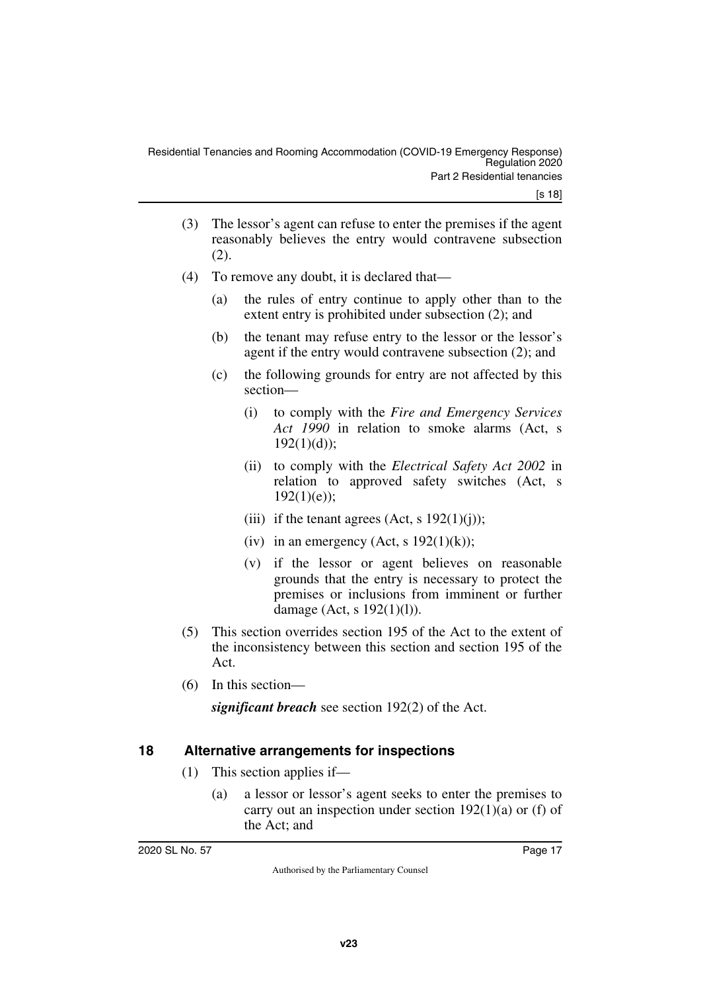- (3) The lessor's agent can refuse to enter the premises if the agent reasonably believes the entry would contravene subsection (2).
- (4) To remove any doubt, it is declared that—
	- (a) the rules of entry continue to apply other than to the extent entry is prohibited under subsection (2); and
	- (b) the tenant may refuse entry to the lessor or the lessor's agent if the entry would contravene subsection (2); and
	- (c) the following grounds for entry are not affected by this section—
		- (i) to comply with the *Fire and Emergency Services Act 1990* in relation to smoke alarms (Act, s  $192(1)(d)$ :
		- (ii) to comply with the *Electrical Safety Act 2002* in relation to approved safety switches (Act, s  $192(1)(e)$ :
		- (iii) if the tenant agrees (Act, s  $192(1)(i)$ );
		- (iv) in an emergency (Act, s  $192(1)(k)$ );
		- (v) if the lessor or agent believes on reasonable grounds that the entry is necessary to protect the premises or inclusions from imminent or further damage (Act, s 192(1)(l)).
- (5) This section overrides section 195 of the Act to the extent of the inconsistency between this section and section 195 of the Act.
- (6) In this section—

*significant breach* see section 192(2) of the Act.

# <span id="page-16-0"></span>**18 Alternative arrangements for inspections**

- <span id="page-16-1"></span>(1) This section applies if—
	- (a) a lessor or lessor's agent seeks to enter the premises to carry out an inspection under section  $192(1)(a)$  or (f) of the Act; and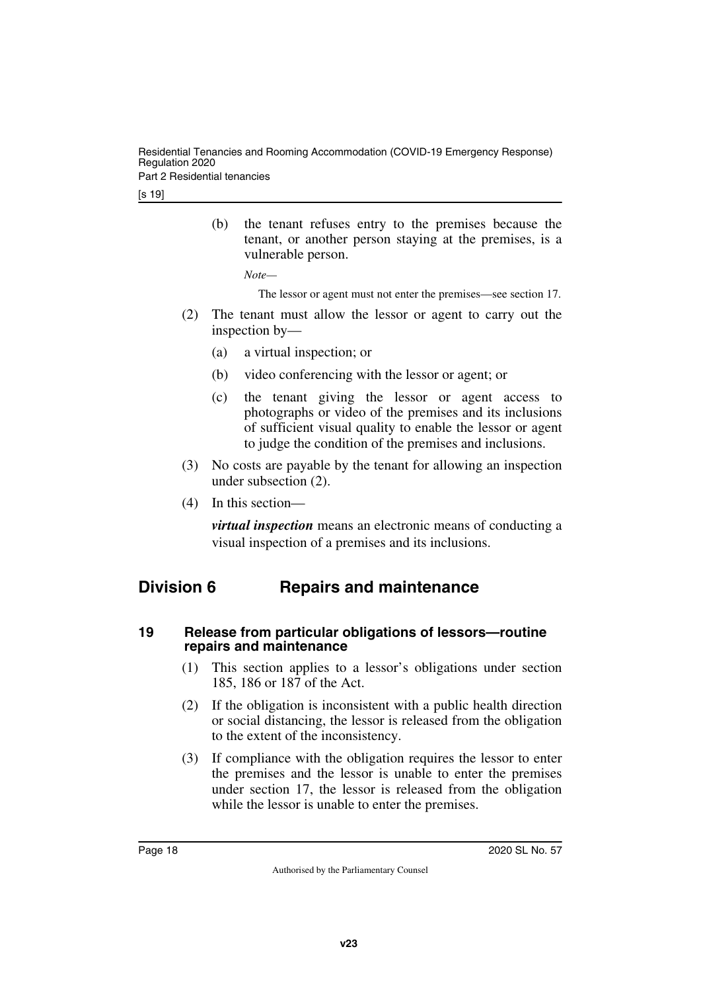Residential Tenancies and Rooming Accommodation (COVID-19 Emergency Response) Regulation 2020 Part 2 Residential tenancies

[s 19]

(b) the tenant refuses entry to the premises because the tenant, or another person staying at the premises, is a vulnerable person.

*Note—*

The lessor or agent must not enter the premises—see section 17.

- (2) The tenant must allow the lessor or agent to carry out the inspection by—
	- (a) a virtual inspection; or
	- (b) video conferencing with the lessor or agent; or
	- (c) the tenant giving the lessor or agent access to photographs or video of the premises and its inclusions of sufficient visual quality to enable the lessor or agent to judge the condition of the premises and inclusions.
- (3) No costs are payable by the tenant for allowing an inspection under subsection (2).
- (4) In this section—

<span id="page-17-1"></span>*virtual inspection* means an electronic means of conducting a visual inspection of a premises and its inclusions.

# <span id="page-17-0"></span>**Division 6 Repairs and maintenance**

#### <span id="page-17-3"></span><span id="page-17-2"></span>**19 Release from particular obligations of lessors—routine repairs and maintenance**

- (1) This section applies to a lessor's obligations under section 185, 186 or 187 of the Act.
- (2) If the obligation is inconsistent with a public health direction or social distancing, the lessor is released from the obligation to the extent of the inconsistency.
- (3) If compliance with the obligation requires the lessor to enter the premises and the lessor is unable to enter the premises under section 17, the lessor is released from the obligation while the lessor is unable to enter the premises.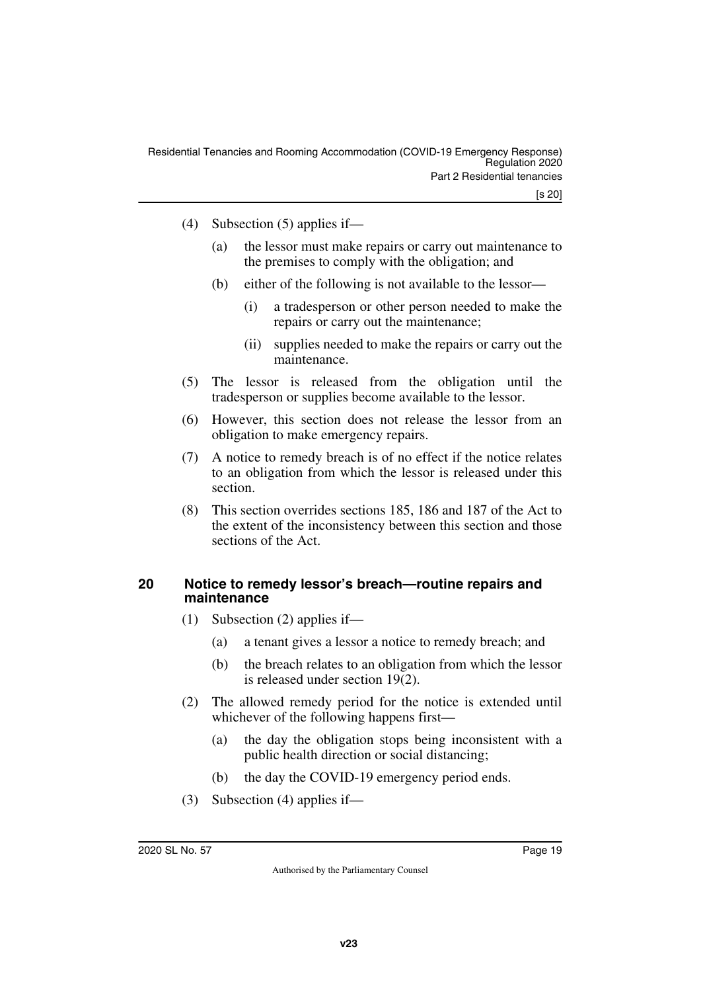- (4) Subsection (5) applies if—
	- (a) the lessor must make repairs or carry out maintenance to the premises to comply with the obligation; and
	- (b) either of the following is not available to the lessor—
		- (i) a tradesperson or other person needed to make the repairs or carry out the maintenance;
		- (ii) supplies needed to make the repairs or carry out the maintenance.
- (5) The lessor is released from the obligation until the tradesperson or supplies become available to the lessor.
- (6) However, this section does not release the lessor from an obligation to make emergency repairs.
- (7) A notice to remedy breach is of no effect if the notice relates to an obligation from which the lessor is released under this section.
- (8) This section overrides sections 185, 186 and 187 of the Act to the extent of the inconsistency between this section and those sections of the Act.

#### <span id="page-18-0"></span>**20 Notice to remedy lessor's breach—routine repairs and maintenance**

- <span id="page-18-1"></span>(1) Subsection (2) applies if—
	- (a) a tenant gives a lessor a notice to remedy breach; and
	- (b) the breach relates to an obligation from which the lessor is released under section 19(2).
- (2) The allowed remedy period for the notice is extended until whichever of the following happens first—
	- (a) the day the obligation stops being inconsistent with a public health direction or social distancing;
	- (b) the day the COVID-19 emergency period ends.
- (3) Subsection (4) applies if—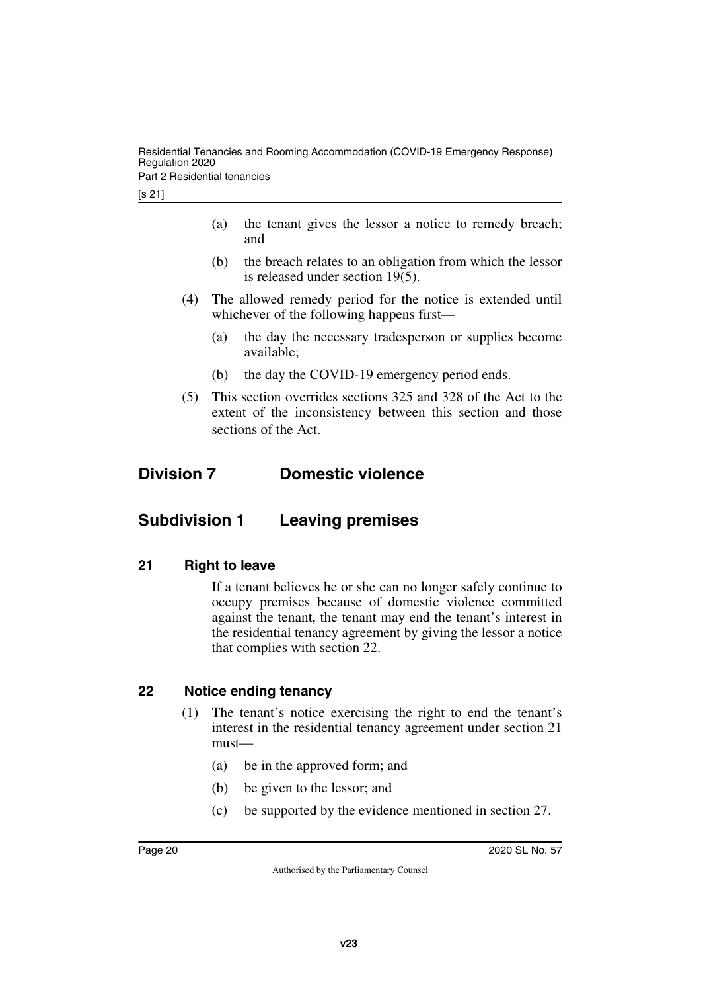Part 2 Residential tenancies

- (a) the tenant gives the lessor a notice to remedy breach; and
- (b) the breach relates to an obligation from which the lessor is released under section 19(5).
- (4) The allowed remedy period for the notice is extended until whichever of the following happens first—
	- (a) the day the necessary tradesperson or supplies become available;
	- (b) the day the COVID-19 emergency period ends.
- <span id="page-19-1"></span>(5) This section overrides sections 325 and 328 of the Act to the extent of the inconsistency between this section and those sections of the Act.

# <span id="page-19-0"></span>**Division 7 Domestic violence**

# <span id="page-19-2"></span>**Subdivision 1 Leaving premises**

# <span id="page-19-4"></span>**21 Right to leave**

<span id="page-19-5"></span><span id="page-19-3"></span>If a tenant believes he or she can no longer safely continue to occupy premises because of domestic violence committed against the tenant, the tenant may end the tenant's interest in the residential tenancy agreement by giving the lessor a notice that complies with section 22.

# <span id="page-19-6"></span>**22 Notice ending tenancy**

- <span id="page-19-7"></span>(1) The tenant's notice exercising the right to end the tenant's interest in the residential tenancy agreement under section 21 must—
	- (a) be in the approved form; and
	- (b) be given to the lessor; and
	- (c) be supported by the evidence mentioned in section 27.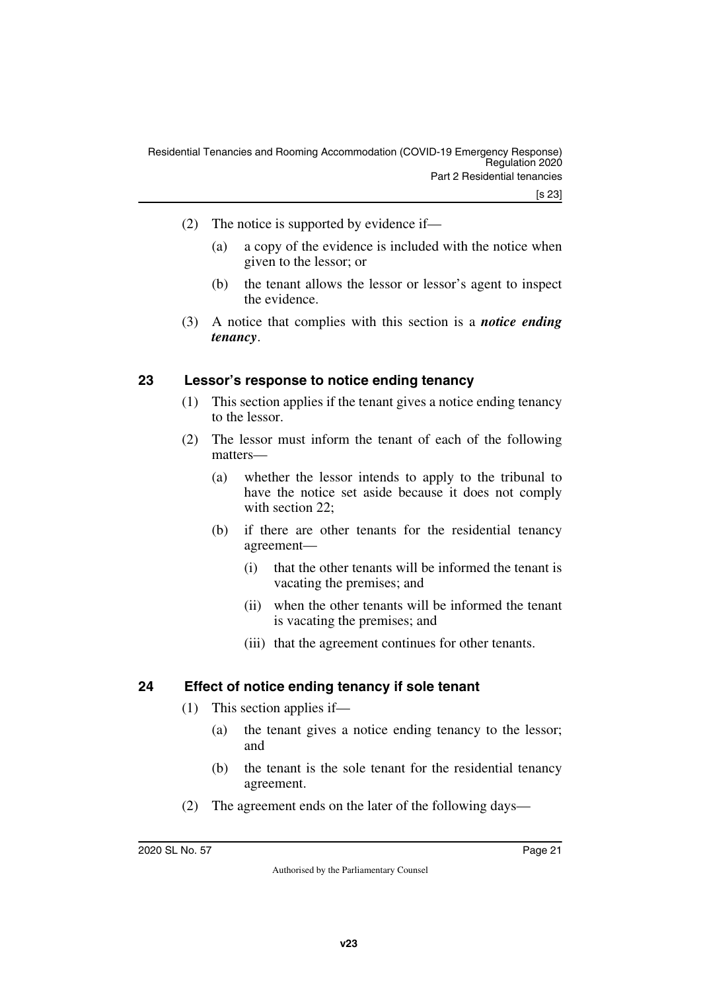- (2) The notice is supported by evidence if—
	- (a) a copy of the evidence is included with the notice when given to the lessor; or
	- (b) the tenant allows the lessor or lessor's agent to inspect the evidence.
- (3) A notice that complies with this section is a *notice ending tenancy*.

#### <span id="page-20-0"></span>**23 Lessor's response to notice ending tenancy**

- <span id="page-20-1"></span>(1) This section applies if the tenant gives a notice ending tenancy to the lessor.
- (2) The lessor must inform the tenant of each of the following matters—
	- (a) whether the lessor intends to apply to the tribunal to have the notice set aside because it does not comply with section 22:
	- (b) if there are other tenants for the residential tenancy agreement—
		- (i) that the other tenants will be informed the tenant is vacating the premises; and
		- (ii) when the other tenants will be informed the tenant is vacating the premises; and
		- (iii) that the agreement continues for other tenants.

#### <span id="page-20-2"></span>**24 Effect of notice ending tenancy if sole tenant**

- <span id="page-20-3"></span>(1) This section applies if—
	- (a) the tenant gives a notice ending tenancy to the lessor; and
	- (b) the tenant is the sole tenant for the residential tenancy agreement.
- (2) The agreement ends on the later of the following days—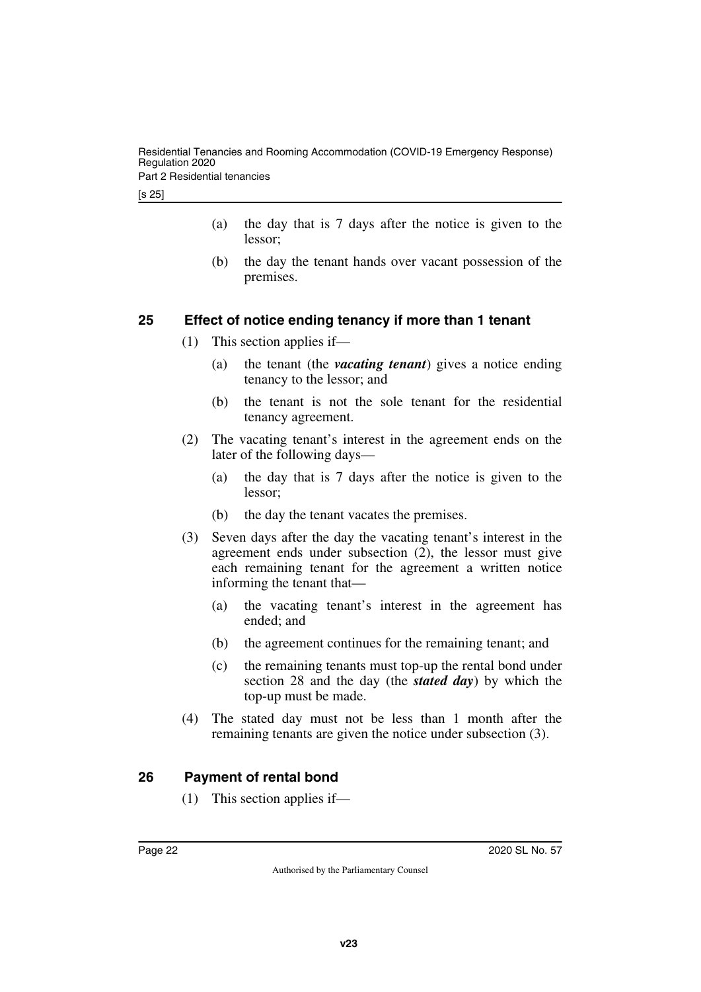[s 25]

- (a) the day that is 7 days after the notice is given to the lessor;
- (b) the day the tenant hands over vacant possession of the premises.

# <span id="page-21-0"></span>**25 Effect of notice ending tenancy if more than 1 tenant**

- <span id="page-21-1"></span>(1) This section applies if—
	- (a) the tenant (the *vacating tenant*) gives a notice ending tenancy to the lessor; and
	- (b) the tenant is not the sole tenant for the residential tenancy agreement.
- (2) The vacating tenant's interest in the agreement ends on the later of the following days—
	- (a) the day that is 7 days after the notice is given to the lessor;
	- (b) the day the tenant vacates the premises.
- (3) Seven days after the day the vacating tenant's interest in the agreement ends under subsection (2), the lessor must give each remaining tenant for the agreement a written notice informing the tenant that—
	- (a) the vacating tenant's interest in the agreement has ended; and
	- (b) the agreement continues for the remaining tenant; and
	- (c) the remaining tenants must top-up the rental bond under section 28 and the day (the *stated day*) by which the top-up must be made.
- (4) The stated day must not be less than 1 month after the remaining tenants are given the notice under subsection (3).

# <span id="page-21-2"></span>**26 Payment of rental bond**

<span id="page-21-3"></span>(1) This section applies if—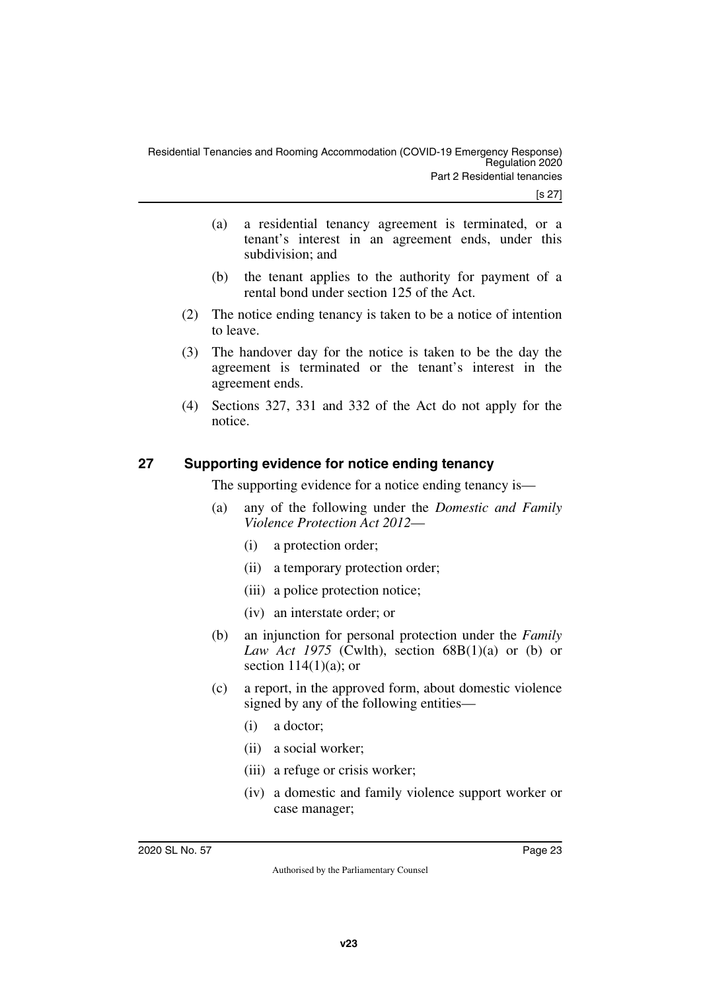- (a) a residential tenancy agreement is terminated, or a tenant's interest in an agreement ends, under this subdivision; and
- (b) the tenant applies to the authority for payment of a rental bond under section 125 of the Act.
- (2) The notice ending tenancy is taken to be a notice of intention to leave.
- (3) The handover day for the notice is taken to be the day the agreement is terminated or the tenant's interest in the agreement ends.
- (4) Sections 327, 331 and 332 of the Act do not apply for the notice.

# <span id="page-22-0"></span>**27 Supporting evidence for notice ending tenancy**

<span id="page-22-1"></span>The supporting evidence for a notice ending tenancy is—

- (a) any of the following under the *Domestic and Family Violence Protection Act 2012*—
	- (i) a protection order;
	- (ii) a temporary protection order;
	- (iii) a police protection notice;
	- (iv) an interstate order; or
- (b) an injunction for personal protection under the *Family Law Act 1975* (Cwlth), section  $68B(1)(a)$  or (b) or section  $114(1)(a)$ ; or
- (c) a report, in the approved form, about domestic violence signed by any of the following entities—
	- (i) a doctor;
	- (ii) a social worker;
	- (iii) a refuge or crisis worker;
	- (iv) a domestic and family violence support worker or case manager;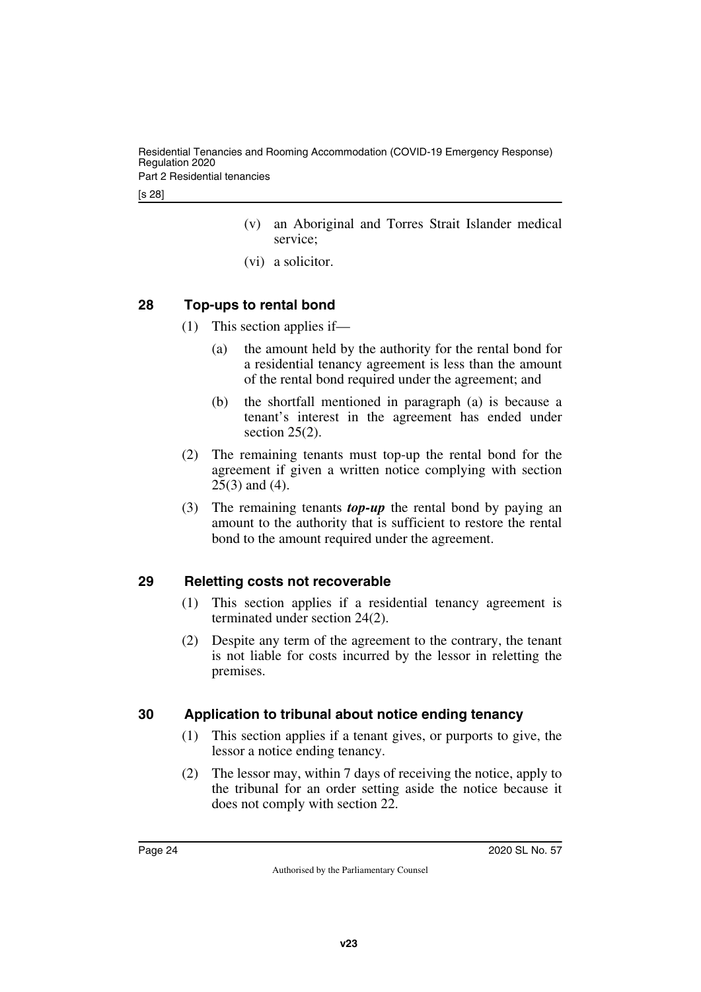Residential Tenancies and Rooming Accommodation (COVID-19 Emergency Response) Regulation 2020 Part 2 Residential tenancies

- (v) an Aboriginal and Torres Strait Islander medical service;
- (vi) a solicitor.

# <span id="page-23-0"></span>**28 Top-ups to rental bond**

- <span id="page-23-1"></span>(1) This section applies if—
	- (a) the amount held by the authority for the rental bond for a residential tenancy agreement is less than the amount of the rental bond required under the agreement; and
	- (b) the shortfall mentioned in paragraph (a) is because a tenant's interest in the agreement has ended under section  $25(2)$ .
- (2) The remaining tenants must top-up the rental bond for the agreement if given a written notice complying with section 25(3) and (4).
- (3) The remaining tenants *top-up* the rental bond by paying an amount to the authority that is sufficient to restore the rental bond to the amount required under the agreement.

# <span id="page-23-2"></span>**29 Reletting costs not recoverable**

- <span id="page-23-3"></span>(1) This section applies if a residential tenancy agreement is terminated under section 24(2).
- (2) Despite any term of the agreement to the contrary, the tenant is not liable for costs incurred by the lessor in reletting the premises.

# <span id="page-23-4"></span>**30 Application to tribunal about notice ending tenancy**

- <span id="page-23-5"></span>(1) This section applies if a tenant gives, or purports to give, the lessor a notice ending tenancy.
- (2) The lessor may, within 7 days of receiving the notice, apply to the tribunal for an order setting aside the notice because it does not comply with section 22.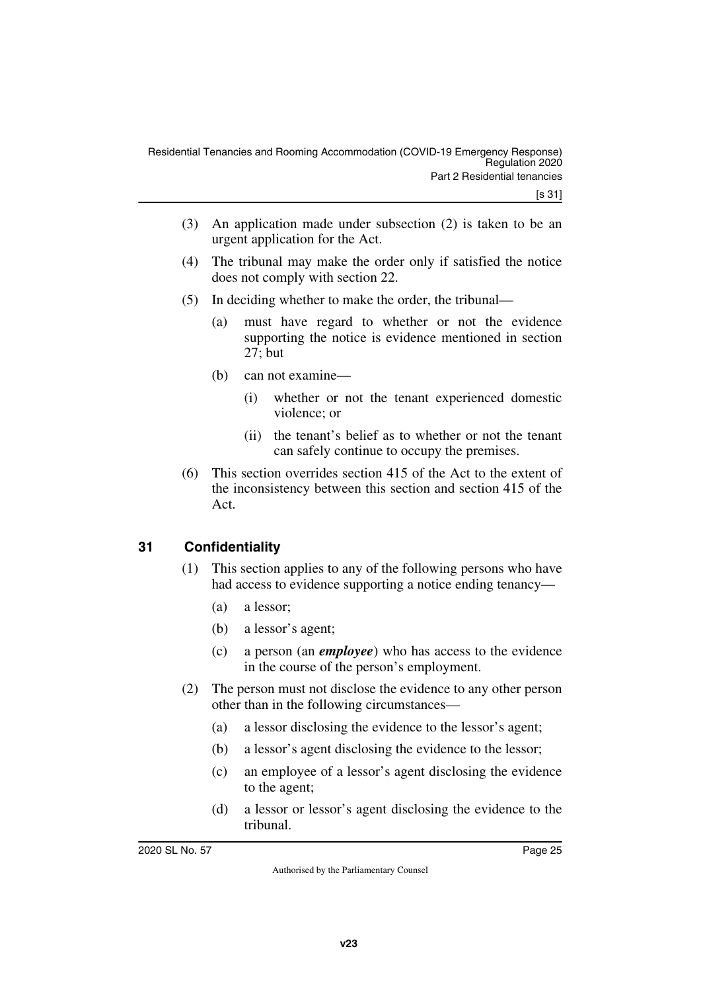- (3) An application made under subsection (2) is taken to be an urgent application for the Act.
- (4) The tribunal may make the order only if satisfied the notice does not comply with section 22.
- (5) In deciding whether to make the order, the tribunal—
	- (a) must have regard to whether or not the evidence supporting the notice is evidence mentioned in section 27; but
	- (b) can not examine—
		- (i) whether or not the tenant experienced domestic violence; or
		- (ii) the tenant's belief as to whether or not the tenant can safely continue to occupy the premises.
- (6) This section overrides section 415 of the Act to the extent of the inconsistency between this section and section 415 of the Act.

# <span id="page-24-0"></span>**31 Confidentiality**

- <span id="page-24-1"></span>(1) This section applies to any of the following persons who have had access to evidence supporting a notice ending tenancy—
	- (a) a lessor;
	- (b) a lessor's agent;
	- (c) a person (an *employee*) who has access to the evidence in the course of the person's employment.
- (2) The person must not disclose the evidence to any other person other than in the following circumstances—
	- (a) a lessor disclosing the evidence to the lessor's agent;
	- (b) a lessor's agent disclosing the evidence to the lessor;
	- (c) an employee of a lessor's agent disclosing the evidence to the agent;
	- (d) a lessor or lessor's agent disclosing the evidence to the tribunal.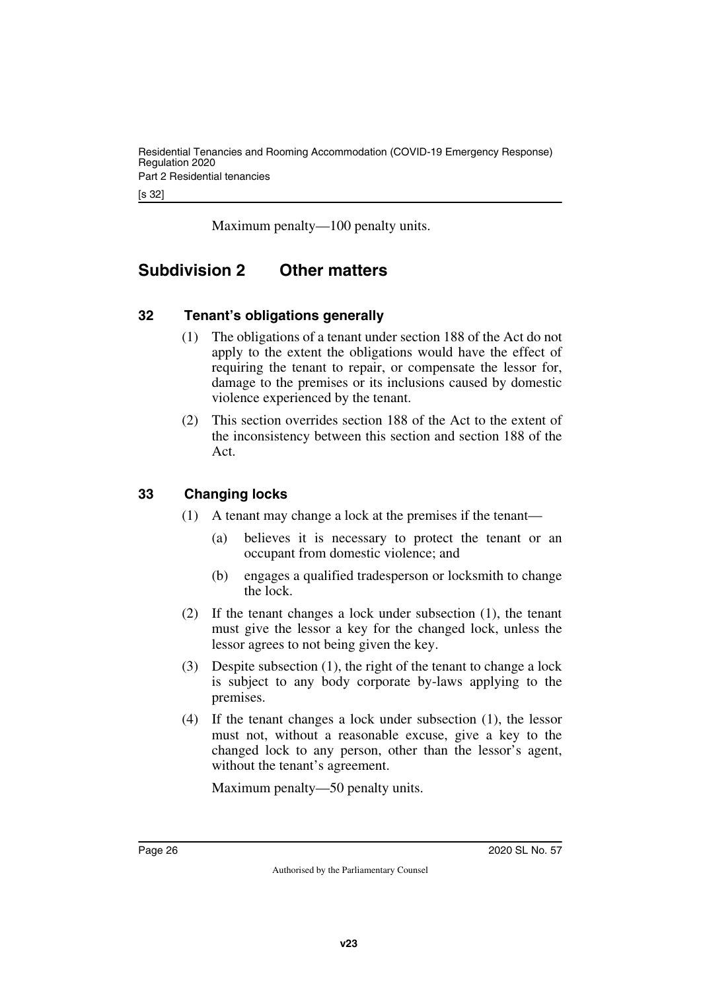[s 32]

<span id="page-25-1"></span>Maximum penalty—100 penalty units.

# <span id="page-25-0"></span>**Subdivision 2 Other matters**

# <span id="page-25-2"></span>**32 Tenant's obligations generally**

- <span id="page-25-3"></span>(1) The obligations of a tenant under section 188 of the Act do not apply to the extent the obligations would have the effect of requiring the tenant to repair, or compensate the lessor for, damage to the premises or its inclusions caused by domestic violence experienced by the tenant.
- (2) This section overrides section 188 of the Act to the extent of the inconsistency between this section and section 188 of the Act.

# <span id="page-25-4"></span>**33 Changing locks**

- <span id="page-25-5"></span>(1) A tenant may change a lock at the premises if the tenant—
	- (a) believes it is necessary to protect the tenant or an occupant from domestic violence; and
	- (b) engages a qualified tradesperson or locksmith to change the lock.
- (2) If the tenant changes a lock under subsection (1), the tenant must give the lessor a key for the changed lock, unless the lessor agrees to not being given the key.
- (3) Despite subsection (1), the right of the tenant to change a lock is subject to any body corporate by-laws applying to the premises.
- (4) If the tenant changes a lock under subsection (1), the lessor must not, without a reasonable excuse, give a key to the changed lock to any person, other than the lessor's agent, without the tenant's agreement.

Maximum penalty—50 penalty units.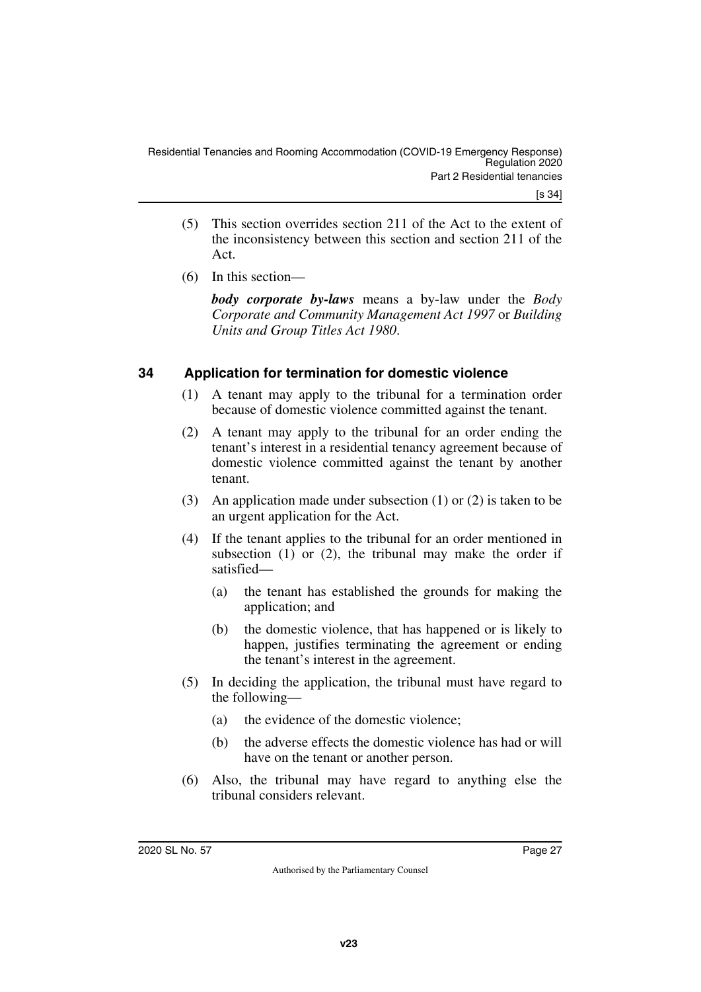- (5) This section overrides section 211 of the Act to the extent of the inconsistency between this section and section 211 of the Act.
- (6) In this section—

*body corporate by-laws* means a by-law under the *Body Corporate and Community Management Act 1997* or *Building Units and Group Titles Act 1980*.

# <span id="page-26-0"></span>**34 Application for termination for domestic violence**

- <span id="page-26-1"></span>(1) A tenant may apply to the tribunal for a termination order because of domestic violence committed against the tenant.
- (2) A tenant may apply to the tribunal for an order ending the tenant's interest in a residential tenancy agreement because of domestic violence committed against the tenant by another tenant.
- (3) An application made under subsection (1) or (2) is taken to be an urgent application for the Act.
- (4) If the tenant applies to the tribunal for an order mentioned in subsection  $(1)$  or  $(2)$ , the tribunal may make the order if satisfied—
	- (a) the tenant has established the grounds for making the application; and
	- (b) the domestic violence, that has happened or is likely to happen, justifies terminating the agreement or ending the tenant's interest in the agreement.
- (5) In deciding the application, the tribunal must have regard to the following—
	- (a) the evidence of the domestic violence;
	- (b) the adverse effects the domestic violence has had or will have on the tenant or another person.
- (6) Also, the tribunal may have regard to anything else the tribunal considers relevant.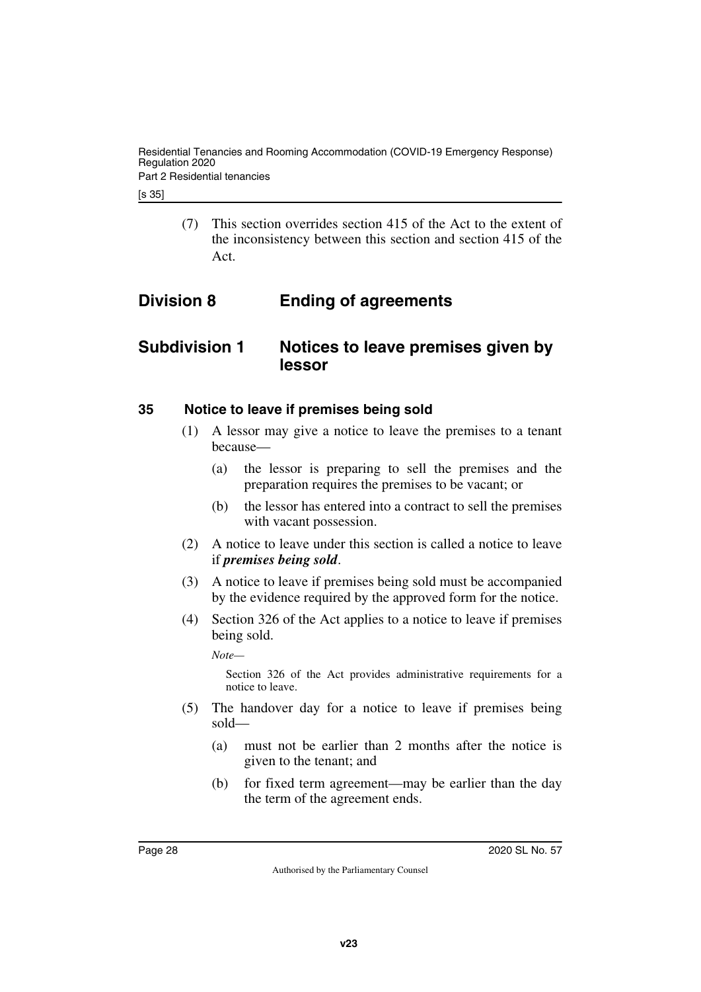[s 35]

<span id="page-27-1"></span>(7) This section overrides section 415 of the Act to the extent of the inconsistency between this section and section 415 of the Act.

# <span id="page-27-0"></span>**Division 8 Ending of agreements**

# <span id="page-27-2"></span>**Subdivision 1 Notices to leave premises given by lessor**

#### <span id="page-27-4"></span>**35 Notice to leave if premises being sold**

- <span id="page-27-5"></span><span id="page-27-3"></span>(1) A lessor may give a notice to leave the premises to a tenant because—
	- (a) the lessor is preparing to sell the premises and the preparation requires the premises to be vacant; or
	- (b) the lessor has entered into a contract to sell the premises with vacant possession.
- (2) A notice to leave under this section is called a notice to leave if *premises being sold*.
- (3) A notice to leave if premises being sold must be accompanied by the evidence required by the approved form for the notice.
- (4) Section 326 of the Act applies to a notice to leave if premises being sold.

*Note—*

Section 326 of the Act provides administrative requirements for a notice to leave.

- (5) The handover day for a notice to leave if premises being sold—
	- (a) must not be earlier than 2 months after the notice is given to the tenant; and
	- (b) for fixed term agreement—may be earlier than the day the term of the agreement ends.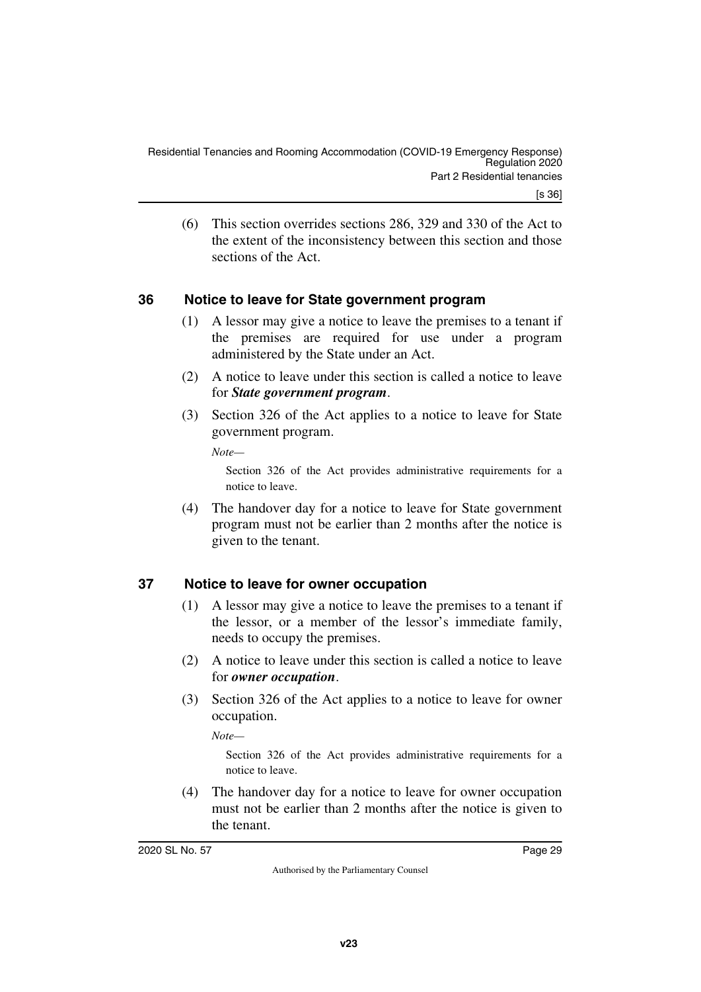(6) This section overrides sections 286, 329 and 330 of the Act to the extent of the inconsistency between this section and those sections of the Act.

# <span id="page-28-0"></span>**36 Notice to leave for State government program**

- <span id="page-28-1"></span>(1) A lessor may give a notice to leave the premises to a tenant if the premises are required for use under a program administered by the State under an Act.
- (2) A notice to leave under this section is called a notice to leave for *State government program*.
- (3) Section 326 of the Act applies to a notice to leave for State government program.

*Note—*

Section 326 of the Act provides administrative requirements for a notice to leave.

(4) The handover day for a notice to leave for State government program must not be earlier than 2 months after the notice is given to the tenant.

# <span id="page-28-2"></span>**37 Notice to leave for owner occupation**

- <span id="page-28-3"></span>(1) A lessor may give a notice to leave the premises to a tenant if the lessor, or a member of the lessor's immediate family, needs to occupy the premises.
- (2) A notice to leave under this section is called a notice to leave for *owner occupation*.
- (3) Section 326 of the Act applies to a notice to leave for owner occupation.

*Note—*

Section 326 of the Act provides administrative requirements for a notice to leave.

(4) The handover day for a notice to leave for owner occupation must not be earlier than 2 months after the notice is given to the tenant.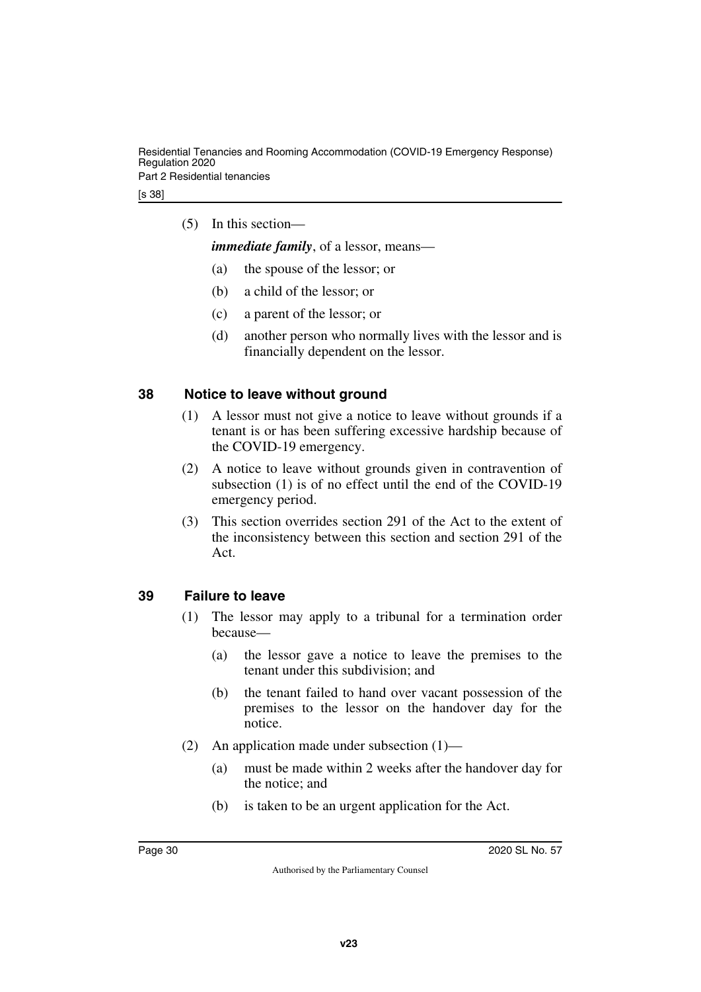(5) In this section—

*immediate family*, of a lessor, means—

- (a) the spouse of the lessor; or
- (b) a child of the lessor; or
- (c) a parent of the lessor; or
- (d) another person who normally lives with the lessor and is financially dependent on the lessor.

# <span id="page-29-0"></span>**38 Notice to leave without ground**

- <span id="page-29-1"></span>(1) A lessor must not give a notice to leave without grounds if a tenant is or has been suffering excessive hardship because of the COVID-19 emergency.
- (2) A notice to leave without grounds given in contravention of subsection (1) is of no effect until the end of the COVID-19 emergency period.
- (3) This section overrides section 291 of the Act to the extent of the inconsistency between this section and section 291 of the Act.

# <span id="page-29-2"></span>**39 Failure to leave**

- <span id="page-29-3"></span>(1) The lessor may apply to a tribunal for a termination order because—
	- (a) the lessor gave a notice to leave the premises to the tenant under this subdivision; and
	- (b) the tenant failed to hand over vacant possession of the premises to the lessor on the handover day for the notice.
- (2) An application made under subsection (1)—
	- (a) must be made within 2 weeks after the handover day for the notice; and
	- (b) is taken to be an urgent application for the Act.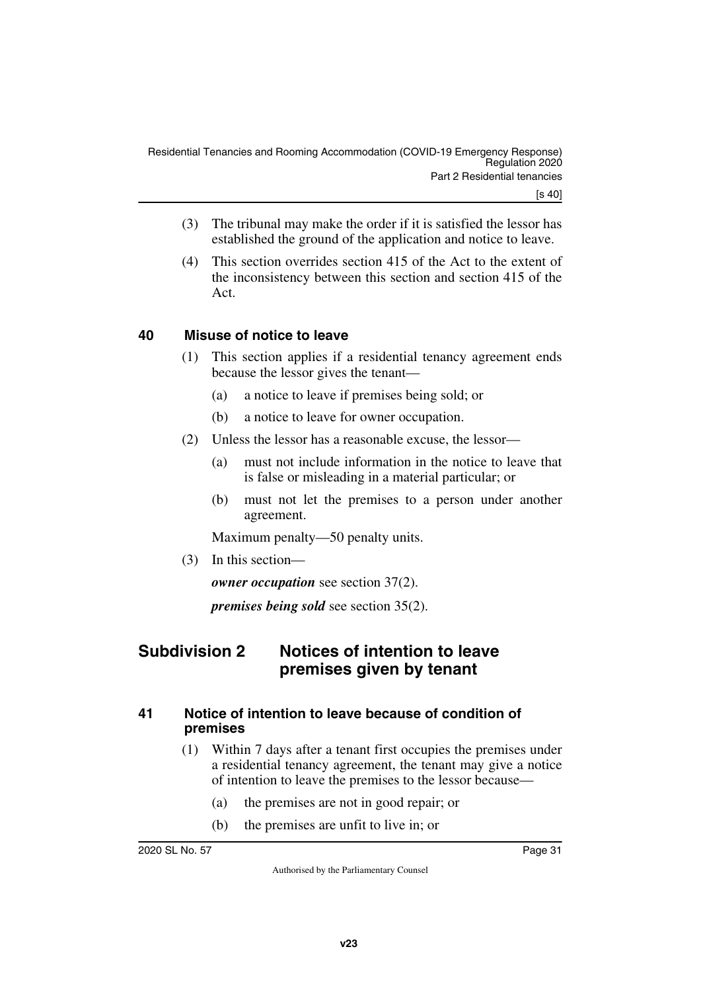- (3) The tribunal may make the order if it is satisfied the lessor has established the ground of the application and notice to leave.
- (4) This section overrides section 415 of the Act to the extent of the inconsistency between this section and section 415 of the Act.

# <span id="page-30-0"></span>**40 Misuse of notice to leave**

- <span id="page-30-1"></span>(1) This section applies if a residential tenancy agreement ends because the lessor gives the tenant—
	- (a) a notice to leave if premises being sold; or
	- (b) a notice to leave for owner occupation.
- (2) Unless the lessor has a reasonable excuse, the lessor—
	- (a) must not include information in the notice to leave that is false or misleading in a material particular; or
	- (b) must not let the premises to a person under another agreement.

Maximum penalty—50 penalty units.

(3) In this section—

*owner occupation* see section 37(2).

<span id="page-30-3"></span>*premises being sold* see section 35(2).

# <span id="page-30-2"></span>**Subdivision 2 Notices of intention to leave premises given by tenant**

# <span id="page-30-5"></span><span id="page-30-4"></span>**41 Notice of intention to leave because of condition of premises**

- (1) Within 7 days after a tenant first occupies the premises under a residential tenancy agreement, the tenant may give a notice of intention to leave the premises to the lessor because—
	- (a) the premises are not in good repair; or
	- (b) the premises are unfit to live in; or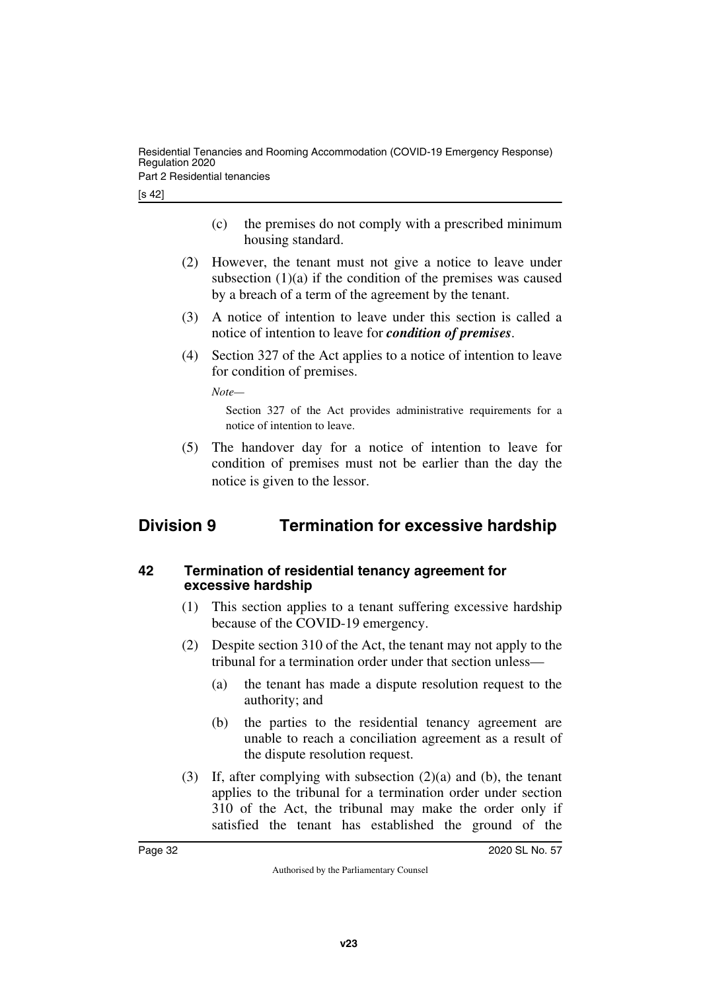[s 42]

- (c) the premises do not comply with a prescribed minimum housing standard.
- (2) However, the tenant must not give a notice to leave under subsection  $(1)(a)$  if the condition of the premises was caused by a breach of a term of the agreement by the tenant.
- (3) A notice of intention to leave under this section is called a notice of intention to leave for *condition of premises*.
- (4) Section 327 of the Act applies to a notice of intention to leave for condition of premises.

*Note—*

<span id="page-31-1"></span>Section 327 of the Act provides administrative requirements for a notice of intention to leave.

(5) The handover day for a notice of intention to leave for condition of premises must not be earlier than the day the notice is given to the lessor.

# <span id="page-31-0"></span>**Division 9 Termination for excessive hardship**

### <span id="page-31-3"></span><span id="page-31-2"></span>**42 Termination of residential tenancy agreement for excessive hardship**

- (1) This section applies to a tenant suffering excessive hardship because of the COVID-19 emergency.
- (2) Despite section 310 of the Act, the tenant may not apply to the tribunal for a termination order under that section unless—
	- (a) the tenant has made a dispute resolution request to the authority; and
	- (b) the parties to the residential tenancy agreement are unable to reach a conciliation agreement as a result of the dispute resolution request.
- (3) If, after complying with subsection (2)(a) and (b), the tenant applies to the tribunal for a termination order under section 310 of the Act, the tribunal may make the order only if satisfied the tenant has established the ground of the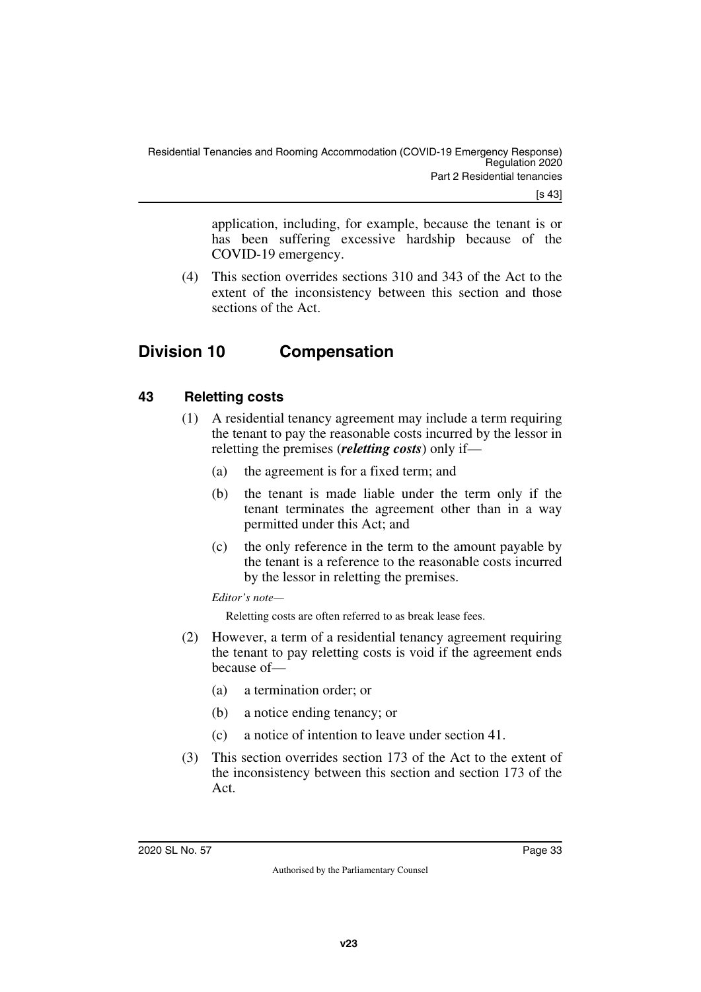[s 43]

application, including, for example, because the tenant is or has been suffering excessive hardship because of the COVID-19 emergency.

<span id="page-32-1"></span>(4) This section overrides sections 310 and 343 of the Act to the extent of the inconsistency between this section and those sections of the Act.

# <span id="page-32-0"></span>**Division 10 Compensation**

# <span id="page-32-2"></span>**43 Reletting costs**

- <span id="page-32-3"></span>(1) A residential tenancy agreement may include a term requiring the tenant to pay the reasonable costs incurred by the lessor in reletting the premises (*reletting costs*) only if—
	- (a) the agreement is for a fixed term; and
	- (b) the tenant is made liable under the term only if the tenant terminates the agreement other than in a way permitted under this Act; and
	- (c) the only reference in the term to the amount payable by the tenant is a reference to the reasonable costs incurred by the lessor in reletting the premises.

*Editor's note—*

Reletting costs are often referred to as break lease fees.

- (2) However, a term of a residential tenancy agreement requiring the tenant to pay reletting costs is void if the agreement ends because of—
	- (a) a termination order; or
	- (b) a notice ending tenancy; or
	- (c) a notice of intention to leave under section 41.
- (3) This section overrides section 173 of the Act to the extent of the inconsistency between this section and section 173 of the Act.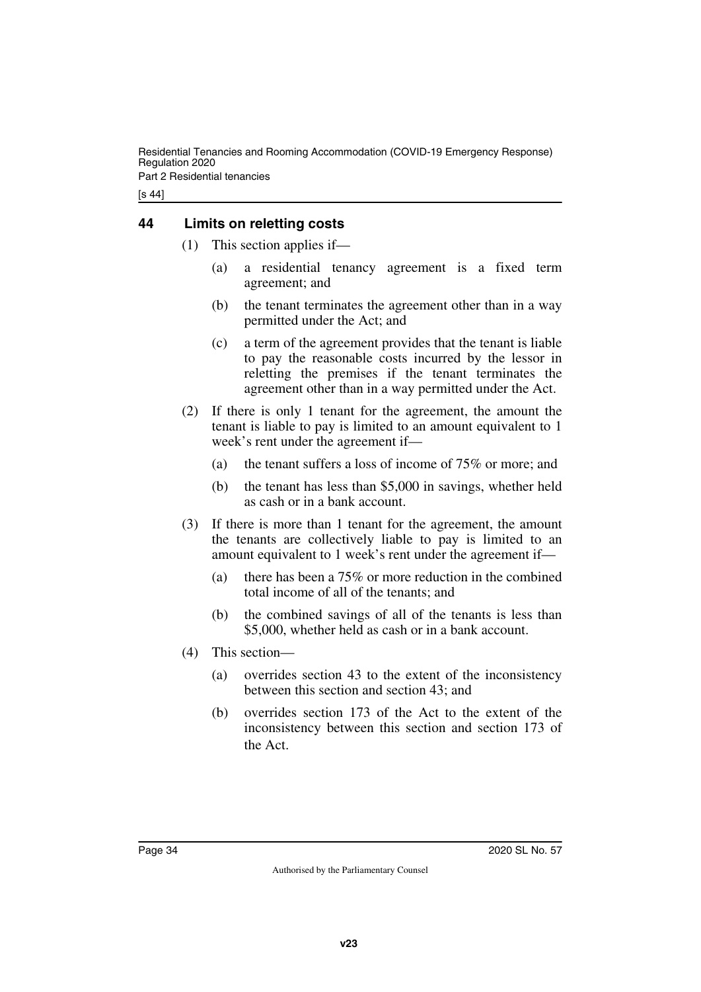Residential Tenancies and Rooming Accommodation (COVID-19 Emergency Response) Regulation 2020 Part 2 Residential tenancies

[s 44]

# <span id="page-33-0"></span>**44 Limits on reletting costs**

- <span id="page-33-1"></span>(1) This section applies if—
	- (a) a residential tenancy agreement is a fixed term agreement; and
	- (b) the tenant terminates the agreement other than in a way permitted under the Act; and
	- (c) a term of the agreement provides that the tenant is liable to pay the reasonable costs incurred by the lessor in reletting the premises if the tenant terminates the agreement other than in a way permitted under the Act.
- (2) If there is only 1 tenant for the agreement, the amount the tenant is liable to pay is limited to an amount equivalent to 1 week's rent under the agreement if—
	- (a) the tenant suffers a loss of income of 75% or more; and
	- (b) the tenant has less than \$5,000 in savings, whether held as cash or in a bank account.
- (3) If there is more than 1 tenant for the agreement, the amount the tenants are collectively liable to pay is limited to an amount equivalent to 1 week's rent under the agreement if—
	- (a) there has been a 75% or more reduction in the combined total income of all of the tenants; and
	- (b) the combined savings of all of the tenants is less than \$5,000, whether held as cash or in a bank account.
- (4) This section—
	- (a) overrides section 43 to the extent of the inconsistency between this section and section 43; and
	- (b) overrides section 173 of the Act to the extent of the inconsistency between this section and section 173 of the Act.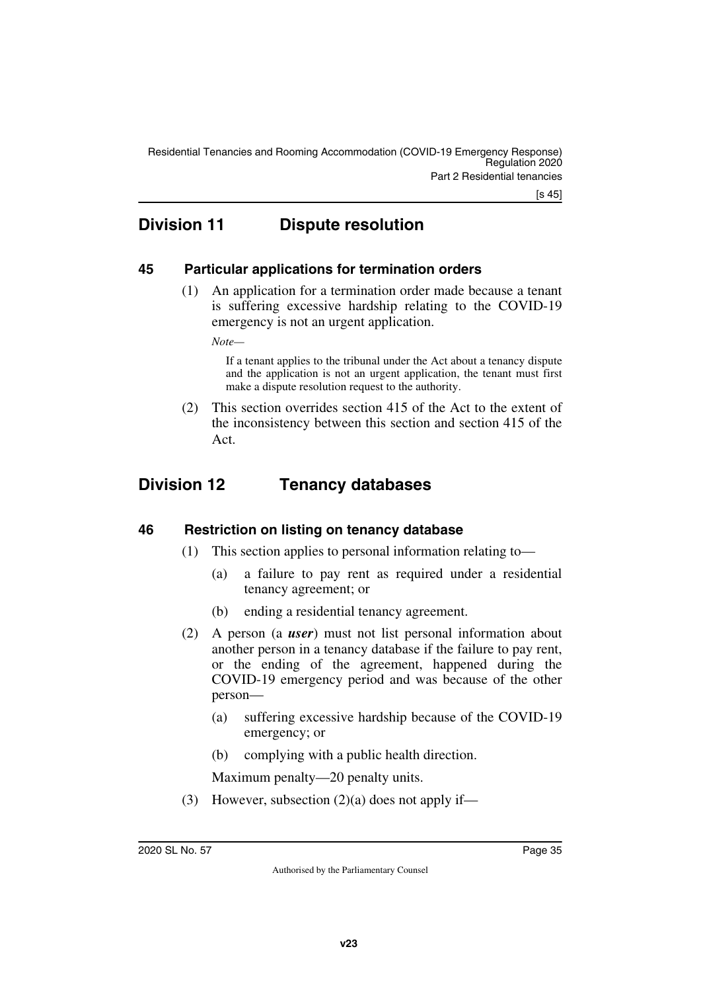[s 45]

# <span id="page-34-0"></span>**Division 11 Dispute resolution**

# <span id="page-34-2"></span>**45 Particular applications for termination orders**

<span id="page-34-3"></span><span id="page-34-1"></span>(1) An application for a termination order made because a tenant is suffering excessive hardship relating to the COVID-19 emergency is not an urgent application.

*Note—*

If a tenant applies to the tribunal under the Act about a tenancy dispute and the application is not an urgent application, the tenant must first make a dispute resolution request to the authority.

<span id="page-34-5"></span>(2) This section overrides section 415 of the Act to the extent of the inconsistency between this section and section 415 of the Act.

# <span id="page-34-4"></span>**Division 12 Tenancy databases**

# <span id="page-34-6"></span>**46 Restriction on listing on tenancy database**

- <span id="page-34-7"></span>(1) This section applies to personal information relating to—
	- (a) a failure to pay rent as required under a residential tenancy agreement; or
	- (b) ending a residential tenancy agreement.
- (2) A person (a *user*) must not list personal information about another person in a tenancy database if the failure to pay rent, or the ending of the agreement, happened during the COVID-19 emergency period and was because of the other person—
	- (a) suffering excessive hardship because of the COVID-19 emergency; or
	- (b) complying with a public health direction.

Maximum penalty—20 penalty units.

(3) However, subsection  $(2)(a)$  does not apply if—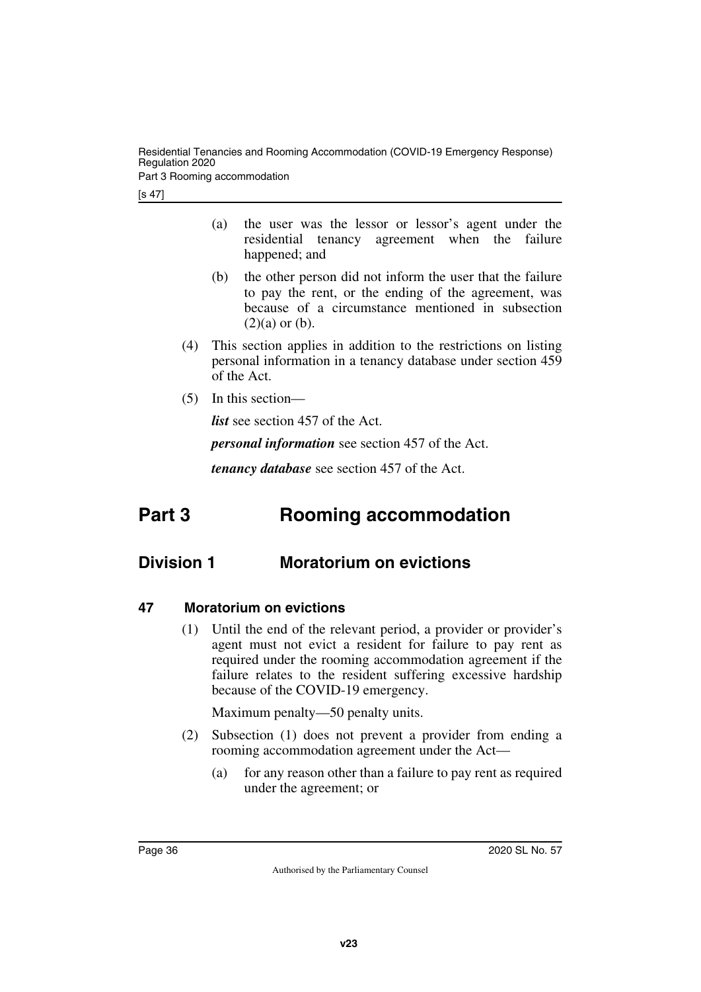Residential Tenancies and Rooming Accommodation (COVID-19 Emergency Response) Regulation 2020

Part 3 Rooming accommodation

[s 47]

- (a) the user was the lessor or lessor's agent under the residential tenancy agreement when the failure happened; and
- (b) the other person did not inform the user that the failure to pay the rent, or the ending of the agreement, was because of a circumstance mentioned in subsection  $(2)(a)$  or  $(b)$ .
- (4) This section applies in addition to the restrictions on listing personal information in a tenancy database under section 459 of the Act.
- (5) In this section—

*list* see section 457 of the Act.

*personal information* see section 457 of the Act.

<span id="page-35-3"></span><span id="page-35-1"></span>*tenancy database* see section 457 of the Act.

# <span id="page-35-0"></span>**Part 3 Rooming accommodation**

# <span id="page-35-2"></span>**Division 1 Moratorium on evictions**

- <span id="page-35-5"></span><span id="page-35-4"></span>**47 Moratorium on evictions**
	- (1) Until the end of the relevant period, a provider or provider's agent must not evict a resident for failure to pay rent as required under the rooming accommodation agreement if the failure relates to the resident suffering excessive hardship because of the COVID-19 emergency.

Maximum penalty—50 penalty units.

- (2) Subsection (1) does not prevent a provider from ending a rooming accommodation agreement under the Act—
	- (a) for any reason other than a failure to pay rent as required under the agreement; or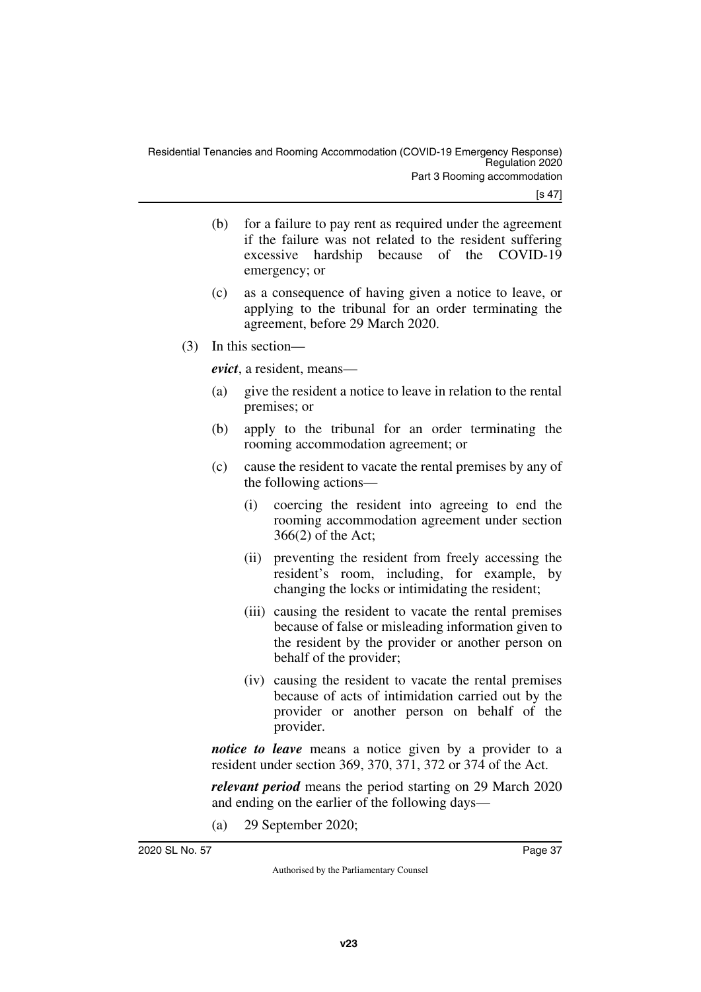[s 47]

- (b) for a failure to pay rent as required under the agreement if the failure was not related to the resident suffering excessive hardship because of the COVID-19 emergency; or
- (c) as a consequence of having given a notice to leave, or applying to the tribunal for an order terminating the agreement, before 29 March 2020.
- (3) In this section—

*evict*, a resident, means—

- (a) give the resident a notice to leave in relation to the rental premises; or
- (b) apply to the tribunal for an order terminating the rooming accommodation agreement; or
- (c) cause the resident to vacate the rental premises by any of the following actions—
	- (i) coercing the resident into agreeing to end the rooming accommodation agreement under section 366(2) of the Act;
	- (ii) preventing the resident from freely accessing the resident's room, including, for example, by changing the locks or intimidating the resident;
	- (iii) causing the resident to vacate the rental premises because of false or misleading information given to the resident by the provider or another person on behalf of the provider;
	- (iv) causing the resident to vacate the rental premises because of acts of intimidation carried out by the provider or another person on behalf of the provider.

*notice to leave* means a notice given by a provider to a resident under section 369, 370, 371, 372 or 374 of the Act.

*relevant period* means the period starting on 29 March 2020 and ending on the earlier of the following days—

(a) 29 September 2020;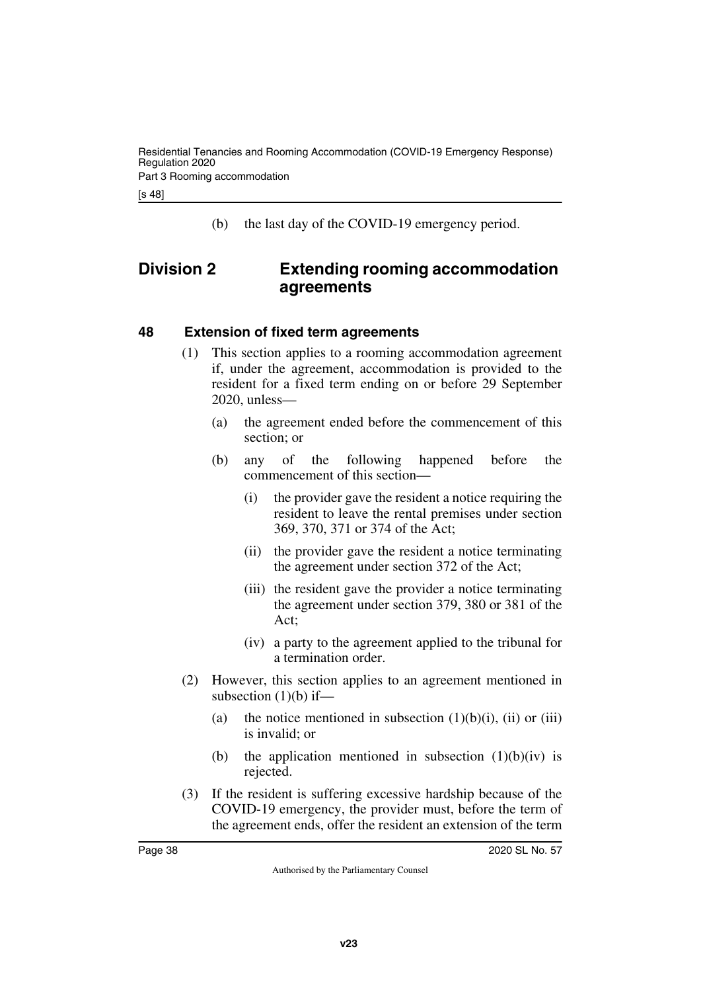[s 48]

<span id="page-37-1"></span>(b) the last day of the COVID-19 emergency period.

# <span id="page-37-0"></span>**Division 2 Extending rooming accommodation agreements**

#### <span id="page-37-2"></span>**48 Extension of fixed term agreements**

- <span id="page-37-3"></span>(1) This section applies to a rooming accommodation agreement if, under the agreement, accommodation is provided to the resident for a fixed term ending on or before 29 September 2020, unless—
	- (a) the agreement ended before the commencement of this section; or
	- (b) any of the following happened before the commencement of this section—
		- (i) the provider gave the resident a notice requiring the resident to leave the rental premises under section 369, 370, 371 or 374 of the Act;
		- (ii) the provider gave the resident a notice terminating the agreement under section 372 of the Act;
		- (iii) the resident gave the provider a notice terminating the agreement under section 379, 380 or 381 of the Act;
		- (iv) a party to the agreement applied to the tribunal for a termination order.
- (2) However, this section applies to an agreement mentioned in subsection  $(1)(b)$  if—
	- (a) the notice mentioned in subsection  $(1)(b)(i)$ ,  $(ii)$  or  $(iii)$ is invalid; or
	- (b) the application mentioned in subsection  $(1)(b)(iv)$  is rejected.
- (3) If the resident is suffering excessive hardship because of the COVID-19 emergency, the provider must, before the term of the agreement ends, offer the resident an extension of the term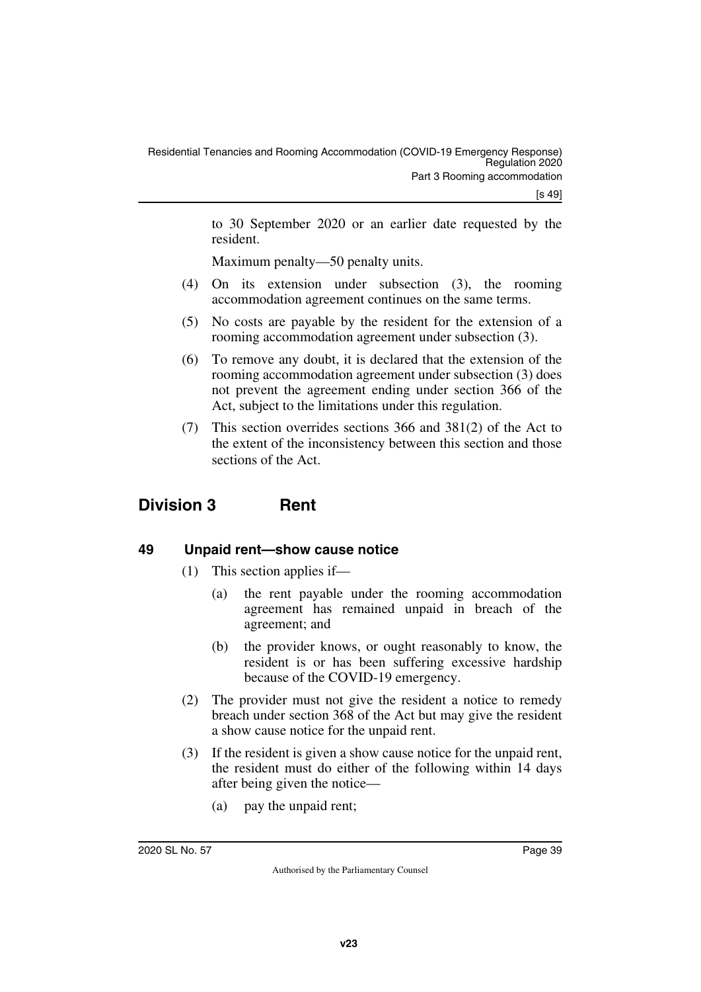to 30 September 2020 or an earlier date requested by the resident.

Maximum penalty—50 penalty units.

- (4) On its extension under subsection (3), the rooming accommodation agreement continues on the same terms.
- (5) No costs are payable by the resident for the extension of a rooming accommodation agreement under subsection (3).
- (6) To remove any doubt, it is declared that the extension of the rooming accommodation agreement under subsection (3) does not prevent the agreement ending under section 366 of the Act, subject to the limitations under this regulation.
- <span id="page-38-1"></span>(7) This section overrides sections 366 and 381(2) of the Act to the extent of the inconsistency between this section and those sections of the Act.

# <span id="page-38-0"></span>**Division 3 Rent**

# <span id="page-38-2"></span>**49 Unpaid rent—show cause notice**

- <span id="page-38-3"></span>(1) This section applies if—
	- (a) the rent payable under the rooming accommodation agreement has remained unpaid in breach of the agreement; and
	- (b) the provider knows, or ought reasonably to know, the resident is or has been suffering excessive hardship because of the COVID-19 emergency.
- (2) The provider must not give the resident a notice to remedy breach under section 368 of the Act but may give the resident a show cause notice for the unpaid rent.
- (3) If the resident is given a show cause notice for the unpaid rent, the resident must do either of the following within 14 days after being given the notice—
	- (a) pay the unpaid rent;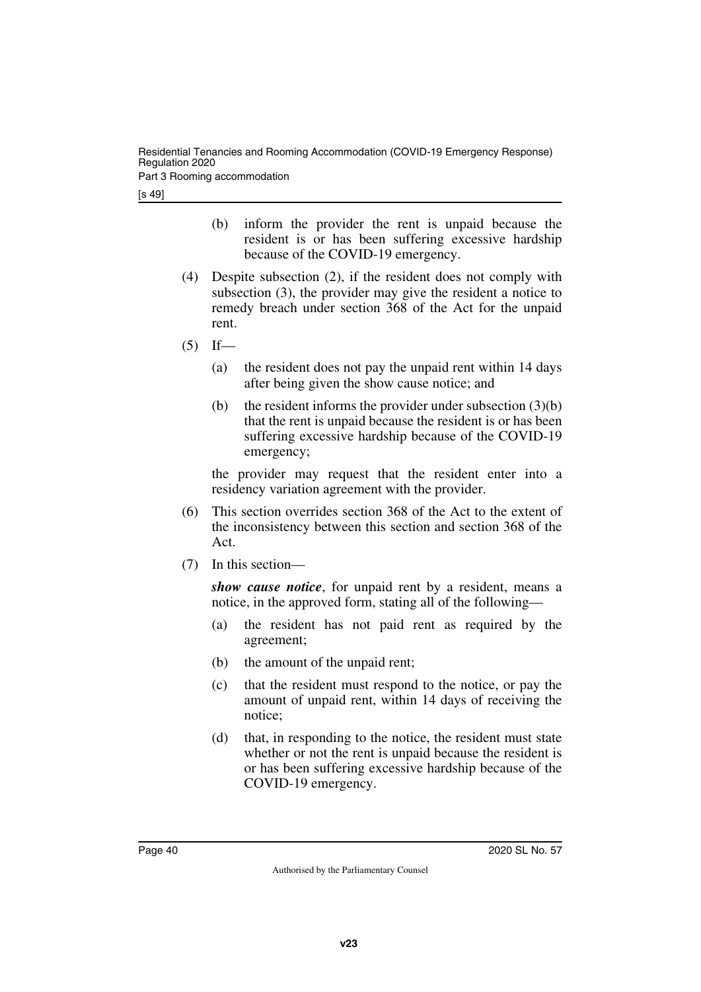Residential Tenancies and Rooming Accommodation (COVID-19 Emergency Response) Regulation 2020

Part 3 Rooming accommodation

[s 49]

- (b) inform the provider the rent is unpaid because the resident is or has been suffering excessive hardship because of the COVID-19 emergency.
- (4) Despite subsection (2), if the resident does not comply with subsection (3), the provider may give the resident a notice to remedy breach under section 368 of the Act for the unpaid rent.
- $(5)$  If—
	- (a) the resident does not pay the unpaid rent within 14 days after being given the show cause notice; and
	- (b) the resident informs the provider under subsection  $(3)(b)$ that the rent is unpaid because the resident is or has been suffering excessive hardship because of the COVID-19 emergency;

the provider may request that the resident enter into a residency variation agreement with the provider.

- (6) This section overrides section 368 of the Act to the extent of the inconsistency between this section and section 368 of the Act.
- (7) In this section—

*show cause notice*, for unpaid rent by a resident, means a notice, in the approved form, stating all of the following—

- (a) the resident has not paid rent as required by the agreement;
- (b) the amount of the unpaid rent;
- (c) that the resident must respond to the notice, or pay the amount of unpaid rent, within 14 days of receiving the notice;
- (d) that, in responding to the notice, the resident must state whether or not the rent is unpaid because the resident is or has been suffering excessive hardship because of the COVID-19 emergency.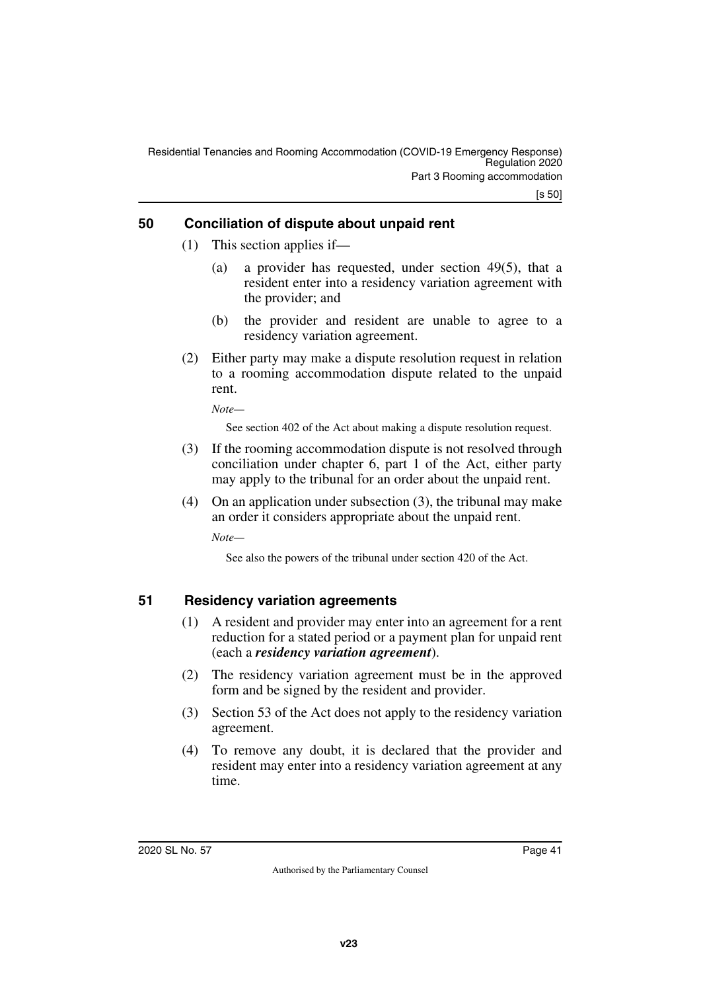[s 50]

# <span id="page-40-0"></span>**50 Conciliation of dispute about unpaid rent**

- <span id="page-40-1"></span>(1) This section applies if—
	- (a) a provider has requested, under section 49(5), that a resident enter into a residency variation agreement with the provider; and
	- (b) the provider and resident are unable to agree to a residency variation agreement.
- (2) Either party may make a dispute resolution request in relation to a rooming accommodation dispute related to the unpaid rent.

*Note—*

See section 402 of the Act about making a dispute resolution request.

- (3) If the rooming accommodation dispute is not resolved through conciliation under chapter 6, part 1 of the Act, either party may apply to the tribunal for an order about the unpaid rent.
- (4) On an application under subsection (3), the tribunal may make an order it considers appropriate about the unpaid rent.

*Note—*

See also the powers of the tribunal under section 420 of the Act.

# <span id="page-40-2"></span>**51 Residency variation agreements**

- <span id="page-40-3"></span>(1) A resident and provider may enter into an agreement for a rent reduction for a stated period or a payment plan for unpaid rent (each a *residency variation agreement*).
- (2) The residency variation agreement must be in the approved form and be signed by the resident and provider.
- (3) Section 53 of the Act does not apply to the residency variation agreement.
- (4) To remove any doubt, it is declared that the provider and resident may enter into a residency variation agreement at any time.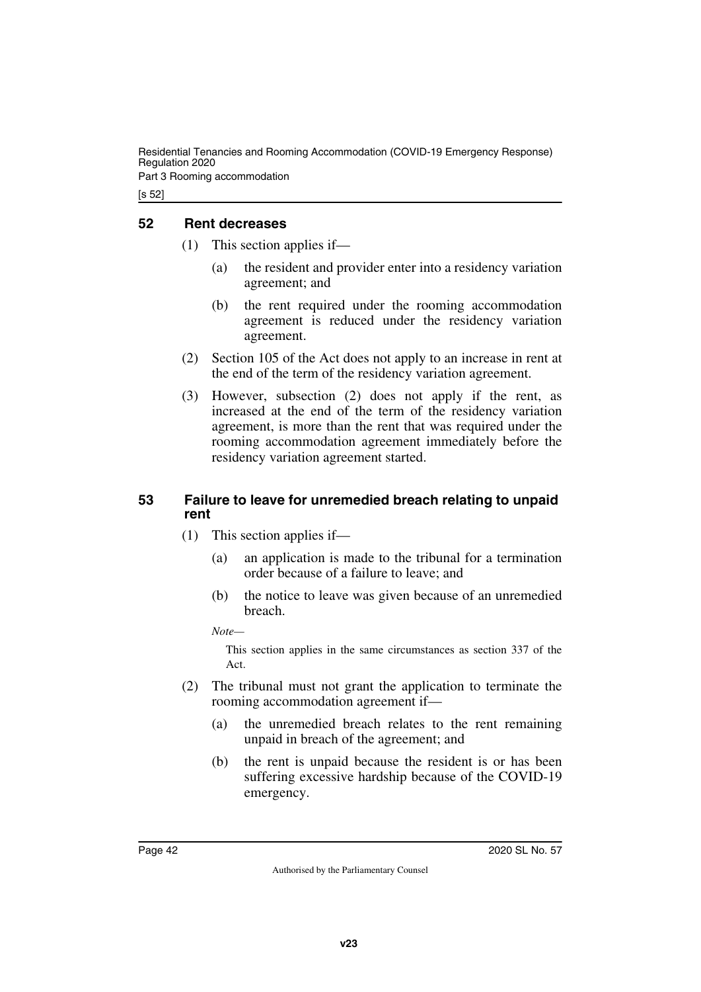Residential Tenancies and Rooming Accommodation (COVID-19 Emergency Response) Regulation 2020

Part 3 Rooming accommodation

[s 52]

### <span id="page-41-0"></span>**52 Rent decreases**

- <span id="page-41-1"></span>(1) This section applies if—
	- (a) the resident and provider enter into a residency variation agreement; and
	- (b) the rent required under the rooming accommodation agreement is reduced under the residency variation agreement.
- (2) Section 105 of the Act does not apply to an increase in rent at the end of the term of the residency variation agreement.
- (3) However, subsection (2) does not apply if the rent, as increased at the end of the term of the residency variation agreement, is more than the rent that was required under the rooming accommodation agreement immediately before the residency variation agreement started.

#### <span id="page-41-2"></span>**53 Failure to leave for unremedied breach relating to unpaid rent**

- <span id="page-41-3"></span>(1) This section applies if—
	- (a) an application is made to the tribunal for a termination order because of a failure to leave; and
	- (b) the notice to leave was given because of an unremedied breach.

*Note—*

This section applies in the same circumstances as section 337 of the Act.

- (2) The tribunal must not grant the application to terminate the rooming accommodation agreement if—
	- (a) the unremedied breach relates to the rent remaining unpaid in breach of the agreement; and
	- (b) the rent is unpaid because the resident is or has been suffering excessive hardship because of the COVID-19 emergency.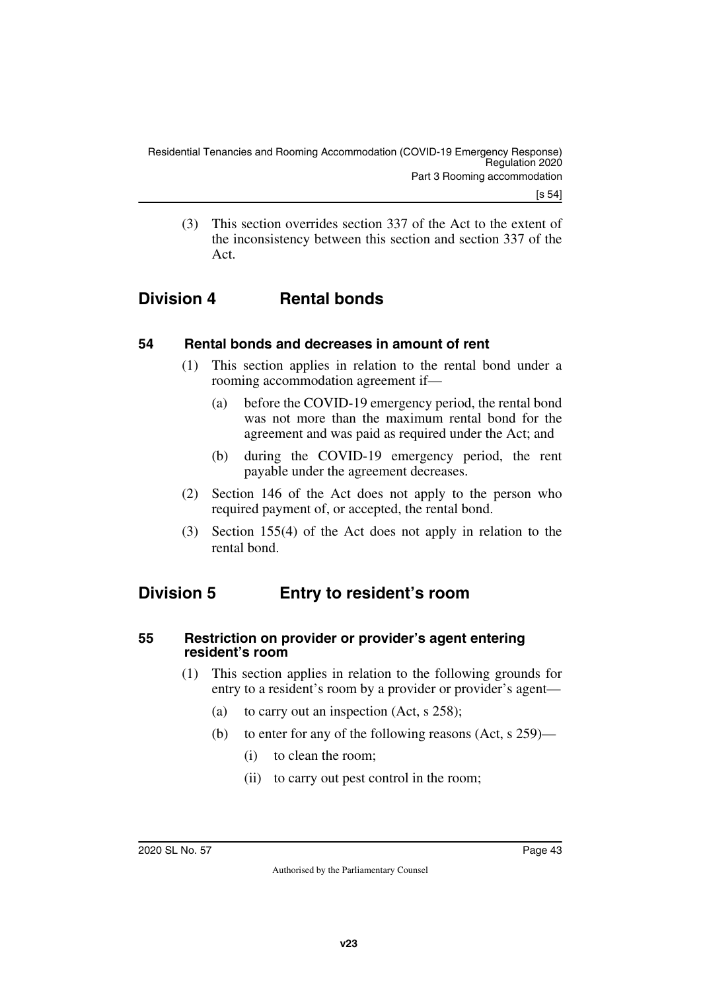<span id="page-42-1"></span>(3) This section overrides section 337 of the Act to the extent of the inconsistency between this section and section 337 of the Act.

# <span id="page-42-0"></span>**Division 4 Rental bonds**

# <span id="page-42-2"></span>**54 Rental bonds and decreases in amount of rent**

- <span id="page-42-3"></span>(1) This section applies in relation to the rental bond under a rooming accommodation agreement if—
	- (a) before the COVID-19 emergency period, the rental bond was not more than the maximum rental bond for the agreement and was paid as required under the Act; and
	- (b) during the COVID-19 emergency period, the rent payable under the agreement decreases.
- (2) Section 146 of the Act does not apply to the person who required payment of, or accepted, the rental bond.
- <span id="page-42-5"></span>(3) Section 155(4) of the Act does not apply in relation to the rental bond.

# <span id="page-42-4"></span>**Division 5 Entry to resident's room**

#### <span id="page-42-6"></span>**55 Restriction on provider or provider's agent entering resident's room**

- <span id="page-42-7"></span>(1) This section applies in relation to the following grounds for entry to a resident's room by a provider or provider's agent—
	- (a) to carry out an inspection (Act, s 258);
	- (b) to enter for any of the following reasons (Act, s 259)—
		- (i) to clean the room;
		- (ii) to carry out pest control in the room;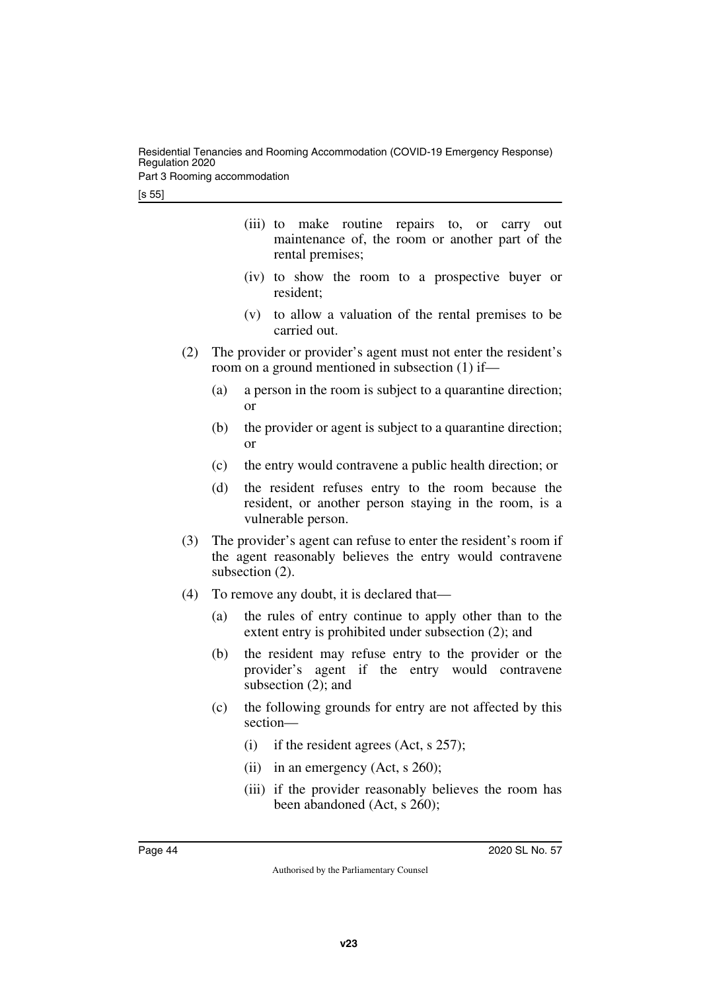Residential Tenancies and Rooming Accommodation (COVID-19 Emergency Response) Regulation 2020

Part 3 Rooming accommodation

- (iii) to make routine repairs to, or carry out maintenance of, the room or another part of the rental premises;
- (iv) to show the room to a prospective buyer or resident;
- (v) to allow a valuation of the rental premises to be carried out.
- (2) The provider or provider's agent must not enter the resident's room on a ground mentioned in subsection (1) if—
	- (a) a person in the room is subject to a quarantine direction; or
	- (b) the provider or agent is subject to a quarantine direction; or
	- (c) the entry would contravene a public health direction; or
	- (d) the resident refuses entry to the room because the resident, or another person staying in the room, is a vulnerable person.
- (3) The provider's agent can refuse to enter the resident's room if the agent reasonably believes the entry would contravene subsection (2).
- (4) To remove any doubt, it is declared that—
	- (a) the rules of entry continue to apply other than to the extent entry is prohibited under subsection (2); and
	- (b) the resident may refuse entry to the provider or the provider's agent if the entry would contravene subsection (2); and
	- (c) the following grounds for entry are not affected by this section—
		- (i) if the resident agrees (Act, s 257);
		- (ii) in an emergency (Act, s  $260$ );
		- (iii) if the provider reasonably believes the room has been abandoned (Act, s 260);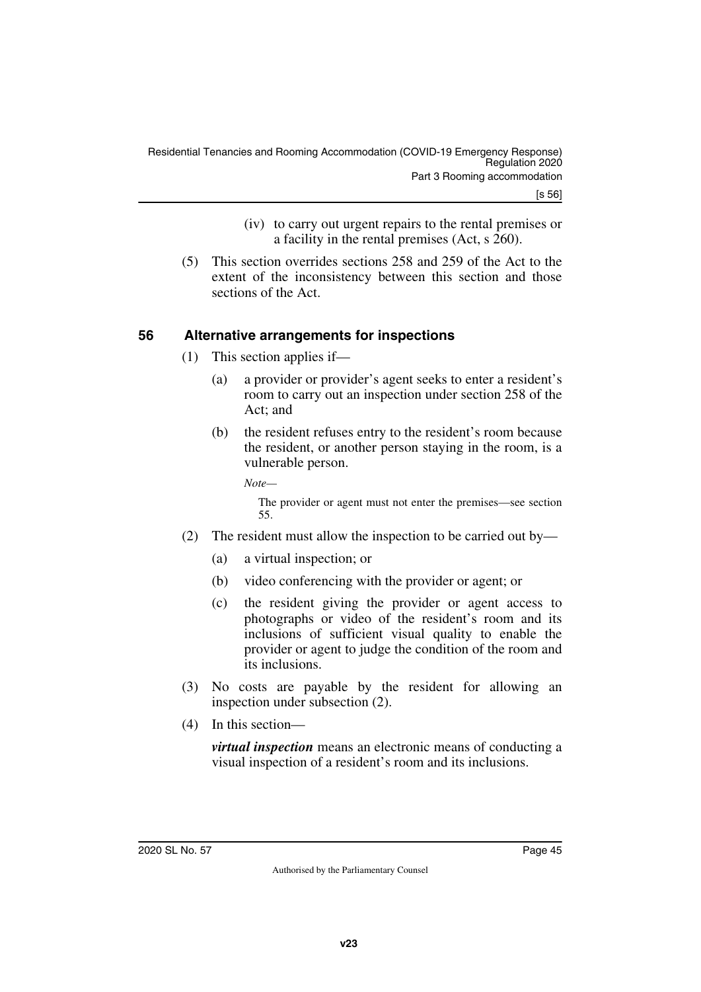- (iv) to carry out urgent repairs to the rental premises or a facility in the rental premises (Act, s 260).
- (5) This section overrides sections 258 and 259 of the Act to the extent of the inconsistency between this section and those sections of the Act.

# <span id="page-44-0"></span>**56 Alternative arrangements for inspections**

- <span id="page-44-1"></span>(1) This section applies if—
	- (a) a provider or provider's agent seeks to enter a resident's room to carry out an inspection under section 258 of the Act; and
	- (b) the resident refuses entry to the resident's room because the resident, or another person staying in the room, is a vulnerable person.

*Note—*

The provider or agent must not enter the premises—see section 55.

- (2) The resident must allow the inspection to be carried out by—
	- (a) a virtual inspection; or
	- (b) video conferencing with the provider or agent; or
	- (c) the resident giving the provider or agent access to photographs or video of the resident's room and its inclusions of sufficient visual quality to enable the provider or agent to judge the condition of the room and its inclusions.
- (3) No costs are payable by the resident for allowing an inspection under subsection (2).
- (4) In this section—

*virtual inspection* means an electronic means of conducting a visual inspection of a resident's room and its inclusions.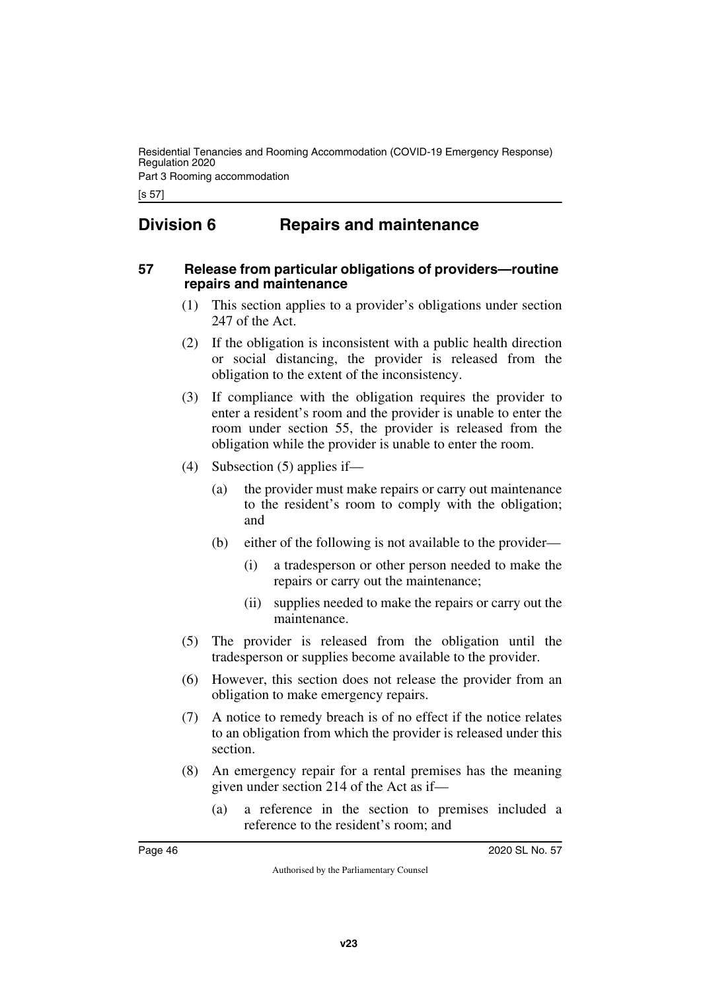Residential Tenancies and Rooming Accommodation (COVID-19 Emergency Response) Regulation 2020

Part 3 Rooming accommodation

[s 57]

# <span id="page-45-0"></span>**Division 6 Repairs and maintenance**

#### <span id="page-45-3"></span><span id="page-45-2"></span>**57 Release from particular obligations of providers—routine repairs and maintenance**

- <span id="page-45-1"></span>(1) This section applies to a provider's obligations under section 247 of the Act.
- (2) If the obligation is inconsistent with a public health direction or social distancing, the provider is released from the obligation to the extent of the inconsistency.
- (3) If compliance with the obligation requires the provider to enter a resident's room and the provider is unable to enter the room under section 55, the provider is released from the obligation while the provider is unable to enter the room.
- (4) Subsection (5) applies if—
	- (a) the provider must make repairs or carry out maintenance to the resident's room to comply with the obligation; and
	- (b) either of the following is not available to the provider—
		- (i) a tradesperson or other person needed to make the repairs or carry out the maintenance;
		- (ii) supplies needed to make the repairs or carry out the maintenance.
- (5) The provider is released from the obligation until the tradesperson or supplies become available to the provider.
- (6) However, this section does not release the provider from an obligation to make emergency repairs.
- (7) A notice to remedy breach is of no effect if the notice relates to an obligation from which the provider is released under this section.
- (8) An emergency repair for a rental premises has the meaning given under section 214 of the Act as if—
	- (a) a reference in the section to premises included a reference to the resident's room; and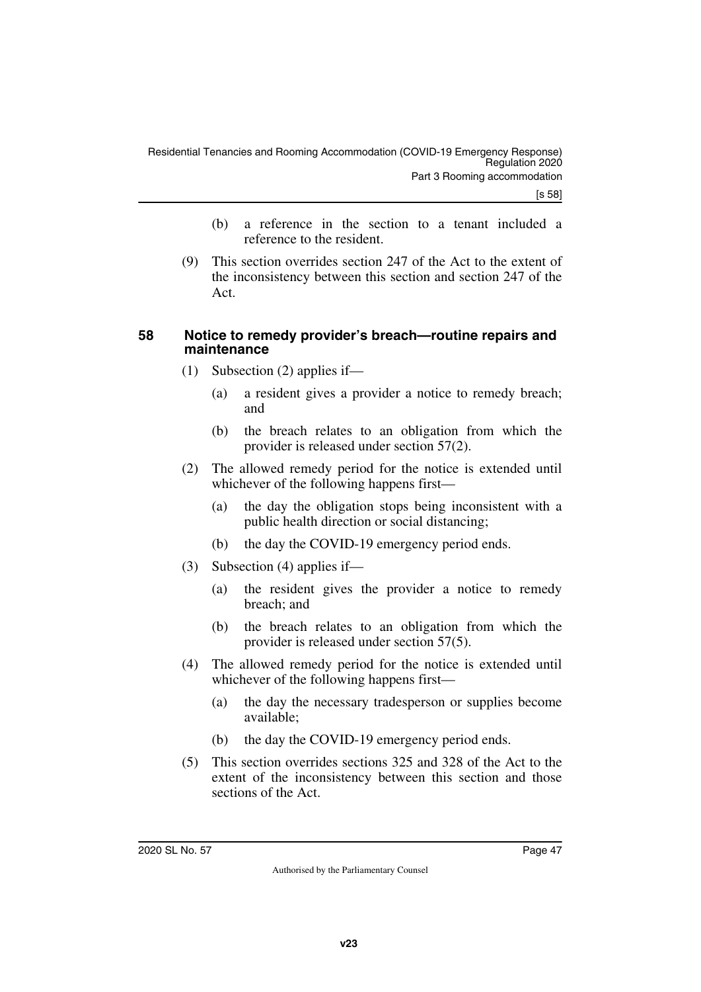- (b) a reference in the section to a tenant included a reference to the resident.
- (9) This section overrides section 247 of the Act to the extent of the inconsistency between this section and section 247 of the Act.

#### <span id="page-46-1"></span><span id="page-46-0"></span>**58 Notice to remedy provider's breach—routine repairs and maintenance**

- (1) Subsection (2) applies if—
	- (a) a resident gives a provider a notice to remedy breach; and
	- (b) the breach relates to an obligation from which the provider is released under section 57(2).
- (2) The allowed remedy period for the notice is extended until whichever of the following happens first—
	- (a) the day the obligation stops being inconsistent with a public health direction or social distancing;
	- (b) the day the COVID-19 emergency period ends.
- (3) Subsection (4) applies if—
	- (a) the resident gives the provider a notice to remedy breach; and
	- (b) the breach relates to an obligation from which the provider is released under section 57(5).
- (4) The allowed remedy period for the notice is extended until whichever of the following happens first—
	- (a) the day the necessary tradesperson or supplies become available;
	- (b) the day the COVID-19 emergency period ends.
- (5) This section overrides sections 325 and 328 of the Act to the extent of the inconsistency between this section and those sections of the Act.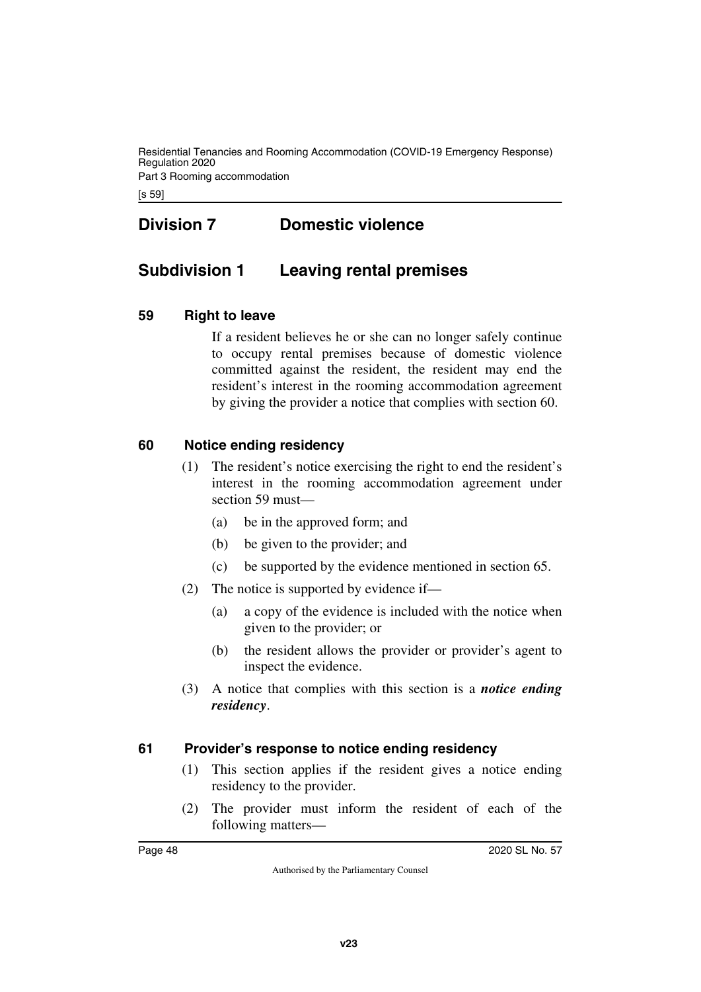Residential Tenancies and Rooming Accommodation (COVID-19 Emergency Response) Regulation 2020 Part 3 Rooming accommodation

[s 59]

# <span id="page-47-1"></span><span id="page-47-0"></span>**Division 7 Domestic violence**

# <span id="page-47-2"></span>**Subdivision 1 Leaving rental premises**

### <span id="page-47-4"></span>**59 Right to leave**

<span id="page-47-5"></span><span id="page-47-3"></span>If a resident believes he or she can no longer safely continue to occupy rental premises because of domestic violence committed against the resident, the resident may end the resident's interest in the rooming accommodation agreement by giving the provider a notice that complies with section 60.

### <span id="page-47-6"></span>**60 Notice ending residency**

- <span id="page-47-7"></span>(1) The resident's notice exercising the right to end the resident's interest in the rooming accommodation agreement under section 59 must—
	- (a) be in the approved form; and
	- (b) be given to the provider; and
	- (c) be supported by the evidence mentioned in section 65.
- (2) The notice is supported by evidence if—
	- (a) a copy of the evidence is included with the notice when given to the provider; or
	- (b) the resident allows the provider or provider's agent to inspect the evidence.
- (3) A notice that complies with this section is a *notice ending residency*.

#### <span id="page-47-8"></span>**61 Provider's response to notice ending residency**

- <span id="page-47-9"></span>(1) This section applies if the resident gives a notice ending residency to the provider.
- (2) The provider must inform the resident of each of the following matters—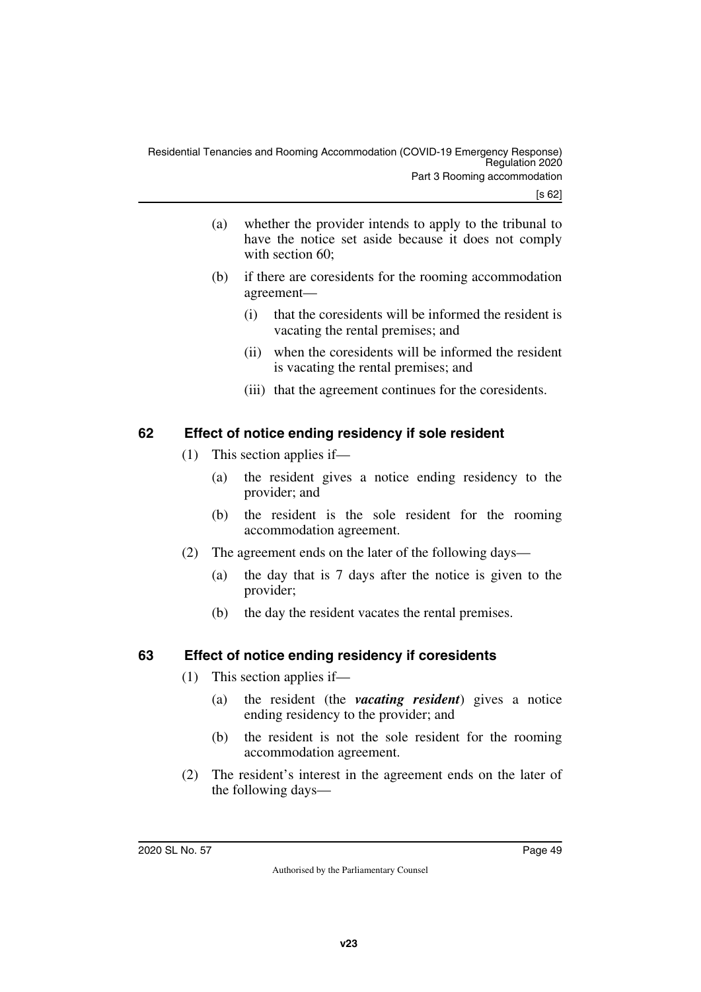- (a) whether the provider intends to apply to the tribunal to have the notice set aside because it does not comply with section 60:
- (b) if there are coresidents for the rooming accommodation agreement—
	- (i) that the coresidents will be informed the resident is vacating the rental premises; and
	- (ii) when the coresidents will be informed the resident is vacating the rental premises; and
	- (iii) that the agreement continues for the coresidents.

# <span id="page-48-0"></span>**62 Effect of notice ending residency if sole resident**

- <span id="page-48-1"></span>(1) This section applies if—
	- (a) the resident gives a notice ending residency to the provider; and
	- (b) the resident is the sole resident for the rooming accommodation agreement.
- (2) The agreement ends on the later of the following days—
	- (a) the day that is 7 days after the notice is given to the provider;
	- (b) the day the resident vacates the rental premises.

# <span id="page-48-2"></span>**63 Effect of notice ending residency if coresidents**

- <span id="page-48-3"></span>(1) This section applies if—
	- (a) the resident (the *vacating resident*) gives a notice ending residency to the provider; and
	- (b) the resident is not the sole resident for the rooming accommodation agreement.
- (2) The resident's interest in the agreement ends on the later of the following days—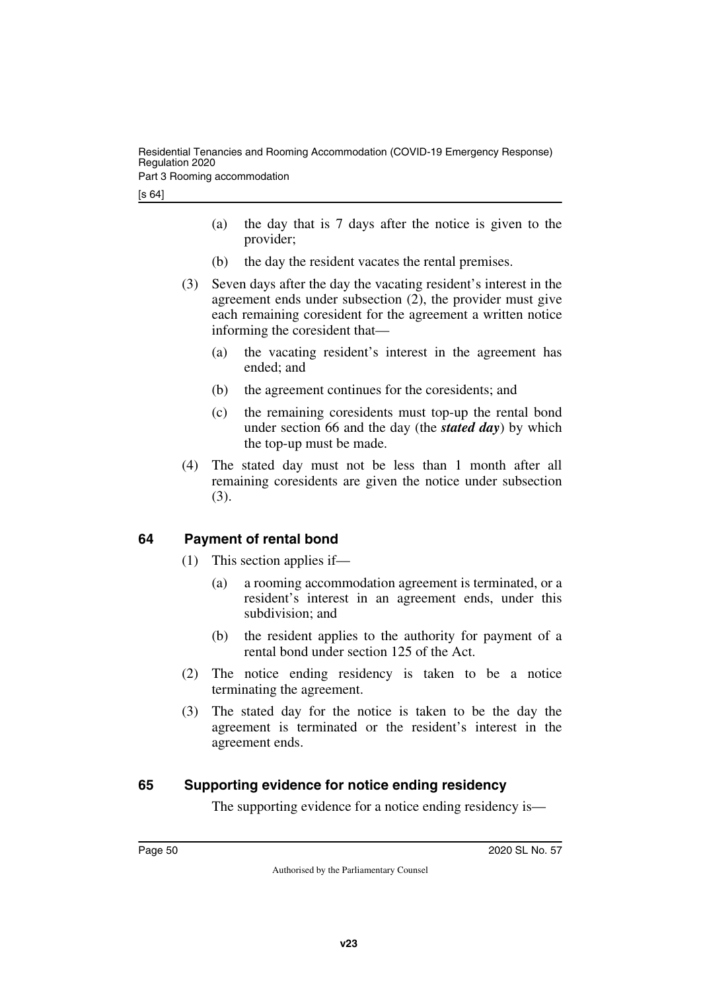Part 3 Rooming accommodation

- (a) the day that is 7 days after the notice is given to the provider;
- (b) the day the resident vacates the rental premises.
- (3) Seven days after the day the vacating resident's interest in the agreement ends under subsection (2), the provider must give each remaining coresident for the agreement a written notice informing the coresident that—
	- (a) the vacating resident's interest in the agreement has ended; and
	- (b) the agreement continues for the coresidents; and
	- (c) the remaining coresidents must top-up the rental bond under section 66 and the day (the *stated day*) by which the top-up must be made.
- (4) The stated day must not be less than 1 month after all remaining coresidents are given the notice under subsection (3).

# <span id="page-49-0"></span>**64 Payment of rental bond**

- <span id="page-49-1"></span>(1) This section applies if—
	- (a) a rooming accommodation agreement is terminated, or a resident's interest in an agreement ends, under this subdivision; and
	- (b) the resident applies to the authority for payment of a rental bond under section 125 of the Act.
- (2) The notice ending residency is taken to be a notice terminating the agreement.
- (3) The stated day for the notice is taken to be the day the agreement is terminated or the resident's interest in the agreement ends.

# <span id="page-49-2"></span>**65 Supporting evidence for notice ending residency**

<span id="page-49-3"></span>The supporting evidence for a notice ending residency is—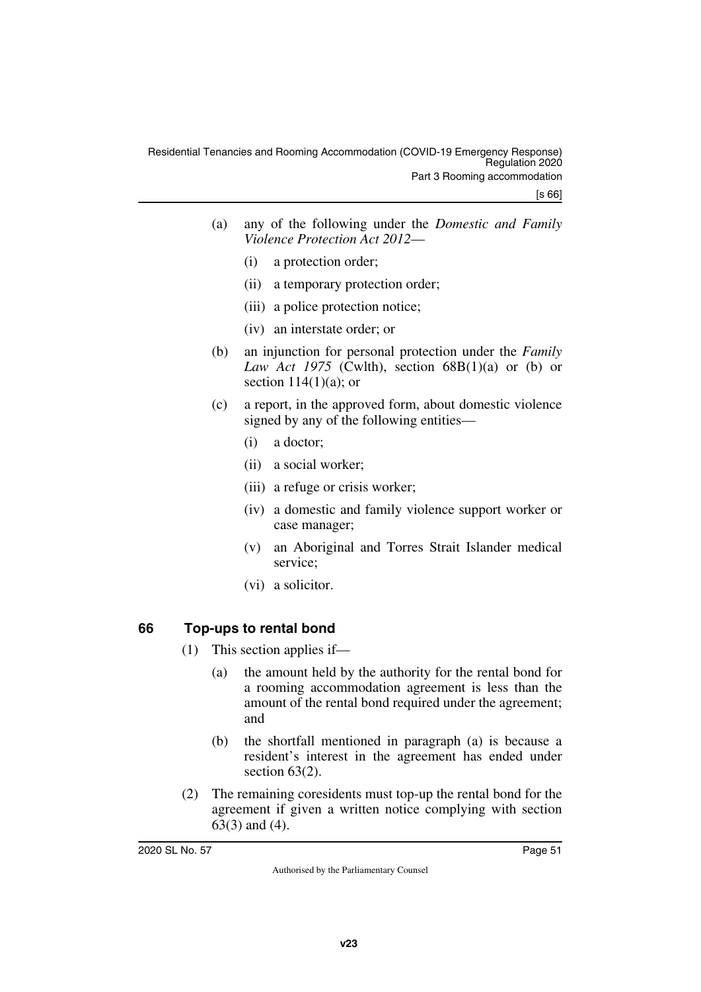| (a) | any of the following under the <i>Domestic and Family</i> |
|-----|-----------------------------------------------------------|
|     | Violence Protection Act 2012-                             |

- (i) a protection order;
- (ii) a temporary protection order;
- (iii) a police protection notice;
- (iv) an interstate order; or
- (b) an injunction for personal protection under the *Family Law Act 1975* (Cwlth), section  $68B(1)(a)$  or (b) or section  $114(1)(a)$ ; or
- (c) a report, in the approved form, about domestic violence signed by any of the following entities—
	- (i) a doctor;
	- (ii) a social worker;
	- (iii) a refuge or crisis worker;
	- (iv) a domestic and family violence support worker or case manager;
	- (v) an Aboriginal and Torres Strait Islander medical service;
	- (vi) a solicitor.

# <span id="page-50-0"></span>**66 Top-ups to rental bond**

- <span id="page-50-1"></span>(1) This section applies if—
	- (a) the amount held by the authority for the rental bond for a rooming accommodation agreement is less than the amount of the rental bond required under the agreement; and
	- (b) the shortfall mentioned in paragraph (a) is because a resident's interest in the agreement has ended under section 63(2).
- (2) The remaining coresidents must top-up the rental bond for the agreement if given a written notice complying with section 63(3) and (4).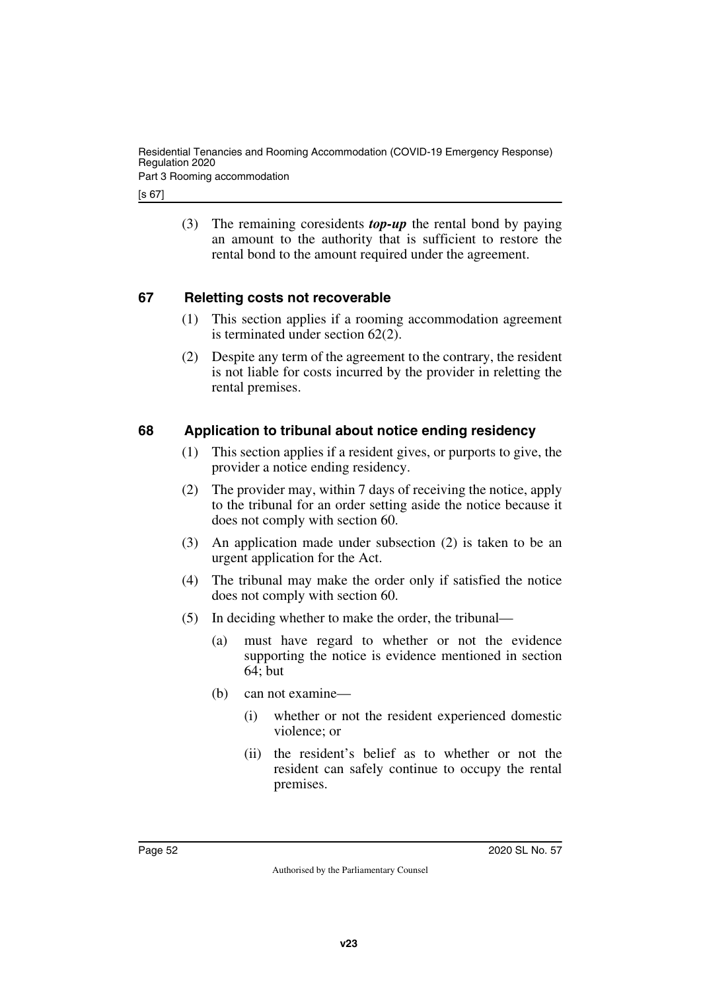Residential Tenancies and Rooming Accommodation (COVID-19 Emergency Response) Regulation 2020

Part 3 Rooming accommodation

[s 67]

(3) The remaining coresidents *top-up* the rental bond by paying an amount to the authority that is sufficient to restore the rental bond to the amount required under the agreement.

### <span id="page-51-0"></span>**67 Reletting costs not recoverable**

- <span id="page-51-1"></span>(1) This section applies if a rooming accommodation agreement is terminated under section 62(2).
- (2) Despite any term of the agreement to the contrary, the resident is not liable for costs incurred by the provider in reletting the rental premises.

### <span id="page-51-2"></span>**68 Application to tribunal about notice ending residency**

- <span id="page-51-3"></span>(1) This section applies if a resident gives, or purports to give, the provider a notice ending residency.
- (2) The provider may, within 7 days of receiving the notice, apply to the tribunal for an order setting aside the notice because it does not comply with section 60.
- (3) An application made under subsection (2) is taken to be an urgent application for the Act.
- (4) The tribunal may make the order only if satisfied the notice does not comply with section 60.
- (5) In deciding whether to make the order, the tribunal—
	- (a) must have regard to whether or not the evidence supporting the notice is evidence mentioned in section 64; but
	- (b) can not examine—
		- (i) whether or not the resident experienced domestic violence; or
		- (ii) the resident's belief as to whether or not the resident can safely continue to occupy the rental premises.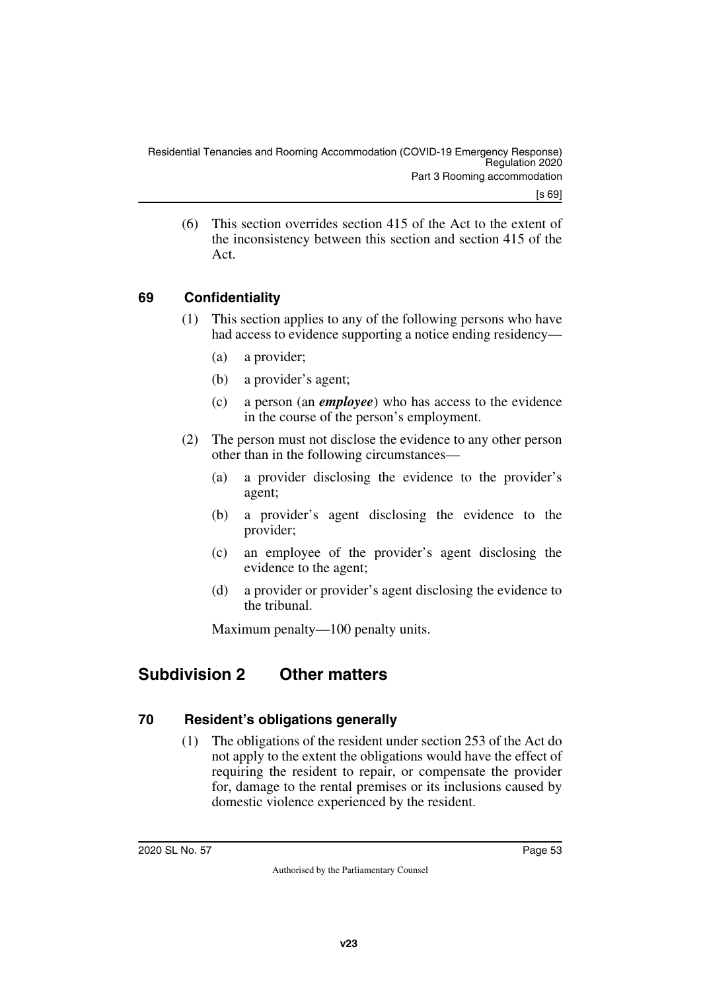(6) This section overrides section 415 of the Act to the extent of the inconsistency between this section and section 415 of the Act.

# <span id="page-52-0"></span>**69 Confidentiality**

- <span id="page-52-1"></span>(1) This section applies to any of the following persons who have had access to evidence supporting a notice ending residency—
	- (a) a provider;
	- (b) a provider's agent;
	- (c) a person (an *employee*) who has access to the evidence in the course of the person's employment.
- (2) The person must not disclose the evidence to any other person other than in the following circumstances—
	- (a) a provider disclosing the evidence to the provider's agent;
	- (b) a provider's agent disclosing the evidence to the provider;
	- (c) an employee of the provider's agent disclosing the evidence to the agent;
	- (d) a provider or provider's agent disclosing the evidence to the tribunal.

<span id="page-52-3"></span>Maximum penalty—100 penalty units.

# <span id="page-52-2"></span>**Subdivision 2 Other matters**

#### <span id="page-52-4"></span>**70 Resident's obligations generally**

<span id="page-52-5"></span>(1) The obligations of the resident under section 253 of the Act do not apply to the extent the obligations would have the effect of requiring the resident to repair, or compensate the provider for, damage to the rental premises or its inclusions caused by domestic violence experienced by the resident.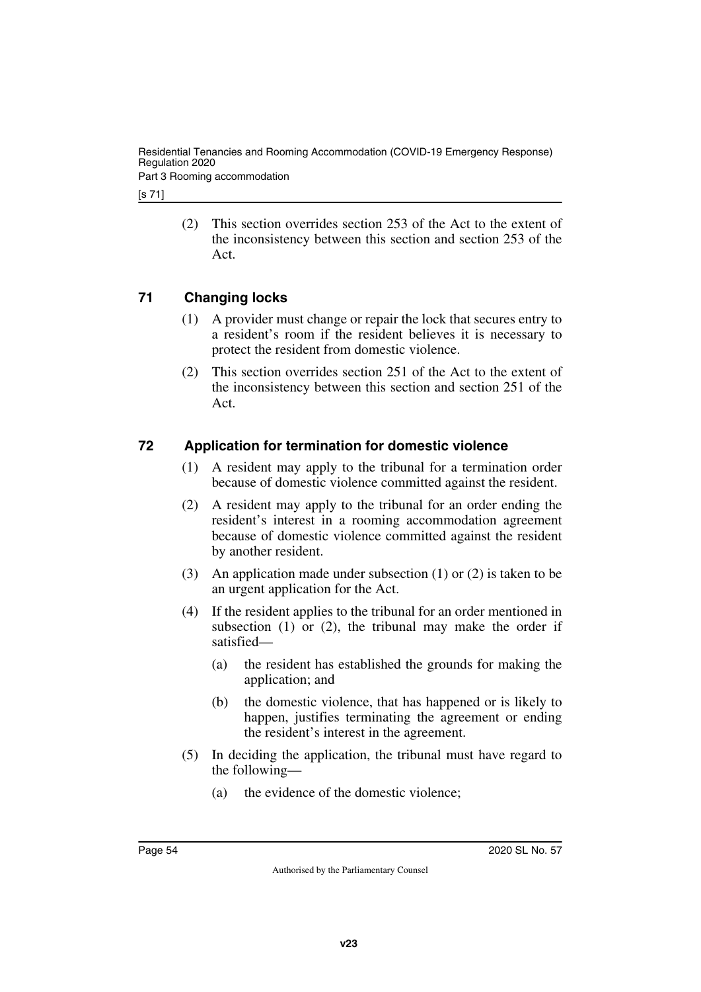Residential Tenancies and Rooming Accommodation (COVID-19 Emergency Response) Regulation 2020

Part 3 Rooming accommodation

[s 71]

(2) This section overrides section 253 of the Act to the extent of the inconsistency between this section and section 253 of the Act.

# <span id="page-53-0"></span>**71 Changing locks**

- <span id="page-53-1"></span>(1) A provider must change or repair the lock that secures entry to a resident's room if the resident believes it is necessary to protect the resident from domestic violence.
- (2) This section overrides section 251 of the Act to the extent of the inconsistency between this section and section 251 of the Act.

# <span id="page-53-2"></span>**72 Application for termination for domestic violence**

- <span id="page-53-3"></span>(1) A resident may apply to the tribunal for a termination order because of domestic violence committed against the resident.
- (2) A resident may apply to the tribunal for an order ending the resident's interest in a rooming accommodation agreement because of domestic violence committed against the resident by another resident.
- (3) An application made under subsection (1) or (2) is taken to be an urgent application for the Act.
- (4) If the resident applies to the tribunal for an order mentioned in subsection  $(1)$  or  $(2)$ , the tribunal may make the order if satisfied—
	- (a) the resident has established the grounds for making the application; and
	- (b) the domestic violence, that has happened or is likely to happen, justifies terminating the agreement or ending the resident's interest in the agreement.
- (5) In deciding the application, the tribunal must have regard to the following—
	- (a) the evidence of the domestic violence;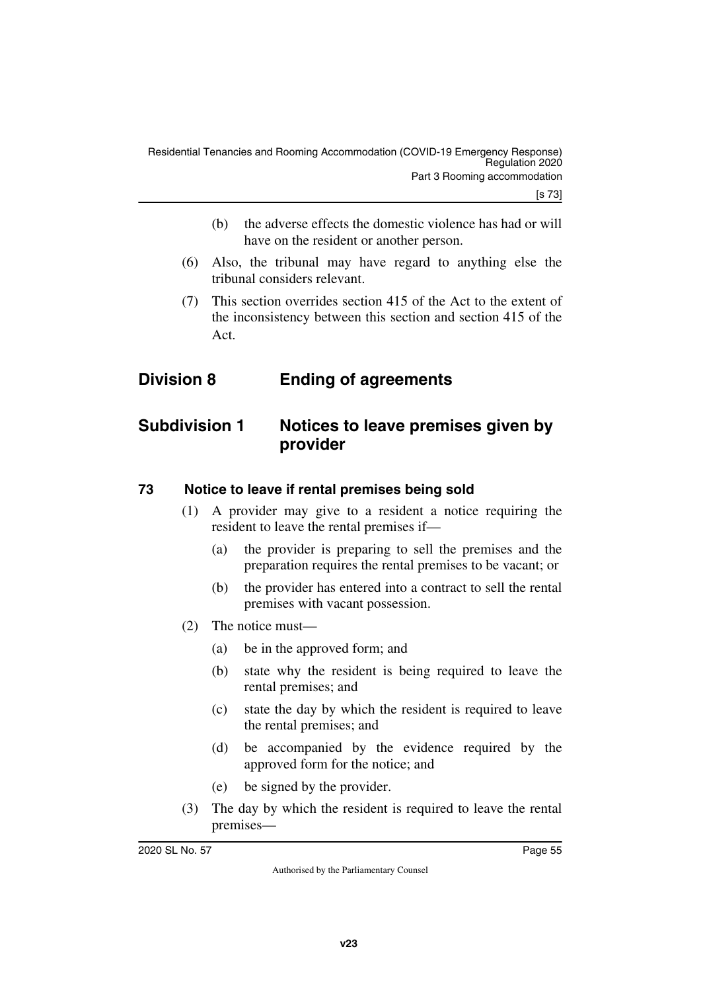- (b) the adverse effects the domestic violence has had or will have on the resident or another person.
- (6) Also, the tribunal may have regard to anything else the tribunal considers relevant.
- <span id="page-54-1"></span>(7) This section overrides section 415 of the Act to the extent of the inconsistency between this section and section 415 of the Act.

# <span id="page-54-0"></span>**Division 8 Ending of agreements**

# <span id="page-54-2"></span>**Subdivision 1 Notices to leave premises given by provider**

# <span id="page-54-4"></span>**73 Notice to leave if rental premises being sold**

- <span id="page-54-5"></span><span id="page-54-3"></span>(1) A provider may give to a resident a notice requiring the resident to leave the rental premises if—
	- (a) the provider is preparing to sell the premises and the preparation requires the rental premises to be vacant; or
	- (b) the provider has entered into a contract to sell the rental premises with vacant possession.
- (2) The notice must—
	- (a) be in the approved form; and
	- (b) state why the resident is being required to leave the rental premises; and
	- (c) state the day by which the resident is required to leave the rental premises; and
	- (d) be accompanied by the evidence required by the approved form for the notice; and
	- (e) be signed by the provider.
- (3) The day by which the resident is required to leave the rental premises—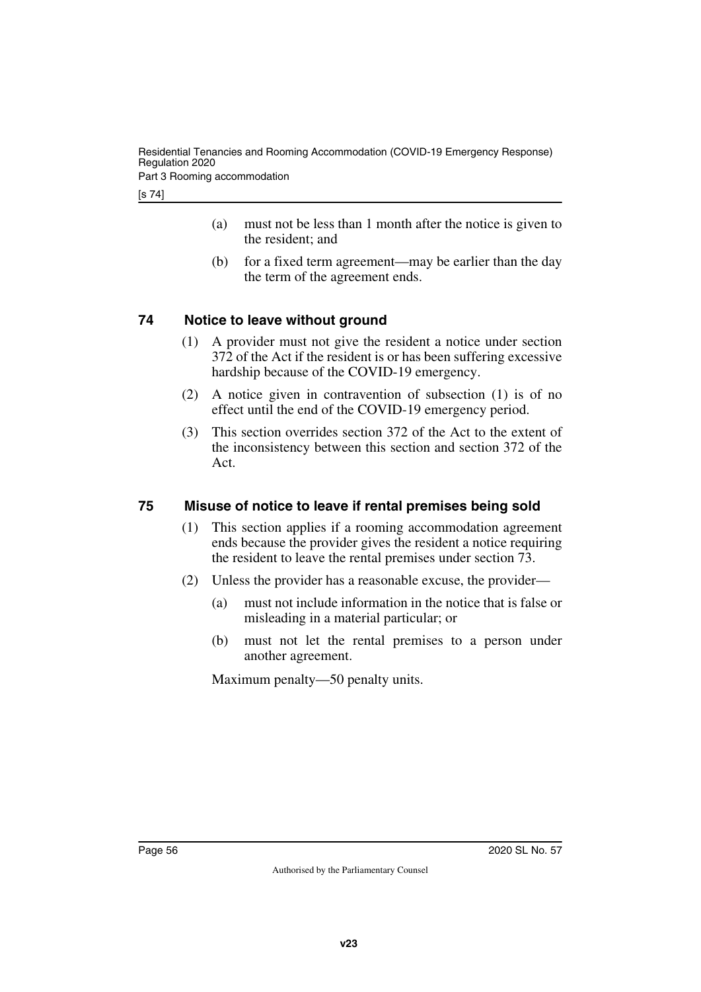Part 3 Rooming accommodation

[s 74]

- (a) must not be less than 1 month after the notice is given to the resident; and
- (b) for a fixed term agreement—may be earlier than the day the term of the agreement ends.

# <span id="page-55-0"></span>**74 Notice to leave without ground**

- <span id="page-55-1"></span>(1) A provider must not give the resident a notice under section 372 of the Act if the resident is or has been suffering excessive hardship because of the COVID-19 emergency.
- (2) A notice given in contravention of subsection (1) is of no effect until the end of the COVID-19 emergency period.
- (3) This section overrides section 372 of the Act to the extent of the inconsistency between this section and section 372 of the Act.

# <span id="page-55-2"></span>**75 Misuse of notice to leave if rental premises being sold**

- <span id="page-55-3"></span>(1) This section applies if a rooming accommodation agreement ends because the provider gives the resident a notice requiring the resident to leave the rental premises under section 73.
- (2) Unless the provider has a reasonable excuse, the provider—
	- (a) must not include information in the notice that is false or misleading in a material particular; or
	- (b) must not let the rental premises to a person under another agreement.

Maximum penalty—50 penalty units.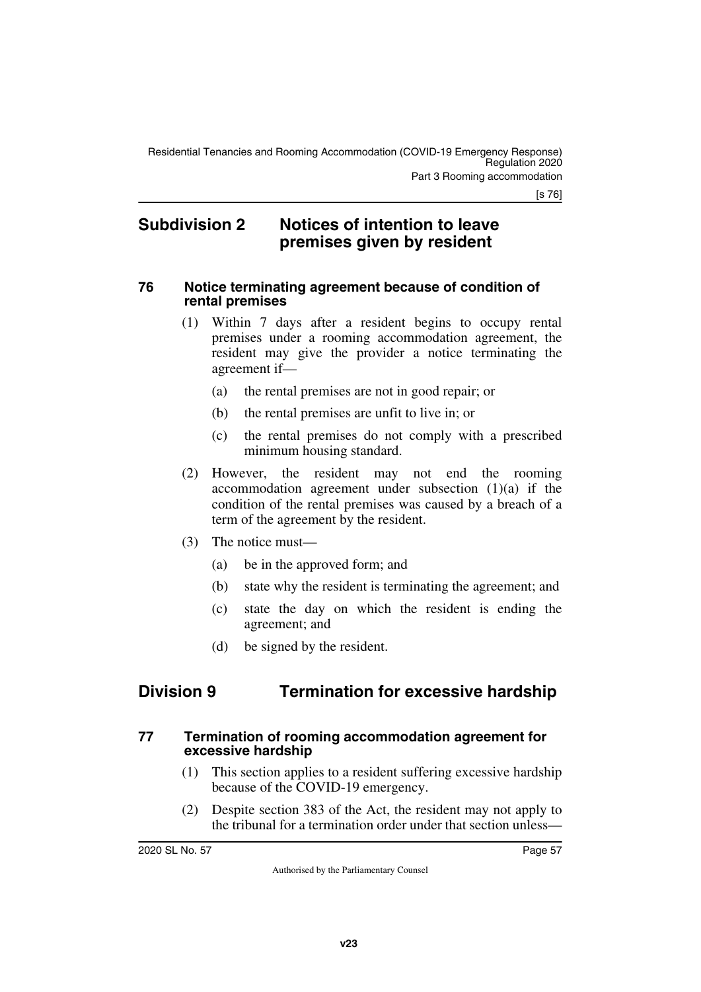# <span id="page-56-1"></span><span id="page-56-0"></span>**Subdivision 2 Notices of intention to leave premises given by resident**

#### <span id="page-56-2"></span>**76 Notice terminating agreement because of condition of rental premises**

- <span id="page-56-3"></span>(1) Within 7 days after a resident begins to occupy rental premises under a rooming accommodation agreement, the resident may give the provider a notice terminating the agreement if—
	- (a) the rental premises are not in good repair; or
	- (b) the rental premises are unfit to live in; or
	- (c) the rental premises do not comply with a prescribed minimum housing standard.
- (2) However, the resident may not end the rooming accommodation agreement under subsection  $(1)(a)$  if the condition of the rental premises was caused by a breach of a term of the agreement by the resident.
- (3) The notice must—
	- (a) be in the approved form; and
	- (b) state why the resident is terminating the agreement; and
	- (c) state the day on which the resident is ending the agreement; and
	- (d) be signed by the resident.

# <span id="page-56-4"></span>**Division 9 Termination for excessive hardship**

### <span id="page-56-6"></span>**77 Termination of rooming accommodation agreement for excessive hardship**

- <span id="page-56-7"></span><span id="page-56-5"></span>(1) This section applies to a resident suffering excessive hardship because of the COVID-19 emergency.
- (2) Despite section 383 of the Act, the resident may not apply to the tribunal for a termination order under that section unless—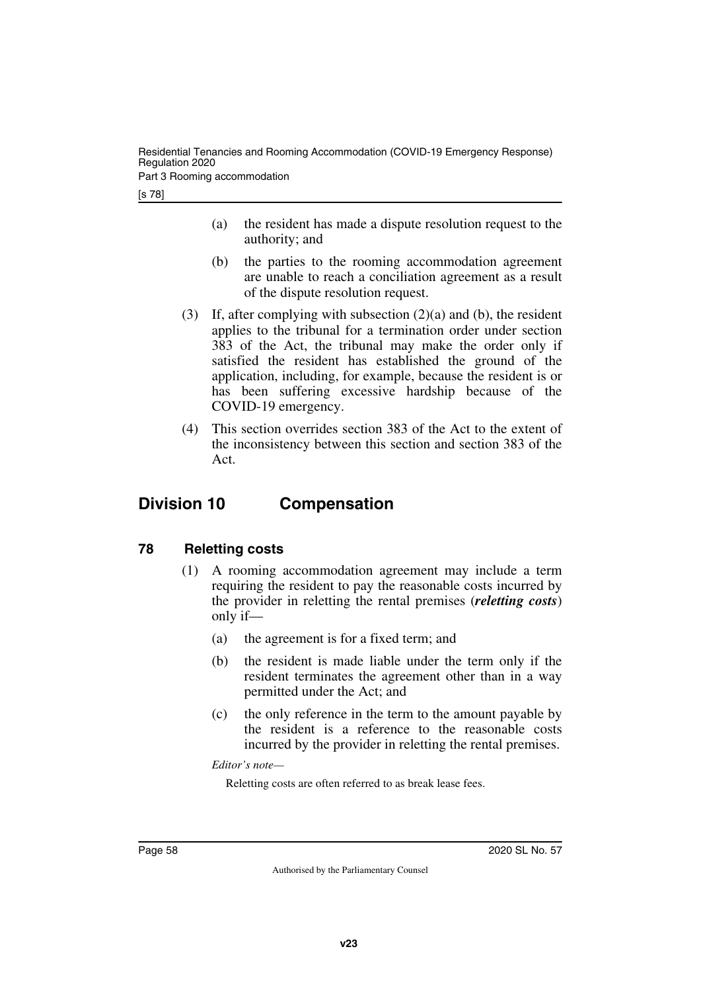Residential Tenancies and Rooming Accommodation (COVID-19 Emergency Response) Regulation 2020

Part 3 Rooming accommodation

[s 78]

- (a) the resident has made a dispute resolution request to the authority; and
- (b) the parties to the rooming accommodation agreement are unable to reach a conciliation agreement as a result of the dispute resolution request.
- (3) If, after complying with subsection (2)(a) and (b), the resident applies to the tribunal for a termination order under section 383 of the Act, the tribunal may make the order only if satisfied the resident has established the ground of the application, including, for example, because the resident is or has been suffering excessive hardship because of the COVID-19 emergency.
- <span id="page-57-1"></span>(4) This section overrides section 383 of the Act to the extent of the inconsistency between this section and section 383 of the Act.

# <span id="page-57-0"></span>**Division 10 Compensation**

# <span id="page-57-2"></span>**78 Reletting costs**

- <span id="page-57-3"></span>(1) A rooming accommodation agreement may include a term requiring the resident to pay the reasonable costs incurred by the provider in reletting the rental premises (*reletting costs*) only if—
	- (a) the agreement is for a fixed term; and
	- (b) the resident is made liable under the term only if the resident terminates the agreement other than in a way permitted under the Act; and
	- (c) the only reference in the term to the amount payable by the resident is a reference to the reasonable costs incurred by the provider in reletting the rental premises.

*Editor's note—*

Reletting costs are often referred to as break lease fees.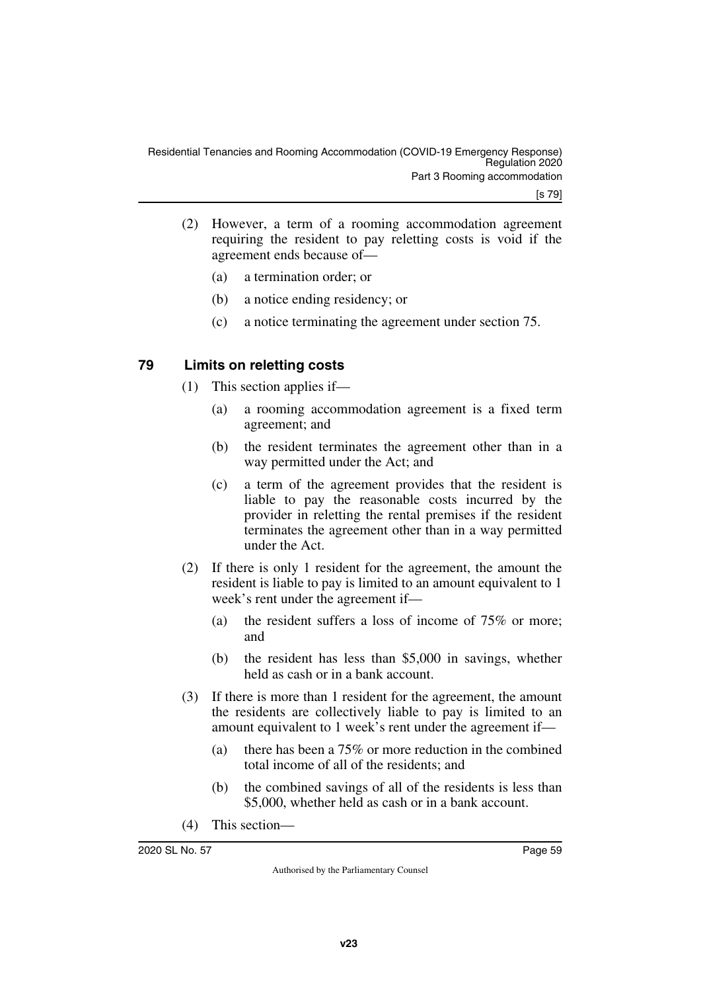- (2) However, a term of a rooming accommodation agreement requiring the resident to pay reletting costs is void if the agreement ends because of—
	- (a) a termination order; or
	- (b) a notice ending residency; or
	- (c) a notice terminating the agreement under section 75.

### <span id="page-58-0"></span>**79 Limits on reletting costs**

- <span id="page-58-1"></span>(1) This section applies if—
	- (a) a rooming accommodation agreement is a fixed term agreement; and
	- (b) the resident terminates the agreement other than in a way permitted under the Act; and
	- (c) a term of the agreement provides that the resident is liable to pay the reasonable costs incurred by the provider in reletting the rental premises if the resident terminates the agreement other than in a way permitted under the Act.
- (2) If there is only 1 resident for the agreement, the amount the resident is liable to pay is limited to an amount equivalent to 1 week's rent under the agreement if—
	- (a) the resident suffers a loss of income of 75% or more; and
	- (b) the resident has less than \$5,000 in savings, whether held as cash or in a bank account.
- (3) If there is more than 1 resident for the agreement, the amount the residents are collectively liable to pay is limited to an amount equivalent to 1 week's rent under the agreement if—
	- (a) there has been a 75% or more reduction in the combined total income of all of the residents; and
	- (b) the combined savings of all of the residents is less than \$5,000, whether held as cash or in a bank account.
- (4) This section—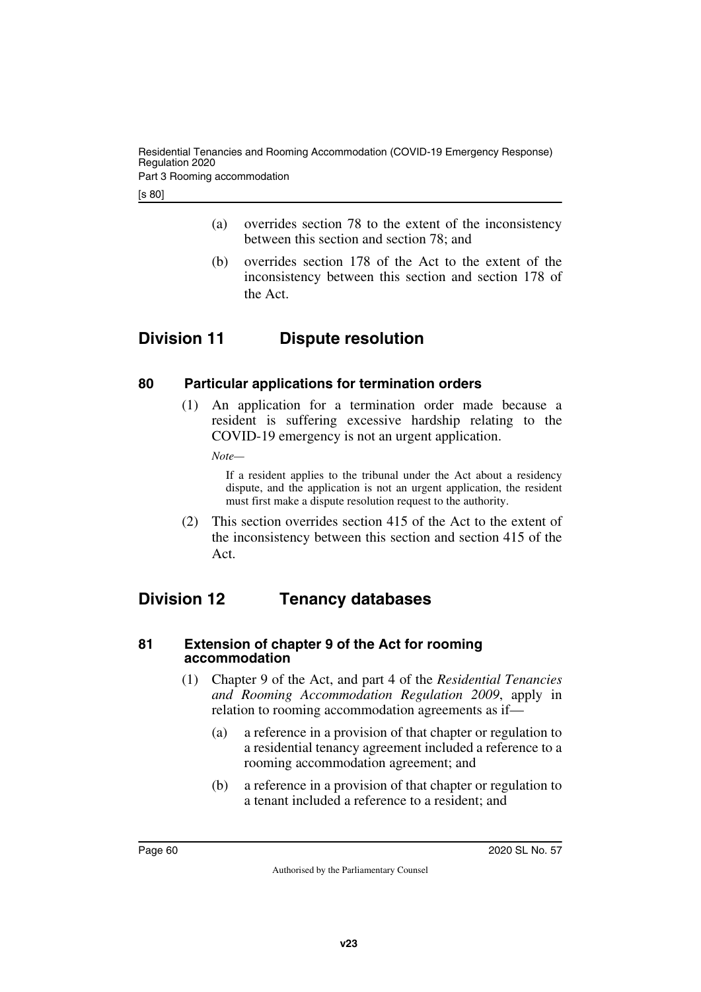Part 3 Rooming accommodation

- (a) overrides section 78 to the extent of the inconsistency between this section and section 78; and
- <span id="page-59-1"></span>(b) overrides section 178 of the Act to the extent of the inconsistency between this section and section 178 of the Act.

# <span id="page-59-0"></span>**Division 11 Dispute resolution**

# <span id="page-59-2"></span>**80 Particular applications for termination orders**

<span id="page-59-3"></span>(1) An application for a termination order made because a resident is suffering excessive hardship relating to the COVID-19 emergency is not an urgent application.

*Note—*

If a resident applies to the tribunal under the Act about a residency dispute, and the application is not an urgent application, the resident must first make a dispute resolution request to the authority.

<span id="page-59-5"></span>(2) This section overrides section 415 of the Act to the extent of the inconsistency between this section and section 415 of the Act.

# <span id="page-59-4"></span>**Division 12 Tenancy databases**

#### <span id="page-59-7"></span><span id="page-59-6"></span>**81 Extension of chapter 9 of the Act for rooming accommodation**

- (1) Chapter 9 of the Act, and part 4 of the *Residential Tenancies and Rooming Accommodation Regulation 2009*, apply in relation to rooming accommodation agreements as if—
	- (a) a reference in a provision of that chapter or regulation to a residential tenancy agreement included a reference to a rooming accommodation agreement; and
	- (b) a reference in a provision of that chapter or regulation to a tenant included a reference to a resident; and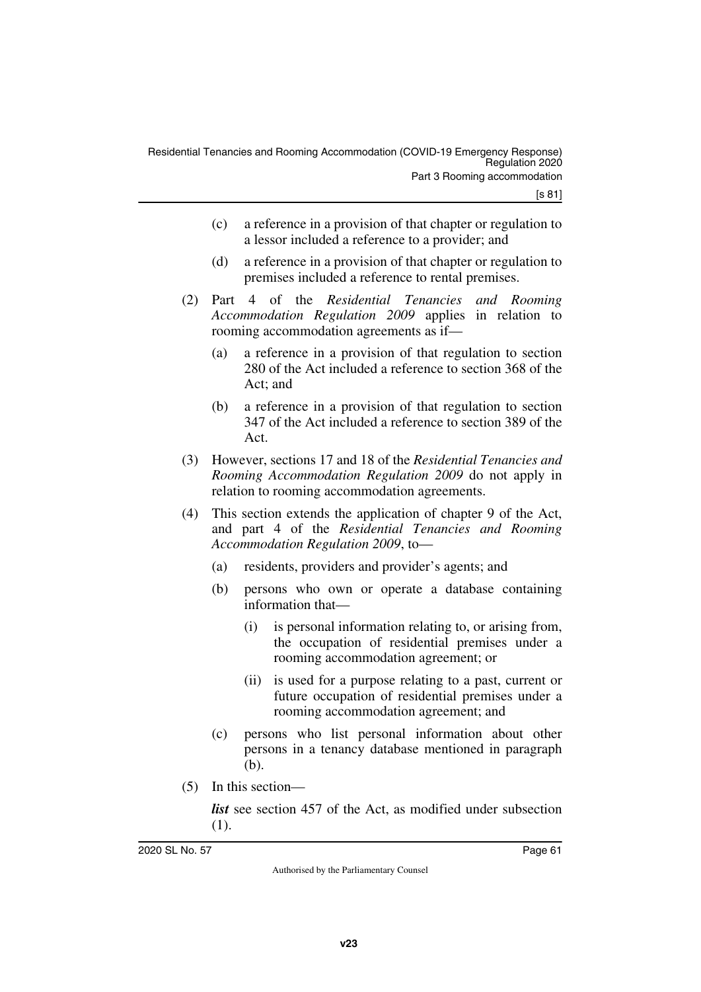- (c) a reference in a provision of that chapter or regulation to a lessor included a reference to a provider; and
- (d) a reference in a provision of that chapter or regulation to premises included a reference to rental premises.
- (2) Part 4 of the *Residential Tenancies and Rooming Accommodation Regulation 2009* applies in relation to rooming accommodation agreements as if—
	- (a) a reference in a provision of that regulation to section 280 of the Act included a reference to section 368 of the Act; and
	- (b) a reference in a provision of that regulation to section 347 of the Act included a reference to section 389 of the Act.
- (3) However, sections 17 and 18 of the *Residential Tenancies and Rooming Accommodation Regulation 2009* do not apply in relation to rooming accommodation agreements.
- (4) This section extends the application of chapter 9 of the Act, and part 4 of the *Residential Tenancies and Rooming Accommodation Regulation 2009*, to—
	- (a) residents, providers and provider's agents; and
	- (b) persons who own or operate a database containing information that—
		- (i) is personal information relating to, or arising from, the occupation of residential premises under a rooming accommodation agreement; or
		- (ii) is used for a purpose relating to a past, current or future occupation of residential premises under a rooming accommodation agreement; and
	- (c) persons who list personal information about other persons in a tenancy database mentioned in paragraph (b).
- (5) In this section—

*list* see section 457 of the Act, as modified under subsection (1).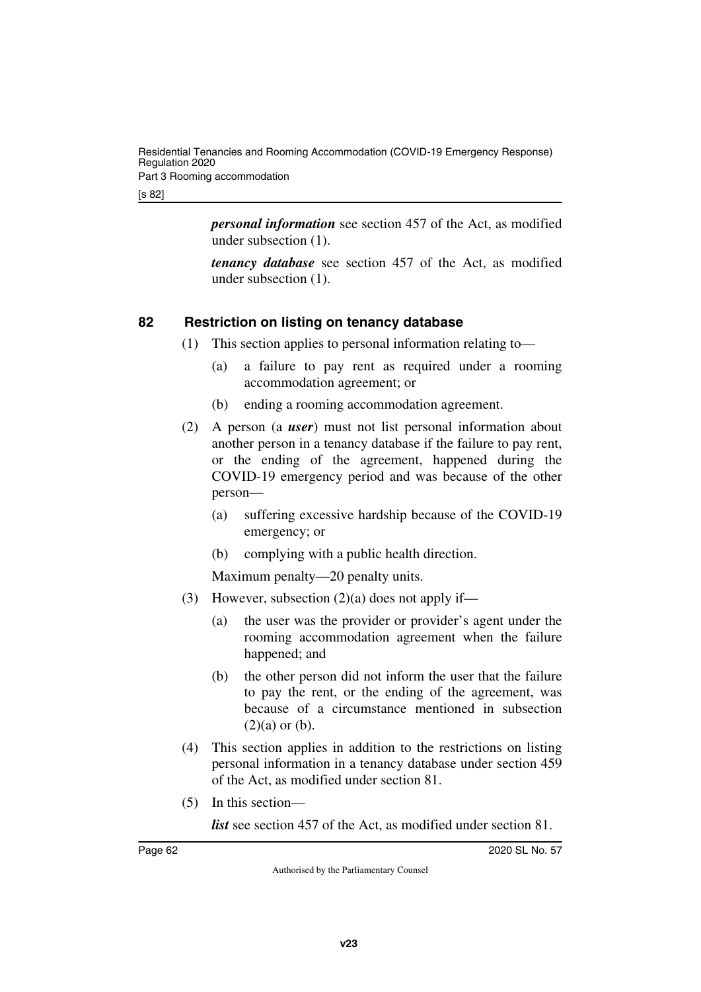[s 82]

*personal information* see section 457 of the Act, as modified under subsection (1).

*tenancy database* see section 457 of the Act, as modified under subsection (1).

# <span id="page-61-0"></span>**82 Restriction on listing on tenancy database**

- <span id="page-61-1"></span>(1) This section applies to personal information relating to—
	- (a) a failure to pay rent as required under a rooming accommodation agreement; or
	- (b) ending a rooming accommodation agreement.
- (2) A person (a *user*) must not list personal information about another person in a tenancy database if the failure to pay rent, or the ending of the agreement, happened during the COVID-19 emergency period and was because of the other person—
	- (a) suffering excessive hardship because of the COVID-19 emergency; or
	- (b) complying with a public health direction.

Maximum penalty—20 penalty units.

- (3) However, subsection  $(2)(a)$  does not apply if—
	- (a) the user was the provider or provider's agent under the rooming accommodation agreement when the failure happened; and
	- (b) the other person did not inform the user that the failure to pay the rent, or the ending of the agreement, was because of a circumstance mentioned in subsection  $(2)(a)$  or  $(b)$ .
- (4) This section applies in addition to the restrictions on listing personal information in a tenancy database under section 459 of the Act, as modified under section 81.
- (5) In this section—

*list* see section 457 of the Act, as modified under section 81.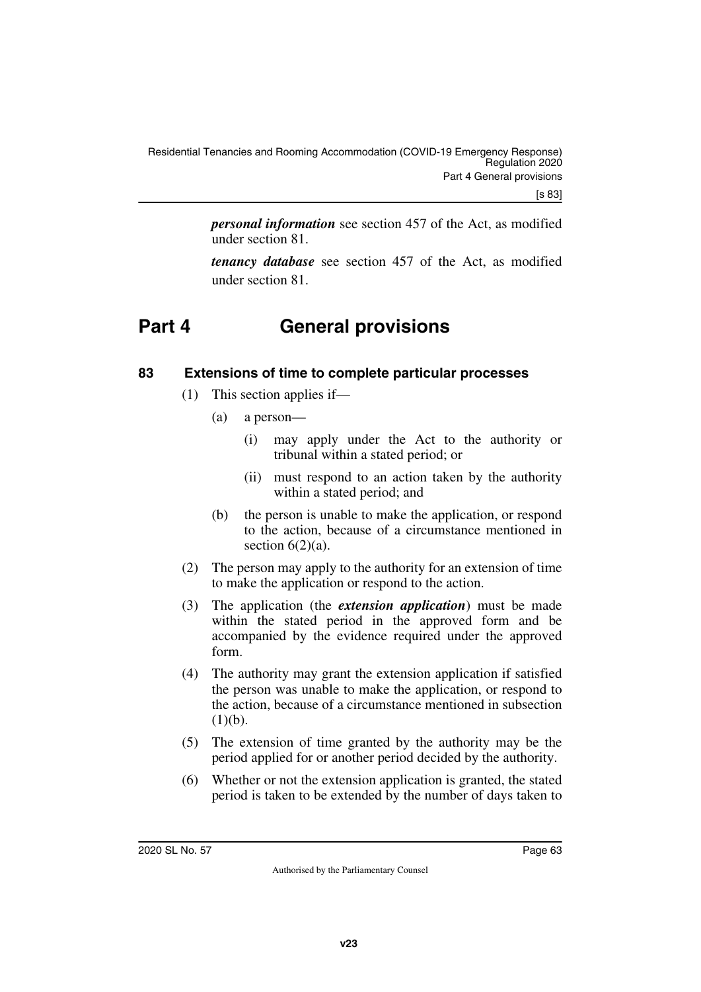*personal information* see section 457 of the Act, as modified under section 81.

<span id="page-62-1"></span>*tenancy database* see section 457 of the Act, as modified under section 81.

# <span id="page-62-0"></span>**Part 4 General provisions**

# <span id="page-62-2"></span>**83 Extensions of time to complete particular processes**

- <span id="page-62-3"></span>(1) This section applies if—
	- (a) a person—
		- (i) may apply under the Act to the authority or tribunal within a stated period; or
		- (ii) must respond to an action taken by the authority within a stated period; and
	- (b) the person is unable to make the application, or respond to the action, because of a circumstance mentioned in section  $6(2)(a)$ .
- (2) The person may apply to the authority for an extension of time to make the application or respond to the action.
- (3) The application (the *extension application*) must be made within the stated period in the approved form and be accompanied by the evidence required under the approved form.
- (4) The authority may grant the extension application if satisfied the person was unable to make the application, or respond to the action, because of a circumstance mentioned in subsection  $(1)(b)$ .
- (5) The extension of time granted by the authority may be the period applied for or another period decided by the authority.
- (6) Whether or not the extension application is granted, the stated period is taken to be extended by the number of days taken to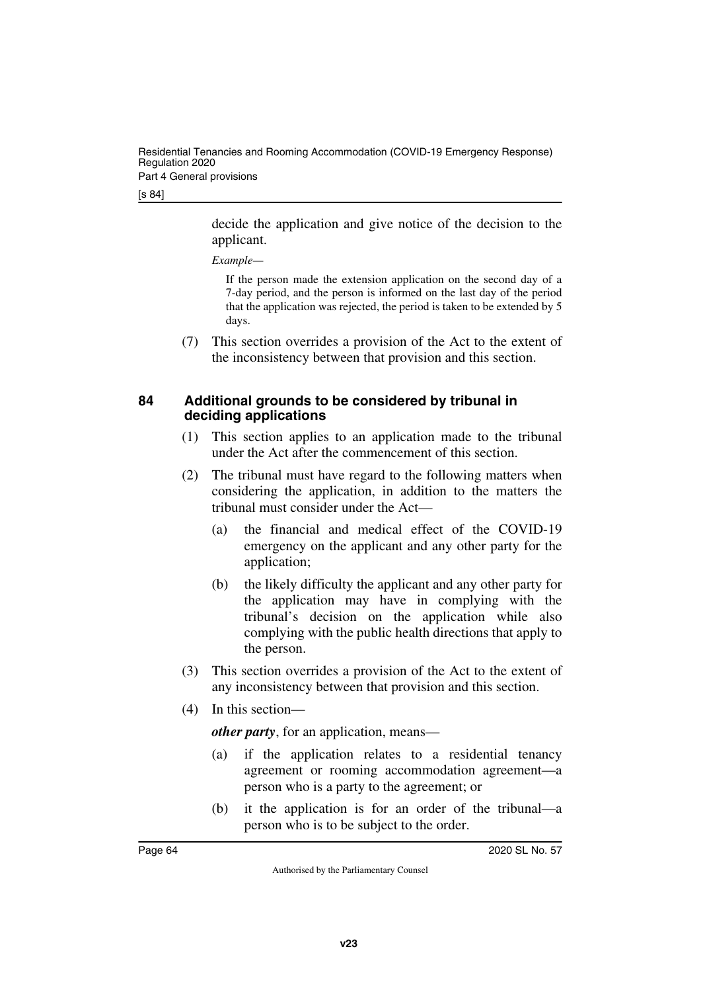Residential Tenancies and Rooming Accommodation (COVID-19 Emergency Response) Regulation 2020 Part 4 General provisions

[s 84]

decide the application and give notice of the decision to the applicant.

#### *Example—*

If the person made the extension application on the second day of a 7-day period, and the person is informed on the last day of the period that the application was rejected, the period is taken to be extended by 5 days.

<span id="page-63-1"></span>(7) This section overrides a provision of the Act to the extent of the inconsistency between that provision and this section.

### <span id="page-63-0"></span>**84 Additional grounds to be considered by tribunal in deciding applications**

- (1) This section applies to an application made to the tribunal under the Act after the commencement of this section.
- (2) The tribunal must have regard to the following matters when considering the application, in addition to the matters the tribunal must consider under the Act—
	- (a) the financial and medical effect of the COVID-19 emergency on the applicant and any other party for the application;
	- (b) the likely difficulty the applicant and any other party for the application may have in complying with the tribunal's decision on the application while also complying with the public health directions that apply to the person.
- (3) This section overrides a provision of the Act to the extent of any inconsistency between that provision and this section.
- (4) In this section—

*other party*, for an application, means—

- (a) if the application relates to a residential tenancy agreement or rooming accommodation agreement—a person who is a party to the agreement; or
- (b) it the application is for an order of the tribunal—a person who is to be subject to the order.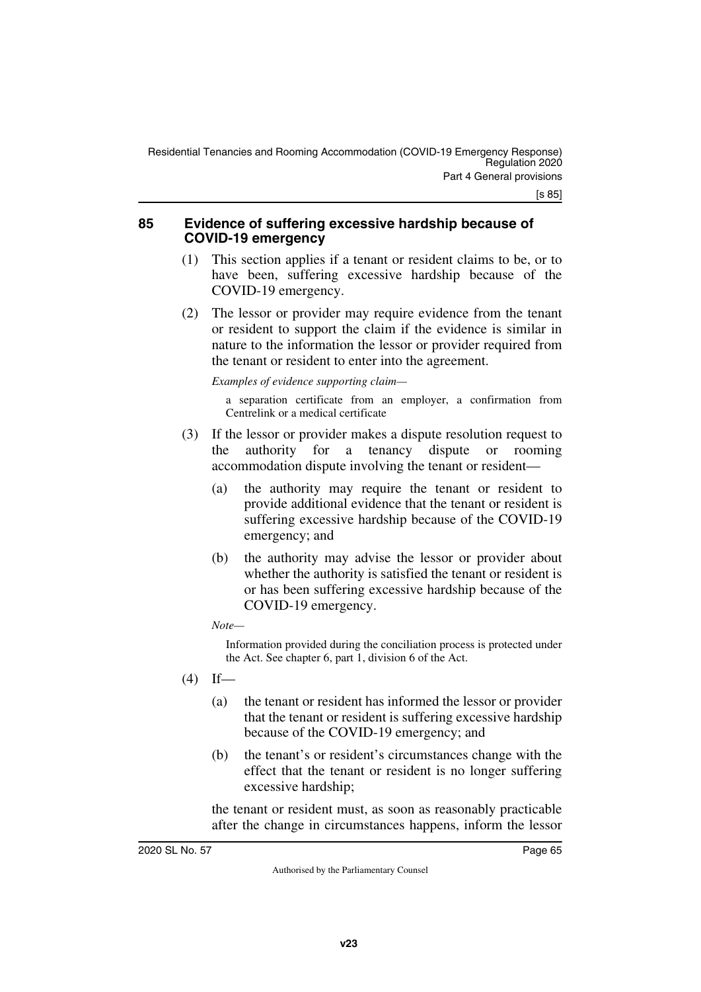#### <span id="page-64-1"></span><span id="page-64-0"></span>**85 Evidence of suffering excessive hardship because of COVID-19 emergency**

- (1) This section applies if a tenant or resident claims to be, or to have been, suffering excessive hardship because of the COVID-19 emergency.
- (2) The lessor or provider may require evidence from the tenant or resident to support the claim if the evidence is similar in nature to the information the lessor or provider required from the tenant or resident to enter into the agreement.

*Examples of evidence supporting claim—*

a separation certificate from an employer, a confirmation from Centrelink or a medical certificate

- (3) If the lessor or provider makes a dispute resolution request to the authority for a tenancy dispute or rooming accommodation dispute involving the tenant or resident—
	- (a) the authority may require the tenant or resident to provide additional evidence that the tenant or resident is suffering excessive hardship because of the COVID-19 emergency; and
	- (b) the authority may advise the lessor or provider about whether the authority is satisfied the tenant or resident is or has been suffering excessive hardship because of the COVID-19 emergency.

#### *Note—*

Information provided during the conciliation process is protected under the Act. See chapter 6, part 1, division 6 of the Act.

 $(4)$  If—

- (a) the tenant or resident has informed the lessor or provider that the tenant or resident is suffering excessive hardship because of the COVID-19 emergency; and
- (b) the tenant's or resident's circumstances change with the effect that the tenant or resident is no longer suffering excessive hardship;

the tenant or resident must, as soon as reasonably practicable after the change in circumstances happens, inform the lessor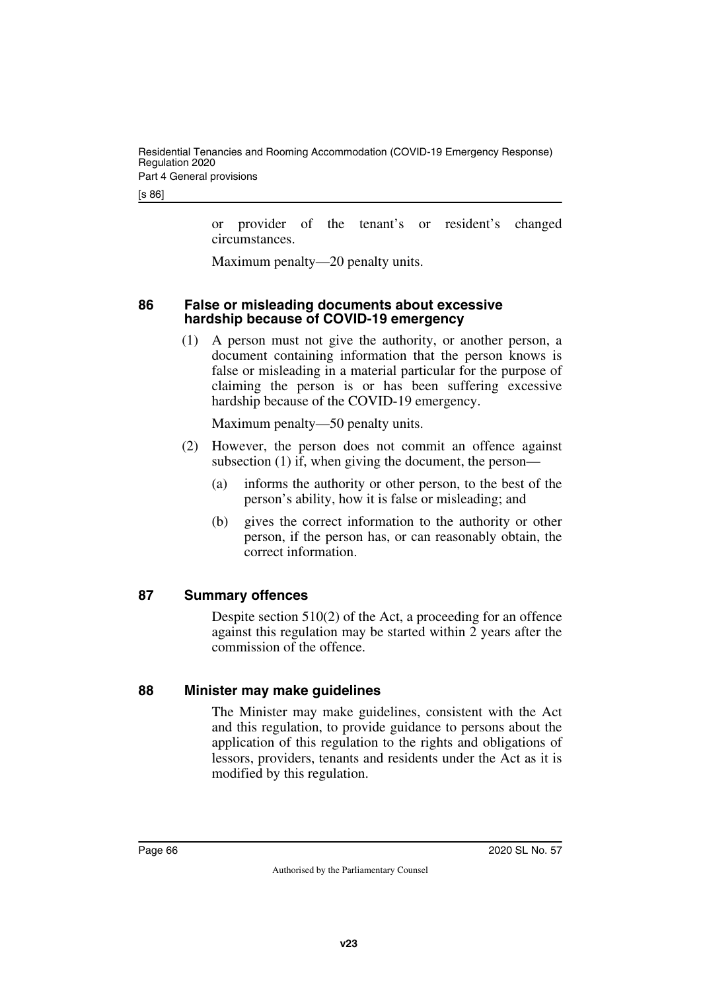[s 86]

or provider of the tenant's or resident's changed circumstances.

<span id="page-65-1"></span>Maximum penalty—20 penalty units.

#### <span id="page-65-0"></span>**86 False or misleading documents about excessive hardship because of COVID-19 emergency**

(1) A person must not give the authority, or another person, a document containing information that the person knows is false or misleading in a material particular for the purpose of claiming the person is or has been suffering excessive hardship because of the COVID-19 emergency.

Maximum penalty—50 penalty units.

- (2) However, the person does not commit an offence against subsection (1) if, when giving the document, the person—
	- (a) informs the authority or other person, to the best of the person's ability, how it is false or misleading; and
	- (b) gives the correct information to the authority or other person, if the person has, or can reasonably obtain, the correct information.

# <span id="page-65-2"></span>**87 Summary offences**

<span id="page-65-3"></span>Despite section 510(2) of the Act, a proceeding for an offence against this regulation may be started within 2 years after the commission of the offence.

#### <span id="page-65-4"></span>**88 Minister may make guidelines**

<span id="page-65-5"></span>The Minister may make guidelines, consistent with the Act and this regulation, to provide guidance to persons about the application of this regulation to the rights and obligations of lessors, providers, tenants and residents under the Act as it is modified by this regulation.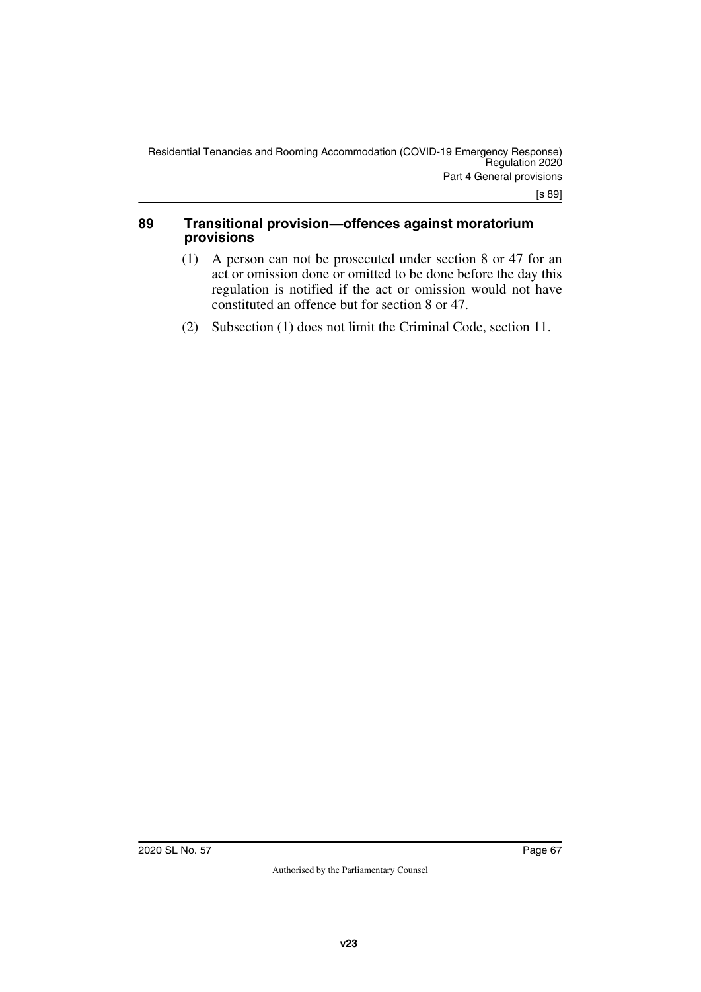#### <span id="page-66-0"></span>**89 Transitional provision—offences against moratorium provisions**

- <span id="page-66-1"></span>(1) A person can not be prosecuted under section 8 or 47 for an act or omission done or omitted to be done before the day this regulation is notified if the act or omission would not have constituted an offence but for section 8 or 47.
- (2) Subsection (1) does not limit the Criminal Code, section 11.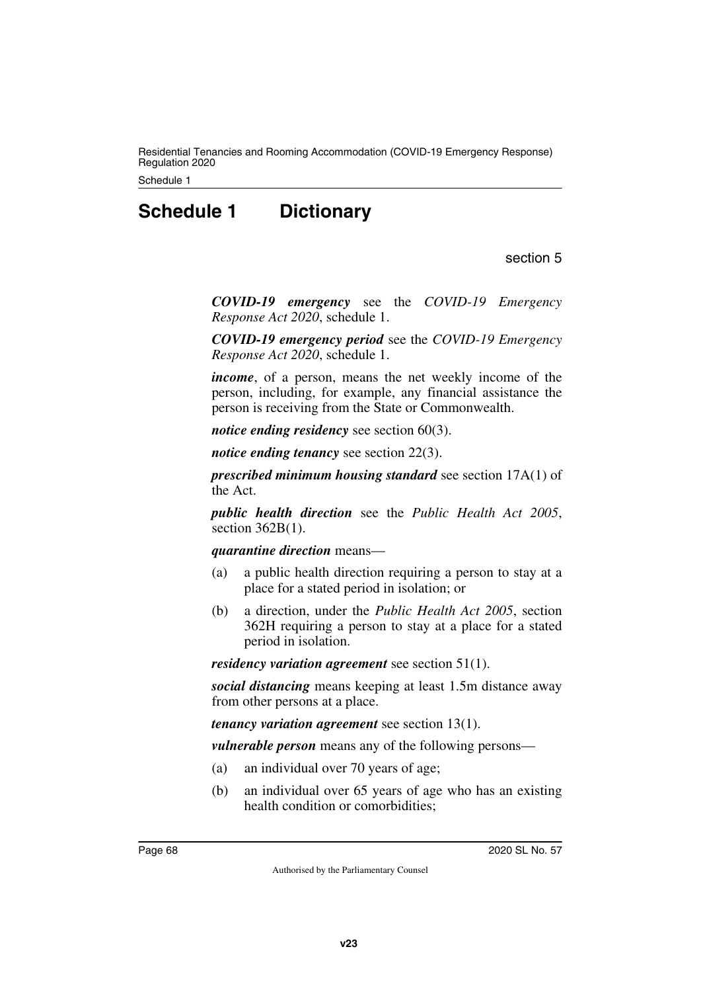Residential Tenancies and Rooming Accommodation (COVID-19 Emergency Response) Regulation 2020

<span id="page-67-0"></span>Schedule 1

# **Schedule 1 Dictionary**

section 5

<span id="page-67-1"></span>*COVID-19 emergency* see the *COVID-19 Emergency Response Act 2020*, schedule 1.

*COVID-19 emergency period* see the *COVID-19 Emergency Response Act 2020*, schedule 1.

*income*, of a person, means the net weekly income of the person, including, for example, any financial assistance the person is receiving from the State or Commonwealth.

*notice ending residency* see section 60(3).

*notice ending tenancy* see section 22(3).

*prescribed minimum housing standard* see section 17A(1) of the Act.

*public health direction* see the *Public Health Act 2005*, section 362B(1).

*quarantine direction* means—

- (a) a public health direction requiring a person to stay at a place for a stated period in isolation; or
- (b) a direction, under the *Public Health Act 2005*, section 362H requiring a person to stay at a place for a stated period in isolation.

*residency variation agreement* see section 51(1).

*social distancing* means keeping at least 1.5m distance away from other persons at a place.

*tenancy variation agreement* see section 13(1).

*vulnerable person* means any of the following persons—

- (a) an individual over 70 years of age;
- (b) an individual over 65 years of age who has an existing health condition or comorbidities;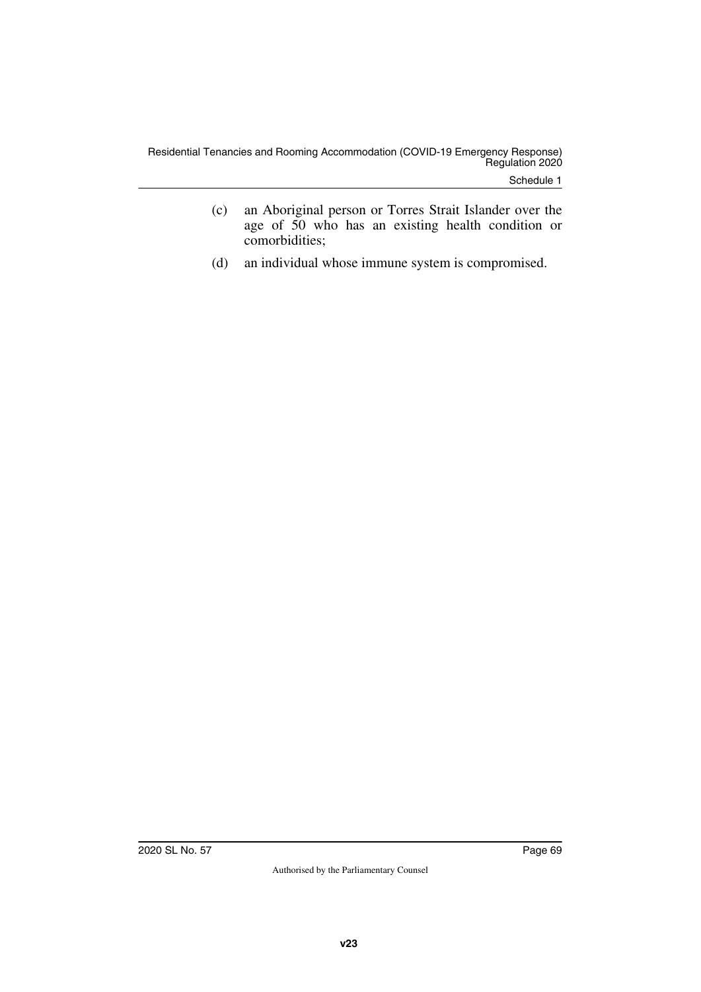Schedule 1

- (c) an Aboriginal person or Torres Strait Islander over the age of 50 who has an existing health condition or comorbidities;
- (d) an individual whose immune system is compromised.